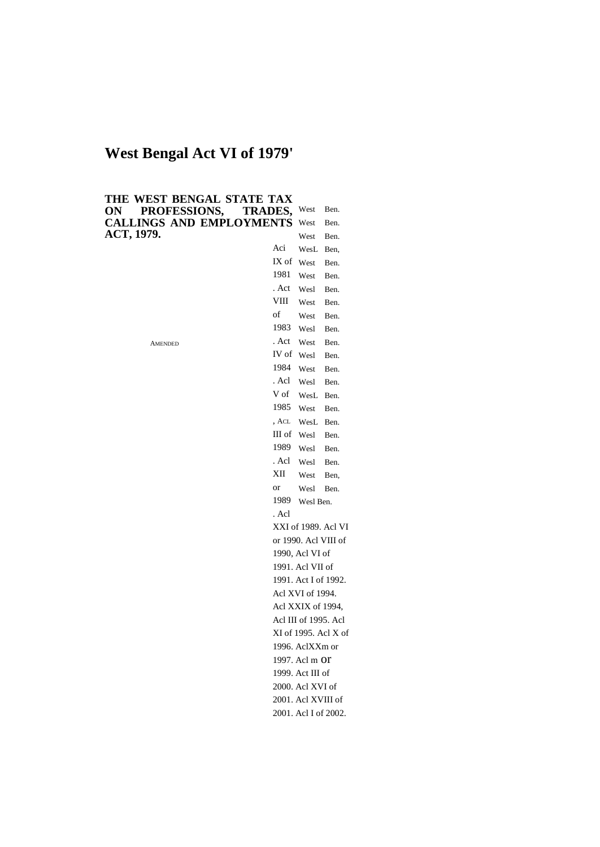# **West Bengal Act VI of 1979'**

| THE WEST BENGAL STATE TAX       |                |                                   |                      |
|---------------------------------|----------------|-----------------------------------|----------------------|
| PROFESSIONS,<br>ON              | <b>TRADES,</b> | West                              | Ben.                 |
| <b>CALLINGS AND EMPLOYMENTS</b> |                | West                              | Ben.                 |
| ACT, 1979.                      |                | West                              | Ben.                 |
|                                 | Aci            | WesL                              | Ben,                 |
|                                 | IX of          | West                              | Ben.                 |
|                                 | 1981           | West                              | Ben.                 |
|                                 | . Act          | Wesl                              | Ben.                 |
|                                 | VIII           | West                              | Ben.                 |
|                                 | of             | West                              | Ben.                 |
|                                 | 1983           | Wesl                              | Ben.                 |
| AMENDED                         | . Act          | West                              | Ben.                 |
|                                 | IV of          | Wesl                              | Ben.                 |
|                                 | 1984           | West                              | Ben.                 |
|                                 | . Acl          | Wesl                              | Ben.                 |
|                                 | V of           | WesL                              | Ben.                 |
|                                 | 1985           | West                              | Ben.                 |
|                                 | , ACL          | WesL                              | Ben.                 |
|                                 | III of         | Wesl                              | Ben.                 |
|                                 | 1989           | Wesl                              | Ben.                 |
|                                 | . Acl          | Wesl                              | Ben.                 |
|                                 | XII            | West                              | Ben,                 |
|                                 | or             | Wesl                              | Ben.                 |
|                                 | 1989           | Wesl Ben.                         |                      |
|                                 | . Acl          |                                   |                      |
|                                 |                |                                   | XXI of 1989. Acl VI  |
|                                 |                |                                   | or 1990. Acl VIII of |
|                                 |                | 1990, Acl VI of                   |                      |
|                                 |                | 1991. Acl VII of                  |                      |
|                                 |                |                                   | 1991. Act I of 1992. |
|                                 |                | Acl XVI of 1994.                  |                      |
|                                 |                | Acl XXIX of 1994,                 |                      |
|                                 |                | Acl III of 1995. Acl              |                      |
|                                 |                |                                   | XI of 1995. Acl X of |
|                                 |                | 1996. AclXXm or<br>1997. Acl m Of |                      |
|                                 |                |                                   |                      |
|                                 |                | 1999. Act III of                  |                      |
|                                 |                | 2000. Acl XVI of                  |                      |
|                                 |                | 2001. Acl XVIII of                |                      |
|                                 |                | 2001. Acl I of 2002.              |                      |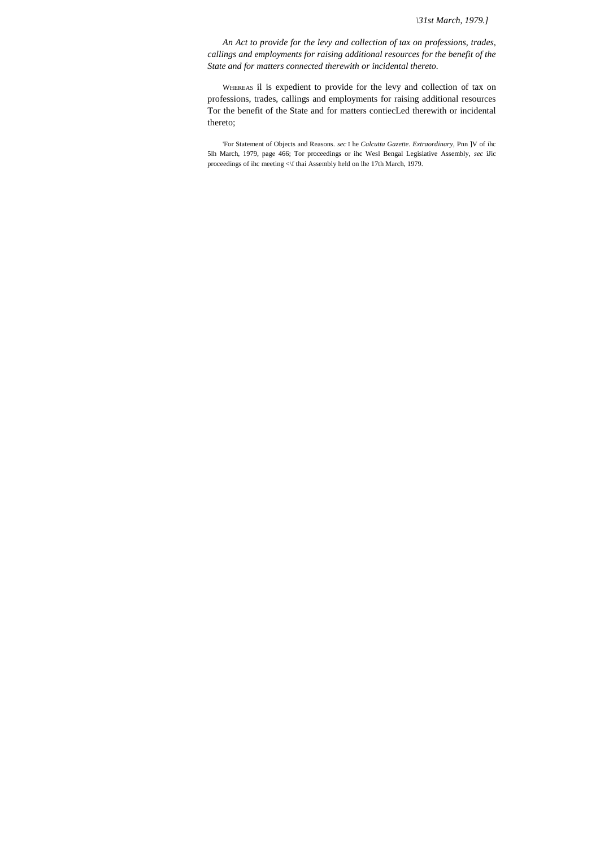*\31st March, 1979.]*

*An Act to provide for the levy and collection of tax on professions, trades, callings and employments for raising additional resources for the benefit of the State and for matters connected therewith or incidental thereto.*

WHEREAS il is expedient to provide for the levy and collection of tax on professions, trades, callings and employments for raising additional resources Tor the benefit of the State and for matters contiecLed therewith or incidental thereto;

'For Statement of Objects and Reasons. *sec* I he *Calcutta Gazette. Extraordinary,* Pnn ]V of ihc 5lh March, 1979, page 466; Tor proceedings or ihc Wesl Bengal Legislative Assembly, *sec* iJic proceedings of ihc meeting <\f thai Assembly held on lhe 17th March, 1979.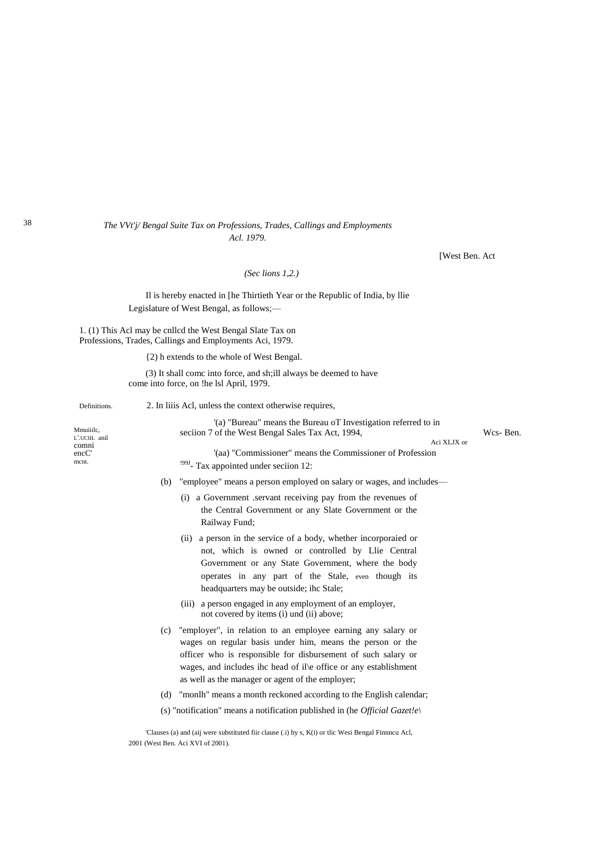# *The VVt'j/ Bengal Suite Tax on Professions, Trades, Callings and Employments Acl. 1979.*

[West Ben. Act

*(Sec lions 1,2.)*

Il is hereby enacted in [he Thirtieth Year or the Republic of India, by llie Legislature of West Bengal, as follows;—

1. (1) This Acl may be cnllcd the West Bengal Slate Tax on Professions, Trades, Callings and Employments Aci, 1979.

{2) h extends to the whole of West Bengal.

(3) It shall comc into force, and sh;ill always be deemed to have come into force, on !he lsl April, 1979.

#### Definitions. 2. In liiis Acl, unless the context otherwise requires,

Mmuiiilc, L'.UCIIL anil comni encC' mcnt. '(a) "Bureau" means the Bureau oT Investigation referred to in seciion 7 of the West Bengal Sales Tax Act, 1994, Wcs- Ben. Aci XLJX or '(aa) "Commissioner" means the Commissioner of Profession <sup>199J</sup>- Tax appointed under seciion 12: (b) "employee" means a person employed on salary or wages, and includes— (i) a Government .servant receiving pay from the revenues of the Central Government or any Slate Government or the Railway Fund; (ii) a person in the service of a body, whether incorporaied or not, which is owned or controlled by Llie Central Government or any State Government, where the body operates in any part of the Stale, even though its headquarters may be outside; ihc Stale; (iii) a person engaged in any employment of an employer, not covered by items (i) und (ii) above; (c) "employer", in relation to an employee earning any salary or wages on regular basis under him, means the person or the officer who is responsible for disbursement of such salary or wages, and includes ihc head of il\e office or any establishment as well as the manager or agent of the employer; (d) "monlh" means a month reckoned according to the English calendar;

(s) "notification" means a notification published in (he *Official Gazet!e\*

'Clauses (a) and (aij were substituted fiir clause (.i) hy s, K(i) or tlic Wesi Bengal Finnncu Acl, 2001 (West Ben. Aci XVI of 2001).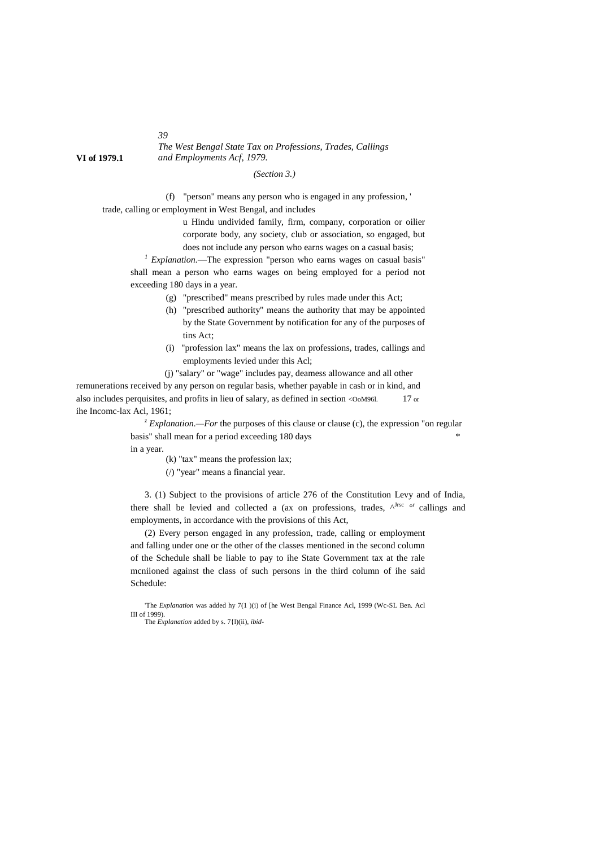*The West Bengal State Tax on Professions, Trades, Callings* **VI of 1979.1** *and Employments Acf, 1979.*

# *(Section 3.)*

(f) "person" means any person who is engaged in any profession, '

trade, calling or employment in West Bengal, and includes

u Hindu undivided family, firm, company, corporation or oilier corporate body, any society, club or association, so engaged, but does not include any person who earns wages on a casual basis;

*<sup>1</sup> Explanation.*—The expression "person who earns wages on casual basis" shall mean a person who earns wages on being employed for a period not exceeding 180 days in a year.

- (g) "prescribed" means prescribed by rules made under this Act;
- (h) "prescribed authority" means the authority that may be appointed by the State Government by notification for any of the purposes of tins Act;
- (i) "profession lax" means the lax on professions, trades, callings and employments levied under this Acl;

(j) "salary" or "wage" includes pay, deamess allowance and all other

remunerations received by any person on regular basis, whether payable in cash or in kind, and also includes perquisites, and profits in lieu of salary, as defined in section < $\alpha$ =OoM96l. 17 or ihe Incomc-lax Acl, 1961;

> <sup>z</sup> *Explanation.—For* the purposes of this clause or clause (c), the expression "on regular basis" shall mean for a period exceeding 180 days \*

in a year.

(k) "tax" means the profession lax;

(/) "year" means a financial year.

3. (1) Subject to the provisions of article 276 of the Constitution Levy and of India, there shall be levied and collected a (ax on professions, trades,  $\wedge^{Jrsc}$  or callings and employments, in accordance with the provisions of this Act,

(2) Every person engaged in any profession, trade, calling or employment and falling under one or the other of the classes mentioned in the second column of the Schedule shall be liable to pay to ihe State Government tax at the rale mcniioned against the class of such persons in the third column of ihe said Schedule:

'The *Explanation* was added hy 7(1 )(i) of [he West Bengal Finance Acl, 1999 (Wc-SL Ben. Acl III of 1999).

The *Explanation* added by s. 7{l)(ii), *ibid-*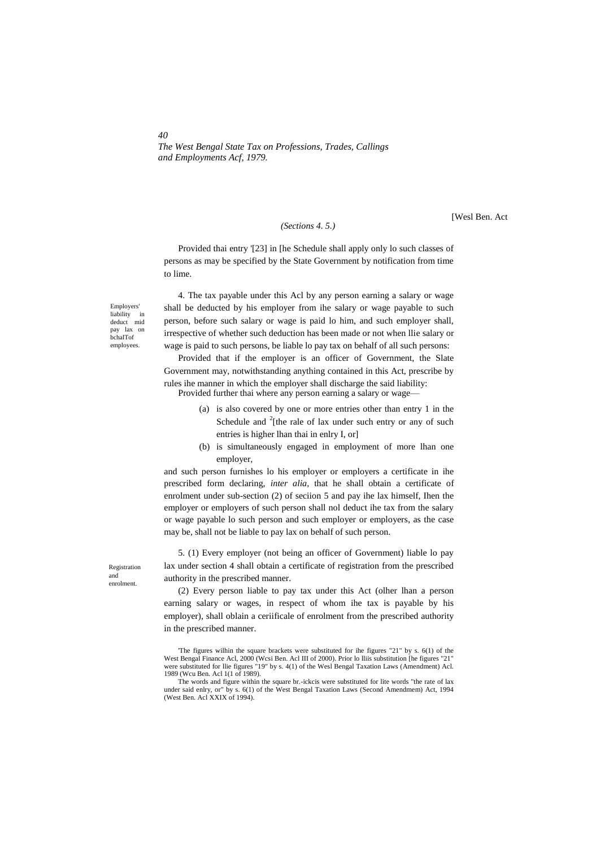*The West Bengal State Tax on Professions, Trades, Callings and Employments Acf, 1979.*

#### *(Sections 4. 5.)*

[Wesl Ben. Act

Provided thai entry '[23] in [he Schedule shall apply only lo such classes of persons as may be specified by the State Government by notification from time to lime.

4. The tax payable under this Acl by any person earning a salary or wage shall be deducted by his employer from ihe salary or wage payable to such person, before such salary or wage is paid lo him, and such employer shall, irrespective of whether such deduction has been made or not when llie salary or wage is paid to such persons, be liable lo pay tax on behalf of all such persons:

Provided that if the employer is an officer of Government, the Slate Government may, notwithstanding anything contained in this Act, prescribe by rules ihe manner in which the employer shall discharge the said liability:

Provided further thai where any person earning a salary or wage-

- (a) is also covered by one or more entries other than entry 1 in the Schedule and  $2$ [the rale of lax under such entry or any of such entries is higher lhan thai in enlry I, or]
- (b) is simultaneously engaged in employment of more lhan one employer,

and such person furnishes lo his employer or employers a certificate in ihe prescribed form declaring, *inter alia,* that he shall obtain a certificate of enrolment under sub-section (2) of seciion 5 and pay ihe lax himself, Ihen the employer or employers of such person shall nol deduct ihe tax from the salary or wage payable lo such person and such employer or employers, as the case may be, shall not be liable to pay lax on behalf of such person.

5. (1) Every employer (not being an officer of Government) liable lo pay lax under section 4 shall obtain a certificate of registration from the prescribed authority in the prescribed manner.

(2) Every person liable to pay tax under this Act (olher lhan a person earning salary or wages, in respect of whom ihe tax is payable by his employer), shall oblain a ceriificale of enrolment from the prescribed authority in the prescribed manner.

Employers' liability in deduct mid pay lax on bchalTof employees.

*40*

Registration and enrolment.

<sup>&#</sup>x27;The figures wilhin the square brackets were substituted for ihe figures "21" by s. 6(1) of the West Bengal Finance Acl, 2000 (Wcsi Ben. Acl III of 2000). Prior lo lliis substitution [he figures "21" were substituted for llie figures "19" by s. 4(1) of the Wesl Bengal Taxation Laws (Amendment) Acl. 1989 (Wcu Ben. Acl 1(1 of 1989).

The words and figure within the square br.-ickcis were substituted for lite words "the rate of lax under said enlry, or" by s. 6(1) of the West Bengal Taxation Laws (Second Amendmem) Act, 1994 (West Ben. Acl XXIX of 1994).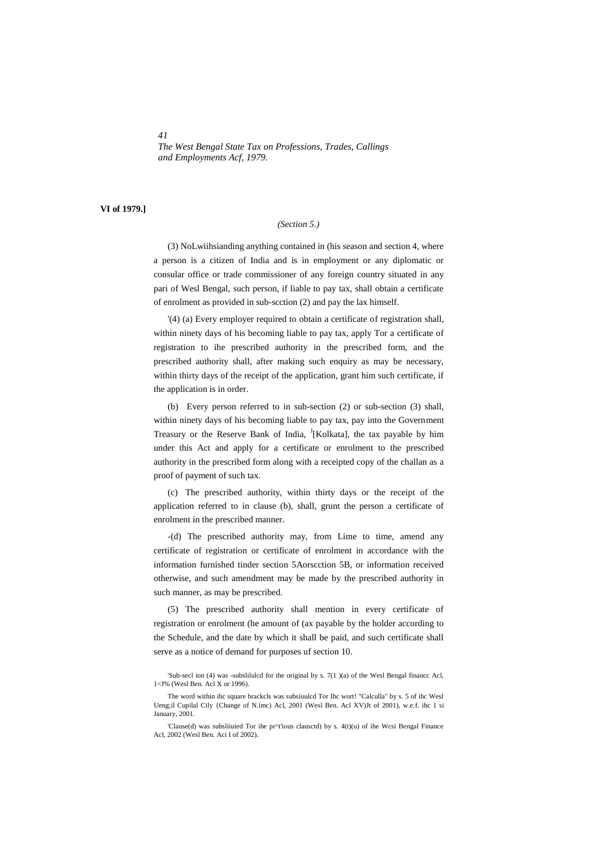*The West Bengal State Tax on Professions, Trades, Callings and Employments Acf, 1979.*

# **VI of 1979.]**

#### *(Section 5.)*

(3) NoLwiihsianding anything contained in (his season and section 4, where a person is a citizen of India and is in employment or any diplomatic or consular office or trade commissioner of any foreign country situated in any pari of Wesl Bengal, such person, if liable to pay tax, shall obtain a certificate of enrolment as provided in sub-scction (2) and pay the lax himself.

'(4) (a) Every employer required to obtain a certificate of registration shall, within ninety days of his becoming liable to pay tax, apply Tor a certificate of registration to ihe prescribed authority in the prescribed form, and the prescribed authority shall, after making such enquiry as may be necessary, within thirty days of the receipt of the application, grant him such certificate, if the application is in order.

(b) Every person referred to in sub-section (2) or sub-section (3) shall, within ninety days of his becoming liable to pay tax, pay into the Government Treasury or the Reserve Bank of India, <sup>J</sup>[Kolkata], the tax payable by him under this Act and apply for a certificate or enrolment to the prescribed authority in the prescribed form along with a receipted copy of the challan as a proof of payment of such tax.

(c) The prescribed authority, within thirty days or the receipt of the application referred to in clause (b), shall, grunt the person a certificate of enrolment in the prescribed manner.

-(d) The prescribed authority may, from Lime to time, amend any certificate of registration or certificate of enrolment in accordance with the information furnished tinder section 5Aorscction 5B, or information received otherwise, and such amendment may be made by the prescribed authority in such manner, as may be prescribed.

(5) The prescribed authority shall mention in every certificate of registration or enrolment (he amount of (ax payable by the holder according to the Schedule, and the date by which it shall be paid, and such certificate shall serve as a notice of demand for purposes uf section 10.

<sup>&#</sup>x27;Sub-secl ion (4) was -subslilulcd for the original by s. 7(1 )(a) of the Wesl Bengal financc Acl, 1<J% (Wesl Ben. Acl X or 1996).

The word within ihc square brackcls was subsiuulcd Tor Ihc wort! "Calculla" by s. 5 of ihc Wesl Ueng;il Cupilal Cily {Change of N.imc) Acl, 2001 (Wesl Ben. Acl XV)Jt of 2001), w.e.f. ihc 1 si January, 2001.

<sup>&#</sup>x27;Clause(d) was subsliiuied Tor ihe pr^t'ious clausctd) by s. 4(t)(u) of ihe Wcsi Bengal Finance Acl, 2002 (Wesl Ben. Aci I of 2002).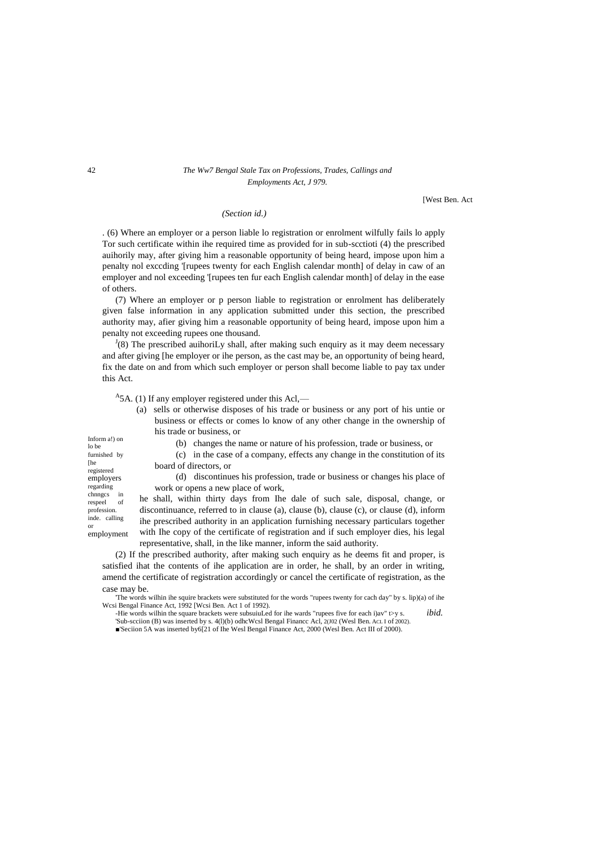# 42 *The Ww7 Bengal Stale Tax on Professions, Trades, Callings and Employments Act, J 979.*

[West Ben. Act

# *(Section id.)*

. (6) Where an employer or a person liable lo registration or enrolment wilfully fails lo apply Tor such certificate within ihe required time as provided for in sub-scctioti (4) the prescribed auihorily may, after giving him a reasonable opportunity of being heard, impose upon him a penalty nol exccding '[rupees twenty for each English calendar month] of delay in caw of an employer and nol exceeding '[rupees ten fur each English calendar month] of delay in the ease of others.

(7) Where an employer or p person liable to registration or enrolment has deliberately given false information in any application submitted under this section, the prescribed authority may, afier giving him a reasonable opportunity of being heard, impose upon him a penalty not exceeding rupees one thousand.

 $J(8)$  The prescribed auihoriLy shall, after making such enquiry as it may deem necessary and after giving [he employer or ihe person, as the cast may be, an opportunity of being heard, fix the date on and from which such employer or person shall become liable to pay tax under this Act.

 $A$ 5A. (1) If any employer registered under this Acl,—

| (a) sells or otherwise disposes of his trade or business or any port of his untie or |
|--------------------------------------------------------------------------------------|
| business or effects or comes to know of any other change in the ownership of         |
| his trade or business, or                                                            |

Inform a!) on lo be furnished by [he registered employers regarding chnngcs in<br>respeel of respeel profession. inde. calling or employment

(b) changes the name or nature of his profession, trade or business, or

(c) in the case of a company, effects any change in the constitution of its board of directors, or

(d) discontinues his profession, trade or business or changes his place of work or opens a new place of work,

he shall, within thirty days from Ihe dale of such sale, disposal, change, or discontinuance, referred to in clause (a), clause (b), clause (c), or clause (d), inform ihe prescribed authority in an application furnishing necessary particulars together with Ihe copy of the certificate of registration and if such employer dies, his legal representative, shall, in the like manner, inform the said authority.

(2) If the prescribed authority, after making such enquiry as he deems fit and proper, is satisfied ihat the contents of ihe application are in order, he shall, by an order in writing, amend the certificate of registration accordingly or cancel the certificate of registration, as the case may be.

'The words wilhin ihe squire brackets were substituted for the words "rupees twenty for cach day" by s. lip)(a) of ihe Wcsi Bengal Finance Act, 1992 [Wcsi Ben. Act 1 of 1992). -Hie words wilhin the square brackets were subsuiuLed for ihe wards "rupees five for each i)av" t>y s. *ibid.*

'Sub-scciion (B) was inserted by s. 4(1)(b) odhcWcsl Bengal Financc Acl, 2(J02 (Wesl Ben. AcL I of 2002). ■'Seciion 5A was inserted by6[21 of Ihe Wesl Bengal Finance Act, 2000 (Wesl Ben. Act III of 2000).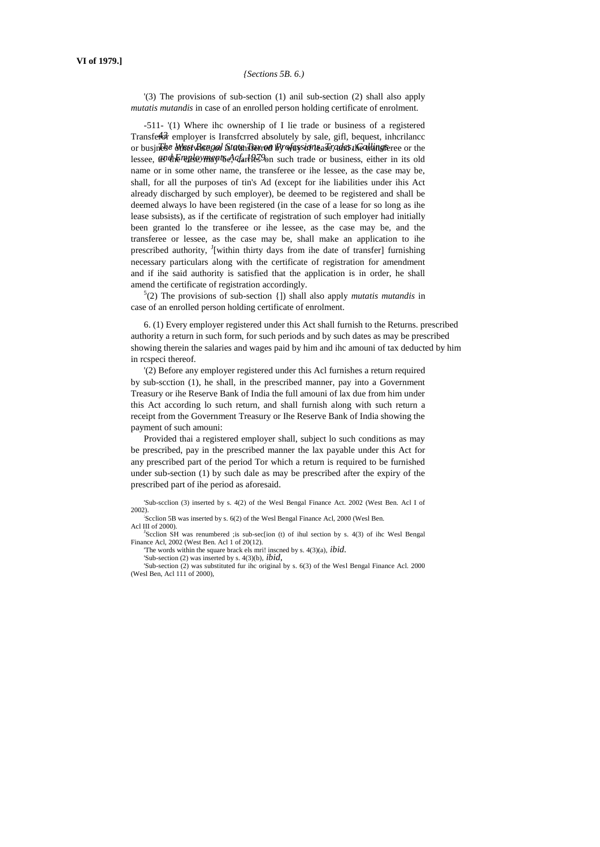# *{Sections 5B. 6.)*

'(3) The provisions of sub-section (1) anil sub-section (2) shall also apply *mutatis mutandis* in case of an enrolled person holding certificate of enrolment.

Transferor employer is Iransfcrred absolutely by sale, gifl, bequest, inhcrilancc or busjn**eke Meet Bee zot istaten Tierred by way sione** a Te, adat the allingsteree or the lessee, *as dhe make ymay the*, *darries* on such trade or business, either in its old -511- '(1) Where ihc ownership of I lie trade or business of a registered name or in some other name, the transferee or ihe lessee, as the case may be, shall, for all the purposes of tin's Ad (except for ihe liabilities under ihis Act already discharged by such employer), be deemed to be registered and shall be deemed always lo have been registered (in the case of a lease for so long as ihe lease subsists), as if the certificate of registration of such employer had initially been granted lo the transferee or ihe lessee, as the case may be, and the transferee or lessee, as the case may be, shall make an application to ihe prescribed authority, <sup>J</sup>[within thirty days from ihe date of transfer] furnishing necessary particulars along with the certificate of registration for amendment and if ihe said authority is satisfied that the application is in order, he shall amend the certificate of registration accordingly.

5 (2) The provisions of sub-section {]) shall also apply *mutatis mutandis* in case of an enrolled person holding certificate of enrolment.

6. (1) Every employer registered under this Act shall furnish to the Returns. prescribed authority a return in such form, for such periods and by such dates as may be prescribed showing therein the salaries and wages paid by him and ihc amouni of tax deducted by him in rcspeci thereof.

'(2) Before any employer registered under this Acl furnishes a return required by sub-scction (1), he shall, in the prescribed manner, pay into a Government Treasury or ihe Reserve Bank of India the full amouni of lax due from him under this Act according lo such return, and shall furnish along with such return a receipt from the Government Treasury or Ihe Reserve Bank of India showing the payment of such amouni:

Provided thai a registered employer shall, subject lo such conditions as may be prescribed, pay in the prescribed manner the lax payable under this Act for any prescribed part of the period Tor which a return is required to be furnished under sub-section (1) by such dale as may be prescribed after the expiry of the prescribed part of ihe period as aforesaid.

<sup>J</sup>Scclion SH was renumbered ;is sub-sec[ion (t) of ihul section by s. 4(3) of ihc Wesl Bengal Finance Acl, 2002 (West Ben. Acl 1 of 20(12).

'The words within the square brack els mri! inscned by s. 4(3)(a), *ibid.*

'Sub-section (2) was inserted by s. 4(3)(b), *ibid,*

'Sub-section (2) was substituted fur ihc original by s. 6(3) of the Wesl Bengal Finance Acl. 2000 (Wesl Ben, Acl 111 of 2000),

<sup>&#</sup>x27;Sub-scclion (3) inserted by s. 4(2) of the Wesl Bengal Finance Act. 2002 (West Ben. Acl I of 2002).

<sup>;</sup> Scclion 5B was inserted by s. 6(2) of the Wesl Bengal Finance Acl, 2000 (Wesl Ben. Acl III of 2000).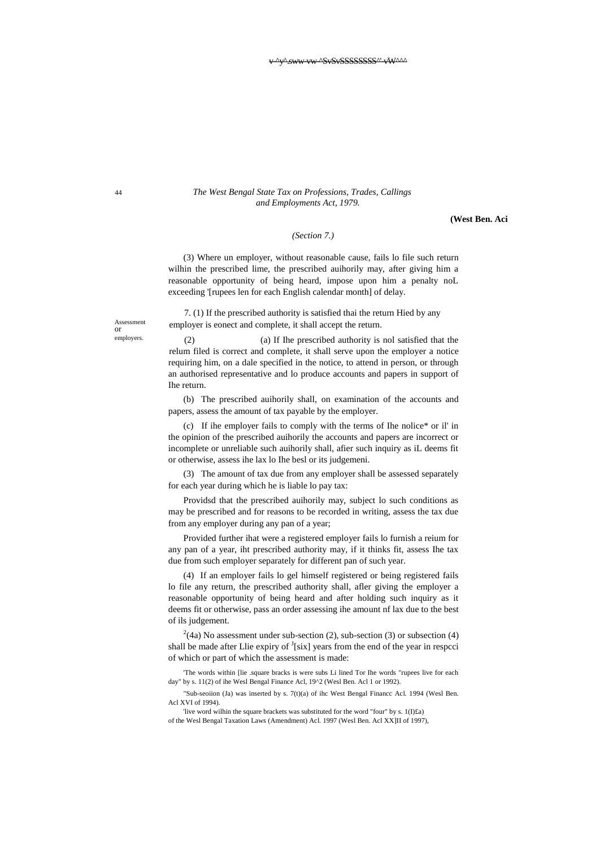#### 44 *The West Bengal State Tax on Professions, Trades, Callings and Employments Act, 1979.*

**(West Ben. Aci**

# *(Section 7.)*

(3) Where un employer, without reasonable cause, fails lo file such return wilhin the prescribed lime, the prescribed auihorily may, after giving him a reasonable opportunity of being heard, impose upon him a penalty noL exceeding '[rupees len for each English calendar month] of delay.

7. (1) If the prescribed authority is satisfied thai the return Hied by any employer is eonect and complete, it shall accept the return.

(2) (a) If Ihe prescribed authority is nol satisfied that the relum filed is correct and complete, it shall serve upon the employer a notice requiring him, on a dale specified in the notice, to attend in person, or through an authorised representative and lo produce accounts and papers in support of Ihe return.

(b) The prescribed auihorily shall, on examination of the accounts and papers, assess the amount of tax payable by the employer.

(c) If ihe employer fails to comply with the terms of Ihe nolice\* or il' in the opinion of the prescribed auihorily the accounts and papers are incorrect or incomplete or unreliable such auihorily shall, afier such inquiry as iL deems fit or otherwise, assess ihe lax lo Ihe besl or its judgemeni.

(3) The amount of tax due from any employer shall be assessed separately for each year during which he is liable lo pay tax:

Providsd that the prescribed auihorily may, subject lo such conditions as may be prescribed and for reasons to be recorded in writing, assess the tax due from any employer during any pan of a year;

Provided further ihat were a registered employer fails lo furnish a reium for any pan of a year, iht prescribed authority may, if it thinks fit, assess Ihe tax due from such employer separately for different pan of such year.

(4) If an employer fails lo gel himself registered or being registered fails lo file any return, the prescribed authority shall, afler giving the employer a reasonable opportunity of being heard and after holding such inquiry as it deems fit or otherwise, pass an order assessing ihe amount nf lax due to the best of ils judgement.

 $^{2}(4a)$  No assessment under sub-section (2), sub-section (3) or subsection (4) shall be made after Llie expiry of  $\frac{1}{s}$ [six] years from the end of the year in respeci of which or part of which the assessment is made:

'The words within [lie .square bracks is were subs Li lined Tor Ihe words "rupees live for each day" by s. 11(2) of ihe Wesl Bengal Finance Acl, 19^2 (Wesl Ben. Acl 1 or 1992).

"Sub-seoiion (Ja) was inserted by s. 7(t)(a) of ihc West Bengal Financc Acl. 1994 (Wesl Ben. Acl XVI of 1994).

'live word wilhin the square brackets was substituted for the word "four" by s. 1(I)£a) of the Wesl Bengal Taxation Laws (Amendment) Acl. 1997 (Wesl Ben. Acl XX]II of 1997),

Assessment or employers.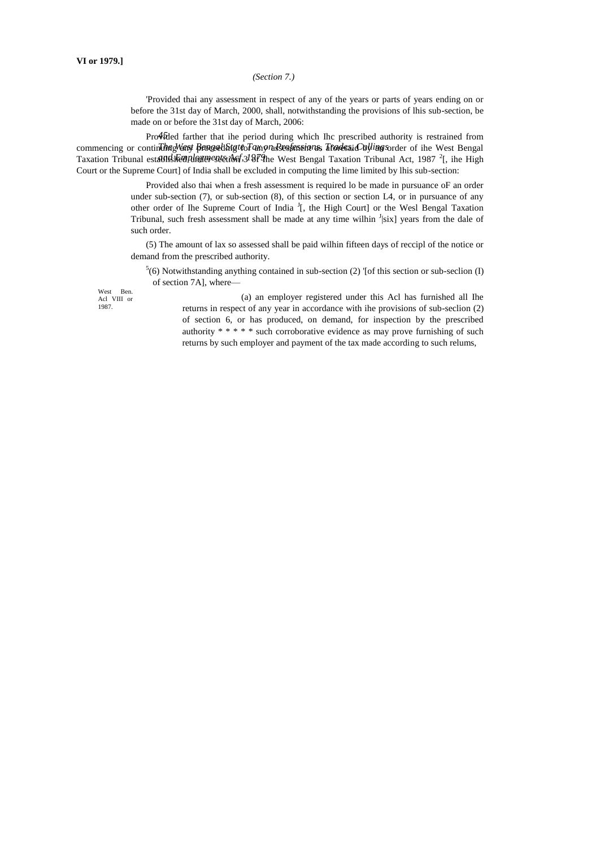# *(Section 7.)*

'Provided thai any assessment in respect of any of the years or parts of years ending on or before the 31st day of March, 2000, shall, notwithstanding the provisions of lhis sub-section, be made on or before the 31st day of March, 2006:

Pro $\oint$ Died farther that ihe period during which Ihc prescribed authority is restrained from commencing or continding Wast Browellatg to Fangya Sessancians. Trodes in Culling sorder of ihe West Bengal Taxation Tribunal establikhed planerest tota 5.3/879he West Bengal Taxation Tribunal Act, 1987<sup>2</sup>[, ihe High Court or the Supreme Court] of India shall be excluded in computing the lime limited by lhis sub-section:

> Provided also thai when a fresh assessment is required lo be made in pursuance oF an order under sub-section  $(7)$ , or sub-section  $(8)$ , of this section or section L4, or in pursuance of any other order of Ihe Supreme Court of India <sup>J</sup>[, the High Court] or the Wesl Bengal Taxation Tribunal, such fresh assessment shall be made at any time wilhin  $\frac{1}{s}$  years from the dale of such order.

> (5) The amount of lax so assessed shall be paid wilhin fifteen days of reccipl of the notice or demand from the prescribed authority.

 $5(6)$  Notwithstanding anything contained in sub-section (2) '[of this section or sub-seclion (I) of section 7A], where—

West Ben. Acl VIII or 1987.

(a) an employer registered under this Acl has furnished all Ihe returns in respect of any year in accordance with ihe provisions of sub-seclion (2) of section 6, or has produced, on demand, for inspection by the prescribed authority \* \* \* \* \* such corroborative evidence as may prove furnishing of such returns by such employer and payment of the tax made according to such relums,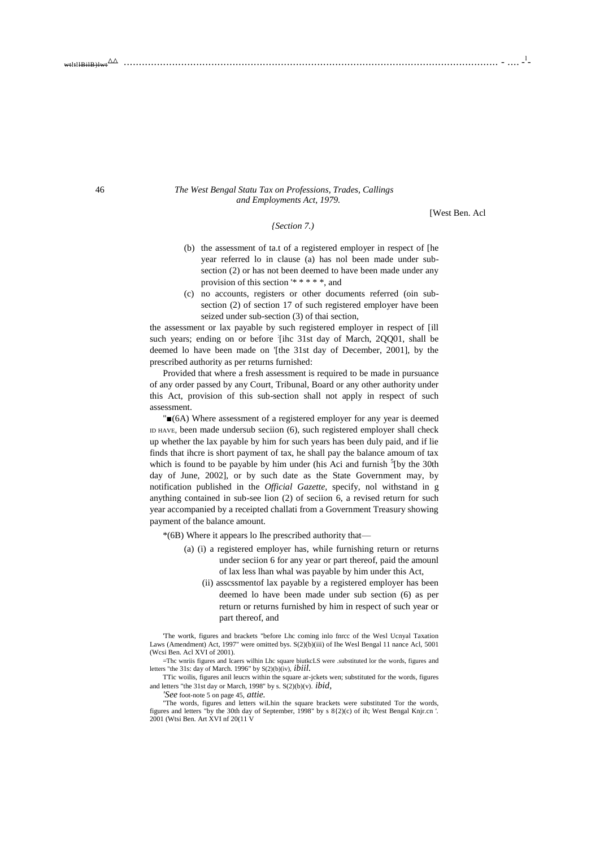#### 46 *The West Bengal Statu Tax on Professions, Trades, Callings and Employments Act, 1979.*

*{Section 7.)*

[West Ben. Acl

- (b) the assessment of ta.t of a registered employer in respect of [he year referred lo in clause (a) has nol been made under subsection (2) or has not been deemed to have been made under any provision of this section '\* \* \* \* \*, and
- (c) no accounts, registers or other documents referred (oin subsection (2) of section 17 of such registered employer have been seized under sub-section (3) of thai section,

the assessment or lax payable by such registered employer in respect of [ill such years; ending on or before [ihc 31st day of March, 2QQ01, shall be deemed lo have been made on '[the 31st day of December, 2001], by the prescribed authority as per returns furnished:

Provided that where a fresh assessment is required to be made in pursuance of any order passed by any Court, Tribunal, Board or any other authority under this Act, provision of this sub-section shall not apply in respect of such assessment.

"■(6A) Where assessment of a registered employer for any year is deemed ID HAVE, been made undersub seciion (6), such registered employer shall check up whether the lax payable by him for such years has been duly paid, and if lie finds that ihcre is short payment of tax, he shall pay the balance amoum of tax which is found to be payable by him under (his Aci and furnish  $5$ [by the 30th day of June, 2002], or by such date as the State Government may, by notification published in the *Official Gazette,* specify, nol withstand in g anything contained in sub-see lion (2) of seciion 6, a revised return for such year accompanied by a receipted challati from a Government Treasury showing payment of the balance amount.

- \*(6B) Where it appears lo Ihe prescribed authority that—
	- (a) (i) a registered employer has, while furnishing return or returns under seciion 6 for any year or part thereof, paid the amounl of lax less lhan whal was payable by him under this Act,
		- (ii) asscssmentof lax payable by a registered employer has been deemed lo have been made under sub section (6) as per return or returns furnished by him in respect of such year or part thereof, and

'The wortk, figures and brackets "before Lhc coming inlo fnrcc of the Wesl Ucnyal Taxation Laws (Amendment) Act, 1997" were omitted bys. S(2)(b)(iii) of Ihe Wesl Bengal 11 nance Acl, 5001 (Wcsi Ben. Acl XVI of 2001).

=Thc wnriis figures and Icaers wilhin Lhc square biutkcLS were .substituted lor the words, figures and letters "the 31s: day of March. 1996" by S(2)(b)(iv), *ibiil.*

TTic woilis, figures anil leucrs within the square ar-jckets wen; substituted for the words, figures and letters "the 31st day or March, 1998" by s. S(2)(b)(v). *ibid,*

*'See* foot-note 5 on page 45, *attie.*

"The words, figures and letters wiLhin the square brackets were substituted Tor the words, figures and letters "by the 30th day of September, 1998" by s 8{2)(c) of ih; West Bengal Knjr.cn '. 2001 (Wtsi Ben. Art XVI nf 20(11 V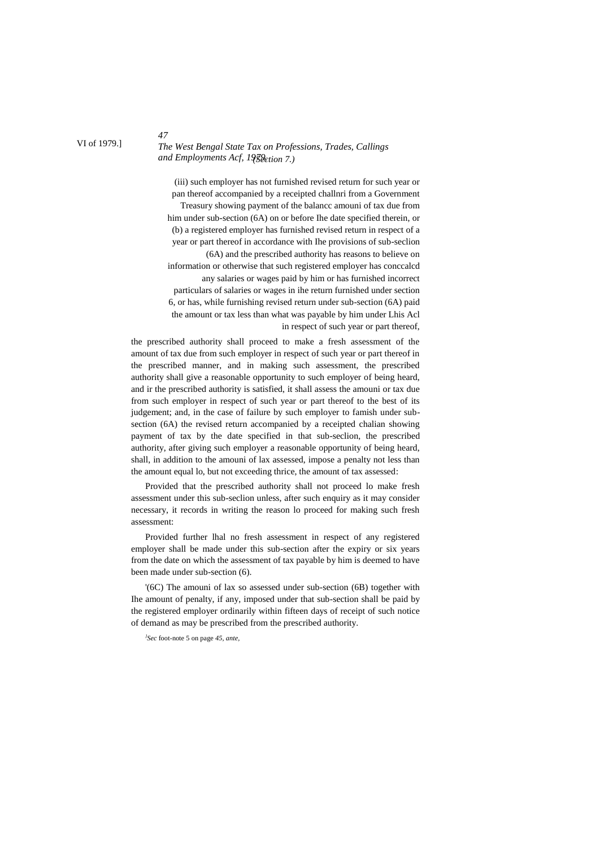# *The West Bengal State Tax on Professions, Trades, Callings and Employments Acf, 1979. (Section 7.)*

(iii) such employer has not furnished revised return for such year or pan thereof accompanied by a receipted challnri from a Government Treasury showing payment of the balancc amouni of tax due from him under sub-section (6A) on or before Ihe date specified therein, or (b) a registered employer has furnished revised return in respect of a year or part thereof in accordance with Ihe provisions of sub-seclion (6A) and the prescribed authority has reasons to believe on information or otherwise that such registered employer has conccalcd any salaries or wages paid by him or has furnished incorrect particulars of salaries or wages in ihe return furnished under section 6, or has, while furnishing revised return under sub-section (6A) paid the amount or tax less than what was payable by him under Lhis Acl in respect of such year or part thereof,

the prescribed authority shall proceed to make a fresh assessment of the amount of tax due from such employer in respect of such year or part thereof in the prescribed manner, and in making such assessment, the prescribed authority shall give a reasonable opportunity to such employer of being heard, and ir the prescribed authority is satisfied, it shall assess the amouni or tax due from such employer in respect of such year or part thereof to the best of its judgement; and, in the case of failure by such employer to famish under subsection (6A) the revised return accompanied by a receipted chalian showing payment of tax by the date specified in that sub-seclion, the prescribed authority, after giving such employer a reasonable opportunity of being heard, shall, in addition to the amouni of lax assessed, impose a penalty not less than the amount equal lo, but not exceeding thrice, the amount of tax assessed:

Provided that the prescribed authority shall not proceed lo make fresh assessment under this sub-seclion unless, after such enquiry as it may consider necessary, it records in writing the reason lo proceed for making such fresh assessment:

Provided further lhal no fresh assessment in respect of any registered employer shall be made under this sub-section after the expiry or six years from the date on which the assessment of tax payable by him is deemed to have been made under sub-section (6).

'(6C) The amouni of lax so assessed under sub-section (6B) together with Ihe amount of penalty, if any, imposed under that sub-section shall be paid by the registered employer ordinarily within fifteen days of receipt of such notice of demand as may be prescribed from the prescribed authority.

*} Sec* foot-note 5 on page *45, ante,*

#### VI of 1979.]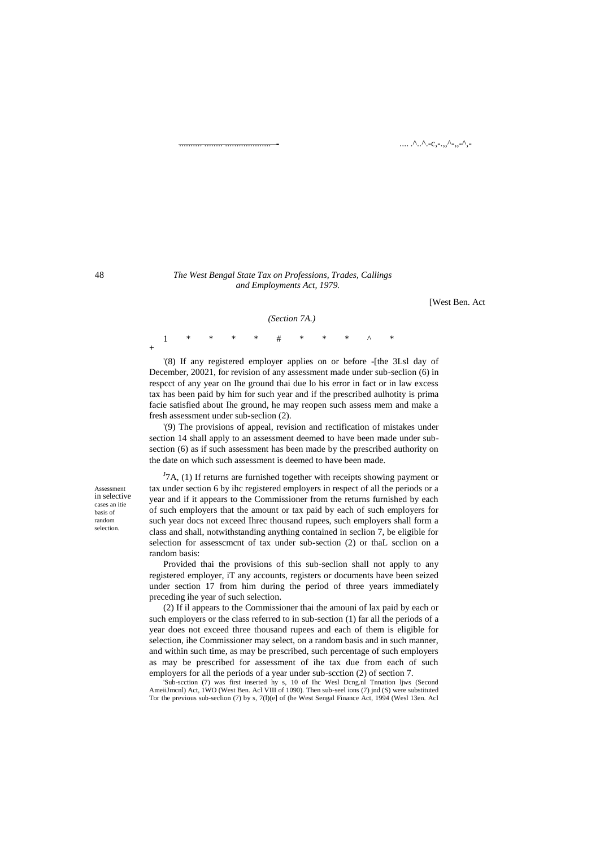$\ldots$ ...^..^.-c,-.,,^-,,-^,-

#### 48 *The West Bengal State Tax on Professions, Trades, Callings and Employments Act, 1979.*

[West Ben. Act

#### *(Section 7A.)*

1 \* \* \* \* # \* \* \* ^ \* +

'(8) If any registered employer applies on or before -[the 3Lsl day of December, 20021, for revision of any assessment made under sub-seclion (6) in respcct of any year on Ihe ground thai due lo his error in fact or in law excess tax has been paid by him for such year and if the prescribed aulhotity is prima facie satisfied about Ihe ground, he may reopen such assess mem and make a fresh assessment under sub-seclion (2).

'(9) The provisions of appeal, revision and rectification of mistakes under section 14 shall apply to an assessment deemed to have been made under subsection (6) as if such assessment has been made by the prescribed authority on the date on which such assessment is deemed to have been made.

Assessment in selective cases an itie basis of random selection.

 $J<sup>J</sup>7A$ , (1) If returns are furnished together with receipts showing payment or tax under section 6 by ihc registered employers in respect of all the periods or a year and if it appears to the Commissioner from the returns furnished by each of such employers that the amount or tax paid by each of such employers for such year docs not exceed Ihrec thousand rupees, such employers shall form a class and shall, notwithstanding anything contained in seclion 7, be eligible for selection for assesscmcnt of tax under sub-section (2) or thaL scclion on a random basis:

Provided thai the provisions of this sub-seclion shall not apply to any registered employer, iT any accounts, registers or documents have been seized under section 17 from him during the period of three years immediately preceding ihe year of such selection.

(2) If il appears to the Commissioner thai the amouni of lax paid by each or such employers or the class referred to in sub-section (1) far all the periods of a year does not exceed three thousand rupees and each of them is eligible for selection, ihe Commissioner may select, on a random basis and in such manner, and within such time, as may be prescribed, such percentage of such employers as may be prescribed for assessment of ihe tax due from each of such employers for all the periods of a year under sub-scction (2) of section 7.

'Sub-scction (7) was first inserted hy s, 10 of Ihc Wesl Dcng.nl Tnnation ljws (Second AmeiiJmcnl) Act, 1WO (West Ben. Acl VIII of 1090). Then sub-seel ions (7) jnd (S) were substituted Tor the previous sub-seclion (7) by s, 7(l)(e] of (he West Sengal Finance Act, 1994 (Wesl 13en. Acl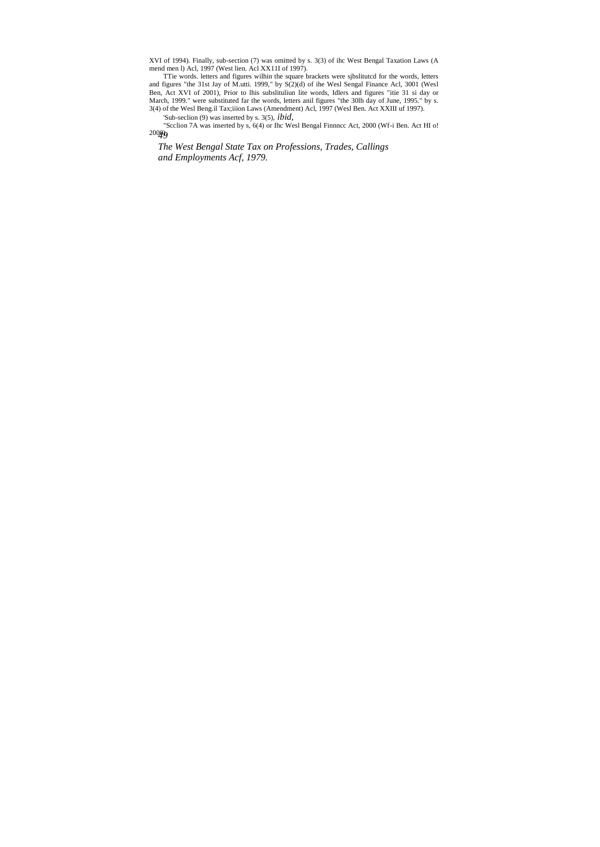XVI of 1994). Finally, sub-section (7) was omitted by s. 3(3) of ihc West Bengal Taxation Laws (A mend men I) Acl, 1997 (West lien. Acl XXIII of 1997).<br>The words. letters and figures within the square brackets were sjbslit

Ben, Act XVI of 2001), Prior to lhis subslituliun lite words, Idlers and figures "itie 31 si day or March, 1999." were substituted far the words, letters anil figures "the 30lh day of June, 1995." by s.<br>3(4) of the Wesl Be

*49* 2000).'Sub-seclion (9) was inserted by s. 3(5), *ibid,* "Scclion 7A was inserted by s, 6(4) or Ihc Wesl Bengal Finnncc Act, 2000 (Wf-i Ben. Act HI o!

*The West Bengal State Tax on Professions, Trades, Callings and Employments Acf, 1979.*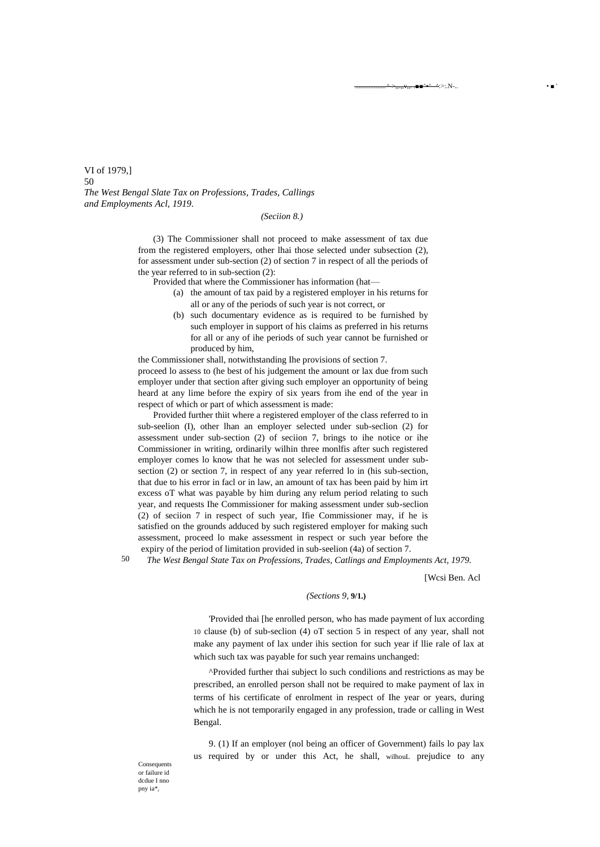VI of 1979,] 50 *The West Bengal Slate Tax on Professions, Trades, Callings and Employments Acl, 1919.*

### *(Seciion 8.)*

(3) The Commissioner shall not proceed to make assessment of tax due from the registered employers, other lhai those selected under subsection (2), for assessment under sub-section (2) of section 7 in respect of all the periods of the year referred to in sub-section (2):

Provided that where the Commissioner has information (hat—

- (a) the amount of tax paid by a registered employer in his returns for all or any of the periods of such year is not correct, or
- (b) such documentary evidence as is required to be furnished by such employer in support of his claims as preferred in his returns for all or any of ihe periods of such year cannot be furnished or produced by him,

the Commissioner shall, notwithstanding Ihe provisions of section 7. proceed lo assess to (he best of his judgement the amount or lax due from such employer under that section after giving such employer an opportunity of being heard at any lime before the expiry of six years from ihe end of the year in respect of which or part of which assessment is made:

Provided further thiit where a registered employer of the class referred to in sub-seelion (I), other lhan an employer selected under sub-seclion (2) for assessment under sub-section (2) of seciion 7, brings to ihe notice or ihe Commissioner in writing, ordinarily wilhin three monlfis after such registered employer comes lo know that he was not selecled for assessment under subsection (2) or section 7, in respect of any year referred lo in (his sub-section, that due to his error in facl or in law, an amount of tax has been paid by him irt excess oT what was payable by him during any relum period relating to such year, and requests Ihe Commissioner for making assessment under sub-seclion (2) of seciion 7 in respect of such year, Ifie Commissioner may, if he is satisfied on the grounds adduced by such registered employer for making such assessment, proceed lo make assessment in respect or such year before the expiry of the period of limitation provided in sub-seelion (4a) of section 7.

50

*The West Bengal State Tax on Professions, Trades, Catlings and Employments Act, 1979.*

[Wcsi Ben. Acl

 $\blacksquare = \triangle * \triangle \triangle *$ ,  $N$ ,  $N$ ,  $\blacksquare$ 

#### *(Sections 9,* **9/1.)**

'Provided thai [he enrolled person, who has made payment of lux according 10 clause (b) of sub-seclion (4) oT section 5 in respect of any year, shall not make any payment of lax under ihis section for such year if llie rale of lax at which such tax was payable for such year remains unchanged:

^Provided further thai subject lo such condilions and restrictions as may be prescribed, an enrolled person shall not be required to make payment of lax in terms of his certificate of enrolment in respect of Ihe year or years, during which he is not temporarily engaged in any profession, trade or calling in West Bengal.

9. (1) If an employer (nol being an officer of Government) fails lo pay lax us required by or under this Act, he shall, wilhouL prejudice to any

**Consequents** or failure id dcdue I nno pny ia\*<sub>r</sub>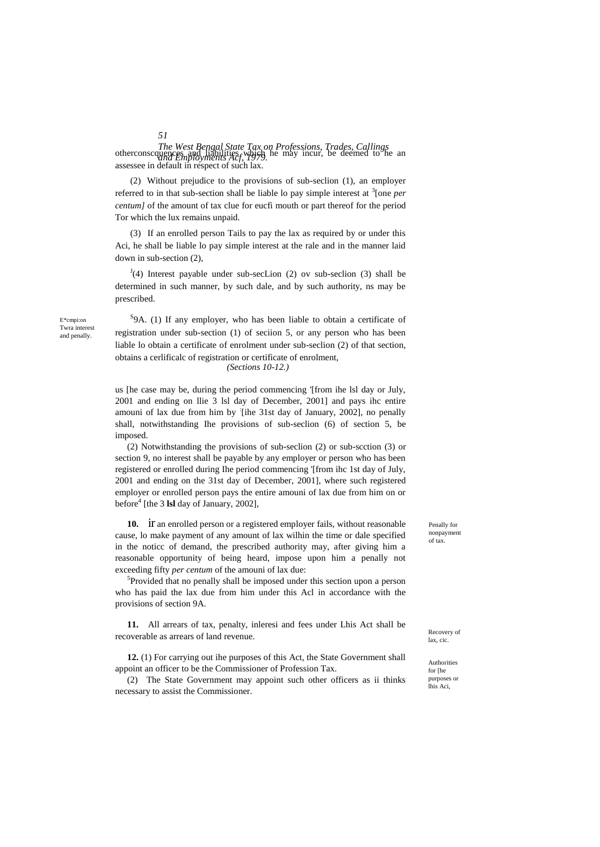*The West Bengal State Tax on Professions, Trades, Callings* otherconscquences and liabilities which he may incur, be deemed to he an *and Employments Acf*, 1979. assessee in default in respect of such lax.

(2) Without prejudice to the provisions of sub-seclion (1), an employer referred to in that sub-section shall be liable lo pay simple interest at <sup>3</sup>[one *per centum]* of the amount of tax clue for eucfi mouth or part thereof for the period Tor which the lux remains unpaid.

(3) If an enrolled person Tails to pay the lax as required by or under this Aci, he shall be liable lo pay simple interest at the rale and in the manner laid down in sub-section (2),

 $J<sup>J</sup>(4)$  Interest payable under sub-secLion (2) ov sub-seclion (3) shall be determined in such manner, by such dale, and by such authority, ns may be prescribed.

<sup>S</sup>9A. (1) If any employer, who has been liable to obtain a certificate of registration under sub-section (1) of seciion 5, or any person who has been liable lo obtain a certificate of enrolment under sub-seclion (2) of that section, obtains a cerlificalc of registration or certificate of enrolment, *(Sections 10-12.)*

us [he case may be, during the period commencing '[from ihe lsl day or July, 2001 and ending on llie 3 lsl day of December, 2001] and pays ihc entire amouni of lax due from him by [ihe 31st day of January, 2002], no penally shall, notwithstanding Ihe provisions of sub-seclion (6) of section 5, be imposed.

(2) Notwithstanding the provisions of sub-seclion (2) or sub-scction (3) or section 9, no interest shall be payable by any employer or person who has been registered or enrolled during Ihe period commencing '[from ihc 1st day of July, 2001 and ending on the 31st day of December, 2001], where such registered employer or enrolled person pays the entire amouni of lax due from him on or before<sup>4</sup> [the 3 **lsl** day of January, 2002],

**10.** ir an enrolled person or a registered employer fails, without reasonable cause, lo make payment of any amount of lax wilhin the time or dale specified in the noticc of demand, the prescribed authority may, after giving him a reasonable opportunity of being heard, impose upon him a penally not exceeding fifty *per centum* of the amouni of lax due:

5 Provided that no penally shall be imposed under this section upon a person who has paid the lax due from him under this Acl in accordance with the provisions of section 9A.

**11.** All arrears of tax, penalty, inleresi and fees under Lhis Act shall be recoverable as arrears of land revenue.

**12.** (1) For carrying out ihe purposes of this Act, the State Government shall appoint an officer to be the Commissioner of Profession Tax.

(2) The State Government may appoint such other officers as ii thinks necessary to assist the Commissioner.

Penally for nonpayment of tax.

Recovery of lax, cic.

Authorities for [he purposes or lhis Aci,

E\*cmpi:on Twra interest and penally.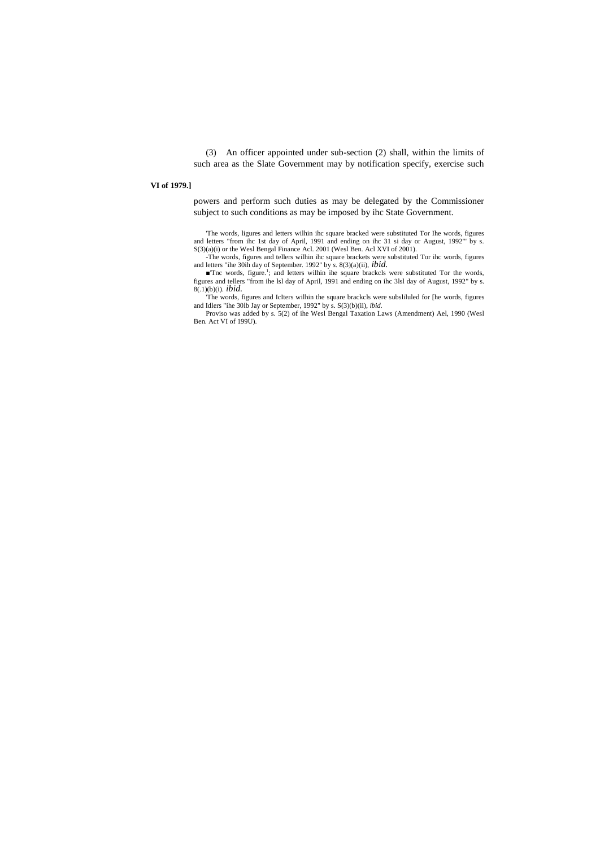(3) An officer appointed under sub-section (2) shall, within the limits of such area as the Slate Government may by notification specify, exercise such

# **VI of 1979.]**

powers and perform such duties as may be delegated by the Commissioner subject to such conditions as may be imposed by ihc State Government.

'The words, ligures and letters wilhin ihc square bracked were substituted Tor Ihe words, figures and letters "from ihc 1st day of April, 1991 and ending on ihc 31 si day or August, 1992"' by s. S(3)(a)(i) or the Wesl Bengal Finance Acl. 2001 (Wesl Ben. Acl XVI of 2001). -The words, figures and tellers wilhin ihc square brackets were substituted Tor ihc words, figures

and letters "ihe 30ih day of September. 1992" by *s.* 8(3)(a)(ii), *ibid.*

■'Tnc words, figure.<sup>1</sup>; and letters wilhin ihe square brackcls were substituted Tor the words, figures and tellers "from ihe lsl day of April, 1991 and ending on ihc 3lsl day of August, 1992" by s. 8(.1)(b)(i). *ibid.*

'The words, figures and IcIters wilhin the square brackcls were subsliluled for [he words, figures and Idlers "ihe 30lb Jay or September, 1992" by s. S(3)(b)(ii), *ibid.*

Proviso was added by s. 5(2) of ihe Wesl Bengal Taxation Laws (Amendment) Ael, 1990 (Wesl Ben. Act VI of 199U).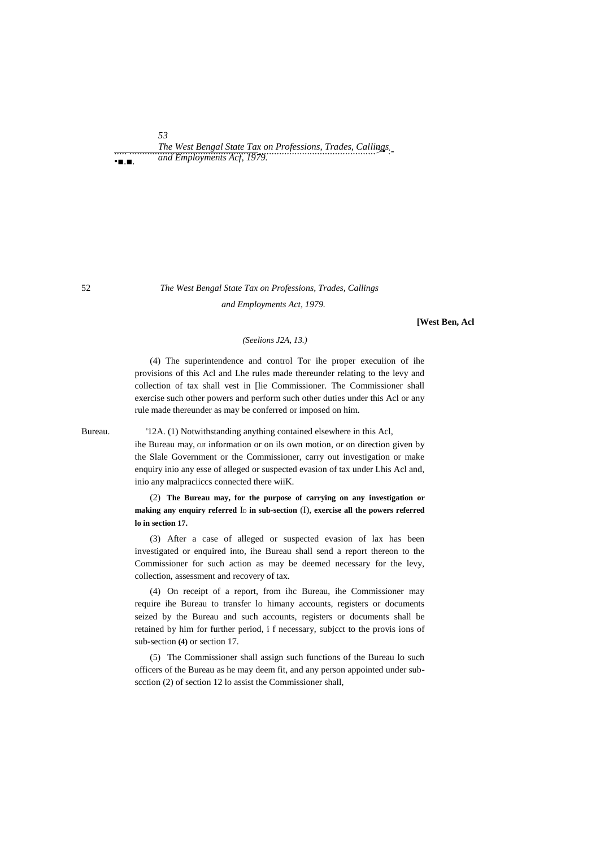*The West Bengal State Tax on Professions, Trades, Callings and Employments Acf, 1979.*<br>
• **a a a** *and Employments Acf, 1979.* •■.■.

*53*

52 *The West Bengal State Tax on Professions, Trades, Callings and Employments Act, 1979.*

**[West Ben, Acl**

#### *(Seelions J2A, 13.)*

(4) The superintendence and control Tor ihe proper execuiion of ihe provisions of this Acl and Lhe rules made thereunder relating to the levy and collection of tax shall vest in [lie Commissioner. The Commissioner shall exercise such other powers and perform such other duties under this Acl or any rule made thereunder as may be conferred or imposed on him.

Bureau. '12A. (1) Notwithstanding anything contained elsewhere in this Acl,

ihe Bureau may, on information or on ils own motion, or on direction given by the Slale Government or the Commissioner, carry out investigation or make enquiry inio any esse of alleged or suspected evasion of tax under Lhis Acl and, inio any malpraciiccs connected there wiiK.

(2) **The Bureau may, for the purpose of carrying on any investigation or**  making any enquiry referred I<sub>D</sub> in sub-section (I), exercise all the powers referred **lo in section 17.**

(3) After a case of alleged or suspected evasion of lax has been investigated or enquired into, ihe Bureau shall send a report thereon to the Commissioner for such action as may be deemed necessary for the levy, collection, assessment and recovery of tax.

(4) On receipt of a report, from ihc Bureau, ihe Commissioner may require ihe Bureau to transfer lo himany accounts, registers or documents seized by the Bureau and such accounts, registers or documents shall be retained by him for further period, i f necessary, subjcct to the provis ions of sub-section **(4)** or section 17.

(5) The Commissioner shall assign such functions of the Bureau lo such officers of the Bureau as he may deem fit, and any person appointed under subscction (2) of section 12 lo assist the Commissioner shall,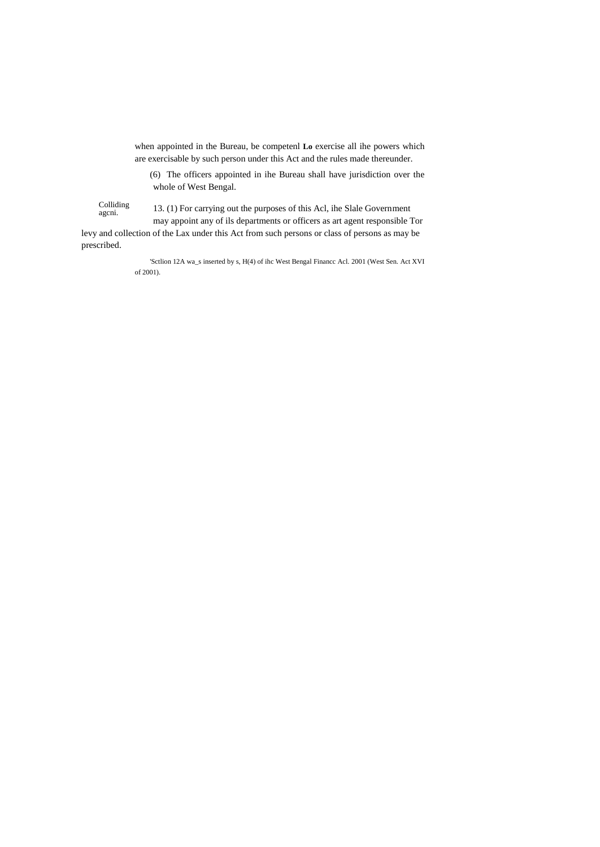when appointed in the Bureau, be competenl **Lo** exercise all ihe powers which are exercisable by such person under this Act and the rules made thereunder.

(6) The officers appointed in ihe Bureau shall have jurisdiction over the whole of West Bengal.

Colliding agcni.

13. (1) For carrying out the purposes of this Acl, ihe Slale Government

may appoint any of ils departments or officers as art agent responsible Tor levy and collection of the Lax under this Act from such persons or class of persons as may be prescribed.

> 'Sctlion 12A wa\_s inserted by s, H(4) of ihc West Bengal Financc Acl. 2001 (West Sen. Act XVI of 2001).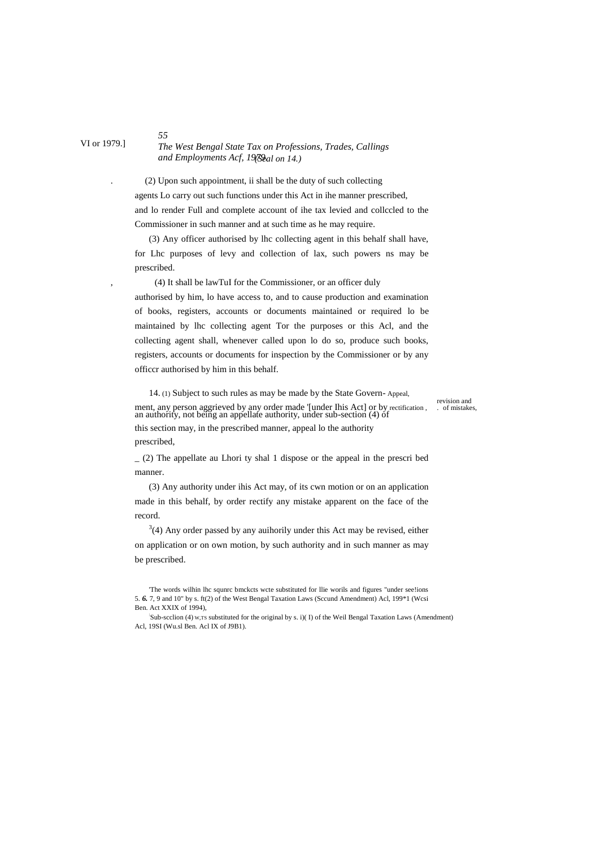# *The West Bengal State Tax on Professions, Trades, Callings and Employments Acf, 1979. (Seal on 14.)*

. (2) Upon such appointment, ii shall be the duty of such collecting agents Lo carry out such functions under this Act in ihe manner prescribed, and lo render Full and complete account of ihe tax levied and collccled to the Commissioner in such manner and at such time as he may require.

(3) Any officer authorised by lhc collecting agent in this behalf shall have, for Lhc purposes of levy and collection of lax, such powers ns may be prescribed.

, (4) It shall be lawTuI for the Commissioner, or an officer duly

authorised by him, lo have access to, and to cause production and examination of books, registers, accounts or documents maintained or required lo be maintained by lhc collecting agent Tor the purposes or this Acl, and the collecting agent shall, whenever called upon lo do so, produce such books, registers, accounts or documents for inspection by the Commissioner or by any officcr authorised by him in this behalf.

14. (1) Subject to such rules as may be made by the State Govern- Appeal, ment, any person aggrieved by any order made '[under Ihis Act] or by rectification, or mistakes, an authority, not being an appellate authority, under sub-section (4) of this section may, in the prescribed manner, appeal lo the authority prescribed,

revision and<br>cof mistakes.

 $(2)$  The appellate au Lhori ty shal 1 dispose or the appeal in the prescribed manner.

(3) Any authority under ihis Act may, of its cwn motion or on an application made in this behalf, by order rectify any mistake apparent on the face of the record.

 $3(4)$  Any order passed by any auihorily under this Act may be revised, either on application or on own motion, by such authority and in such manner as may be prescribed.

VI or 1979.]

<sup>&#</sup>x27;The words wilhin lhc squnrc bmckcts wcte substituted for llie worils and figures "under see!ions 5. *6.* 7, 9 and 10" by s. ft(2) of the West Bengal Taxation Laws (Sccund Amendment) Acl, 199\*1 (Wcsi Ben. Act XXIX of 1994),

<sup>:</sup> Sub-scclion (4) W,TS substituted for the original by s. i)( I) of the Weil Bengal Taxation Laws (Amendment) Acl, 19SI (Wu.sl Ben. Acl IX of J9B1).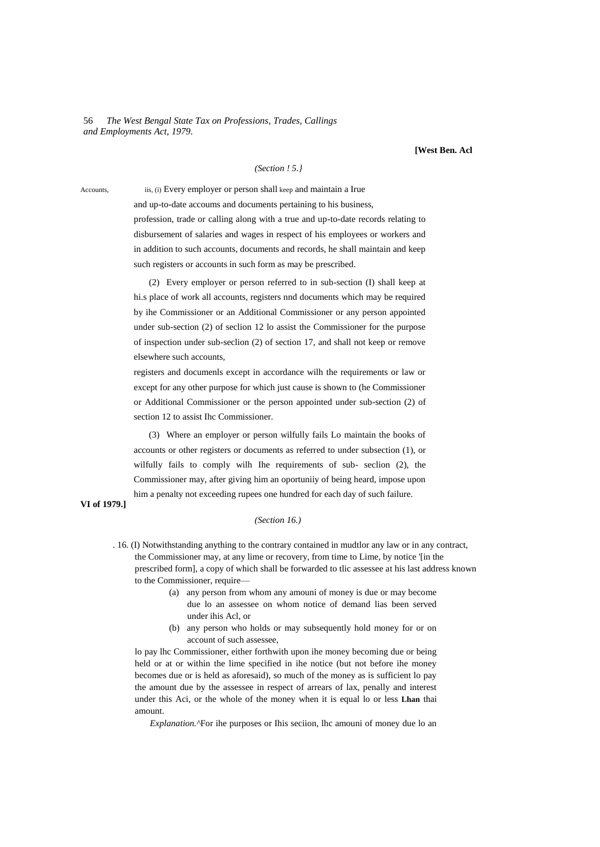56 *The West Bengal State Tax on Professions, Trades, Callings and Employments Act, 1979.*

**[West Ben. Acl**

#### *(Section ! 5.}*

Accounts, iis, (i) Every employer or person shall keep and maintain a Irue

and up-to-date accoums and documents pertaining to his business, profession, trade or calling along with a true and up-to-date records relating to disbursement of salaries and wages in respect of his employees or workers and in addition to such accounts, documents and records, he shall maintain and keep such registers or accounts in such form as may be prescribed.

(2) Every employer or person referred to in sub-section (I) shall keep at hi.s place of work all accounts, registers nnd documents which may be required by ihe Commissioner or an Additional Commissioner or any person appointed under sub-section (2) of seclion 12 lo assist the Commissioner for the purpose of inspection under sub-seclion (2) of section 17, and shall not keep or remove elsewhere such accounts,

registers and documenls except in accordance wilh the requirements or law or except for any other purpose for which just cause is shown to (he Commissioner or Additional Commissioner or the person appointed under sub-section (2) of section 12 to assist Ihc Commissioner.

(3) Where an employer or person wilfully fails Lo maintain the books of accounts or other registers or documents as referred to under subsection (1), or wilfully fails to comply wilh Ihe requirements of sub- seclion (2), the Commissioner may, after giving him an oportuniiy of being heard, impose upon him a penalty not exceeding rupees one hundred for each day of such failure.

# **VI of 1979.]**

#### *(Section 16.)*

- . 16. (I) Notwithstanding anything to the contrary contained in mudtlor any law or in any contract, the Commissioner may, at any lime or recovery, from time to Lime, by notice '[in the prescribed form], a copy of which shall be forwarded to tlic assessee at his last address known to the Commissioner, require—
	- (a) any person from whom any amouni of money is due or may become due lo an assessee on whom notice of demand lias been served under ihis Acl, or
	- (b) any person who holds or may subsequently hold money for or on account of such assessee,

lo pay lhc Commissioner, either forthwith upon ihe money becoming due or being held or at or within the lime specified in ihe notice (but not before ihe money becomes due or is held as aforesaid), so much of the money as is sufficient lo pay the amount due by the assessee in respect of arrears of lax, penally and interest under this Aci, or the whole of the money when it is equal lo or less **Lhan** thai amount.

*Explanation.*<sup>^</sup>For ihe purposes or Ihis seciion, lhc amouni of money due lo an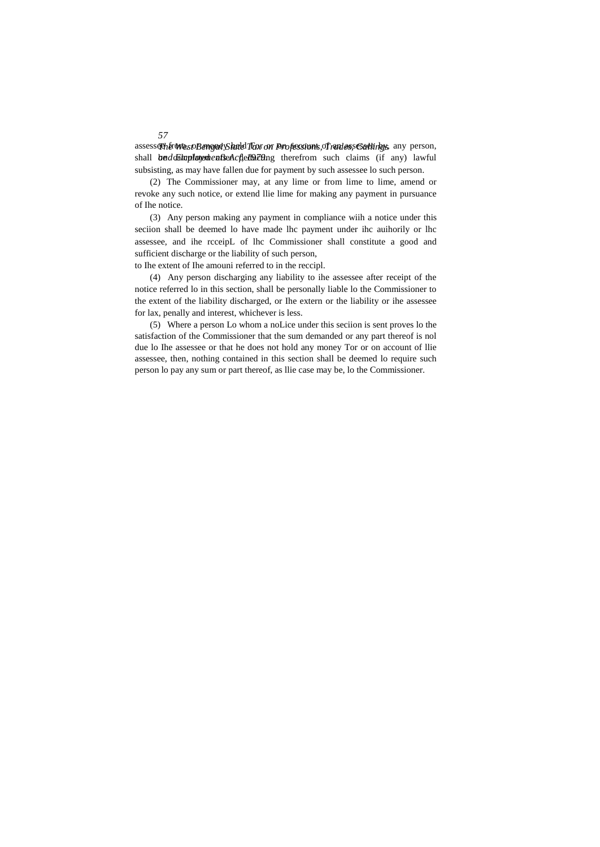assesseth from expBengad Shald Fox on Professions, of ran assessettings, any person, shall **beddainployedenfieAcfedQding** therefrom such claims (if any) lawful subsisting, as may have fallen due for payment by such assessee lo such person.

(2) The Commissioner may, at any lime or from lime to lime, amend or revoke any such notice, or extend llie lime for making any payment in pursuance of Ihe notice.

(3) Any person making any payment in compliance wiih a notice under this seciion shall be deemed lo have made lhc payment under ihc auihorily or lhc assessee, and ihe rcceipL of lhc Commissioner shall constitute a good and sufficient discharge or the liability of such person,

to Ihe extent of Ihe amouni referred to in the reccipl.

(4) Any person discharging any liability to ihe assessee after receipt of the notice referred lo in this section, shall be personally liable lo the Commissioner to the extent of the liability discharged, or Ihe extern or the liability or ihe assessee for lax, penally and interest, whichever is less.

(5) Where a person Lo whom a noLice under this seciion is sent proves lo the satisfaction of the Commissioner that the sum demanded or any part thereof is nol due lo Ihe assessee or that he does not hold any money Tor or on account of llie assessee, then, nothing contained in this section shall be deemed lo require such person lo pay any sum or part thereof, as llie case may be, lo the Commissioner.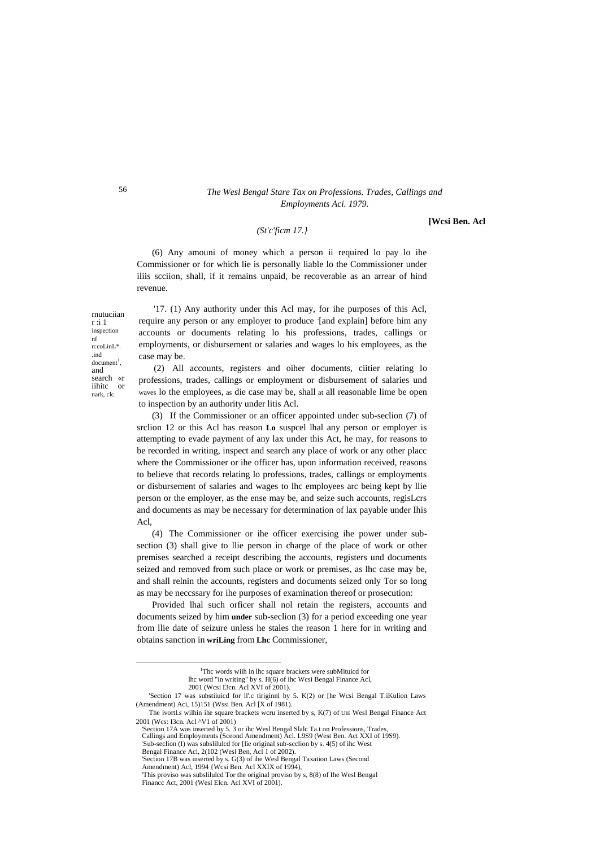# 56 *The Wesl Bengal Stare Tax on Professions. Trades, Callings and Employments Aci. 1979.*

#### *(St'c'ficm 17.}*

**[Wcsi Ben. Acl**

(6) Any amouni of money which a person ii required lo pay lo ihe Commissioner or for which lie is personally liable lo the Commissioner under iliis scciion, shall, if it remains unpaid, be recoverable as an arrear of hind revenue.

rnutuciian r :i 1 inspection nf n:coLinL\*. .ind  $document<sup>1</sup>$ , and search «r iihitc nark, clc.

<u>.</u>

'17. (1) Any authority under this Acl may, for ihe purposes of this Acl, require any person or any employer to produce [and explain] before him any accounts or documents relating lo his professions, trades, callings or employments, or disbursement or salaries and wages lo his employees, as the case may be.

(2) All accounts, registers and oiher documents, ciitier relating lo professions, trades, callings or employment or disbursement of salaries und waves lo the employees, as die case may be, shall at all reasonable lime be open to inspection by an authority under litis Acl.

(3) If the Commissioner or an officer appointed under sub-seclion (7) of srclion 12 or this Acl has reason **Lo** suspcel lhal any person or employer is attempting to evade payment of any lax under this Act, he may, for reasons to be recorded in writing, inspect and search any place of work or any other placc where the Commissioner or ihe officer has, upon information received, reasons to believe that records relating lo professions, trades, callings or employments or disbursement of salaries and wages to lhc employees arc being kept by llie person or the employer, as the ense may be, and seize such accounts, regisLcrs and documents as may be necessary for determination of lax payable under Ihis Acl,

(4) The Commissioner or ihe officer exercising ihe power under subsection (3) shall give to llie person in charge of the place of work or other premises searched a receipt describing the accounts, registers und documents seized and removed from such place or work or premises, as lhc case may be, and shall relnin the accounts, registers and documents seized only Tor so long as may be neccssary for ihe purposes of examination thereof or prosecution:

Provided lhal such orficer shall nol retain the registers, accounts and documents seized by him **under** sub-seclion (3) for a period exceeding one year from llie date of seizure unless he stales the reason 1 here for in writing and obtains sanction in **wriLing** from **Lhc** Commissioner,

<sup>&</sup>lt;sup>1</sup>Thc words wiih in lhc square brackets were subMituicd for lhc word "in writing" by *s.* H(6) of ihc Wcsi Bengal Finance Acl, 2001 (Wcsi I3cn. Acl XVI of 2001).

<sup>&#</sup>x27;Section 17 was substiiuicd for ll'.c tiriginnl by 5. K(2) or [he Wcsi Bengal T.iKulion Laws (Amendment) Aci, 15)151 (Wssi Ben. Acl [X of 1981).

The ivortl.s wilhin ihe square brackets wcru inserted by s, K(7) of UIE Wesl Bengal Finance Act 2001 (Wcs: I3cn. Acl ^V1 of 2001)

<sup>&#</sup>x27;Section 17A was inserted by 5. 3 or ihc Wesl Bengal Slalc Ta.t on Professions, Trades, Callings and Employments (Sceond Amendment) Acl. L9S9 (West Ben. Act XXI of 19S9). : Sub-seclion (I) was subslilulcd for [lie original sub-scclion by s. 4(5) of ihc West

Bengal Finance Acl, 2(102 (Wesl Ben, Acl 1 of 2002).

<sup>&#</sup>x27;Section 17B was inserted by s. G(3) of ihe Wesl Bengal Taxation Laws (Second

Amendment) Acl, 1994 {Wcsi Ben. Acl XXIX of 1994), 'This proviso was subslilulcd Tor the original proviso by s, 8(8) of Ihe Wesl Bengal Financc Act, 2001 (Wesl Elcn. Acl XVI of 2001).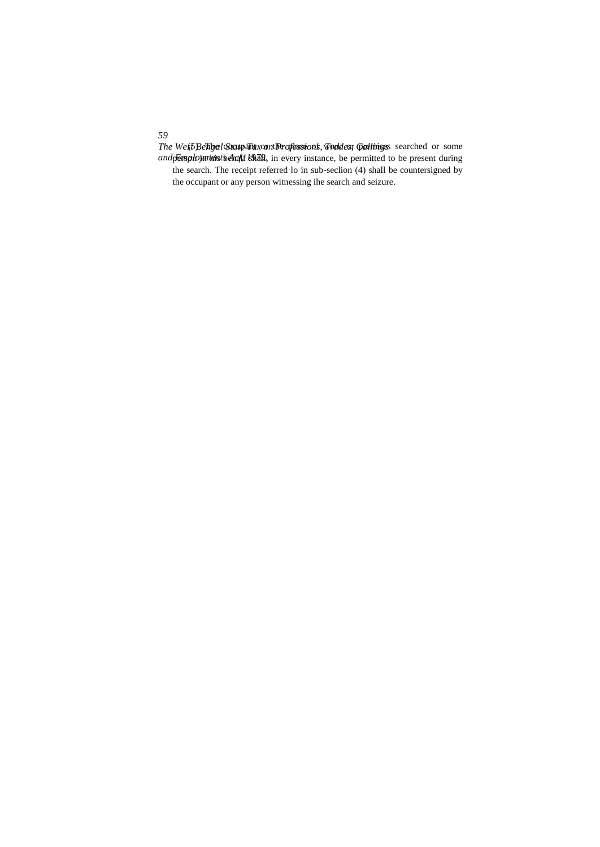*59* The West Beligal State Thax on the of lassions, Ford desr Callinges searched or some and **Employment behalf shall**, in every instance, be permitted to be present during the search. The receipt referred lo in sub-seclion (4) shall be countersigned by the occupant or any person witnessing ihe search and seizure.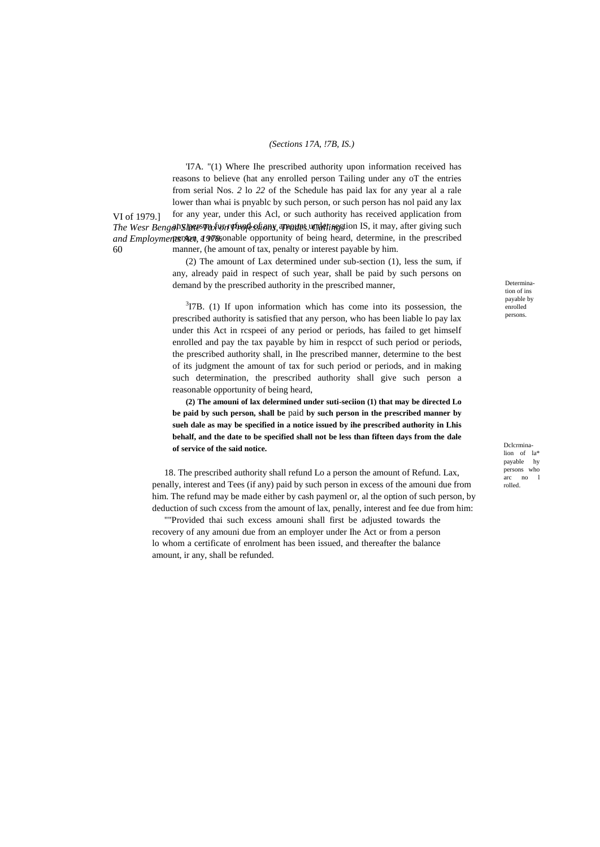#### *(Sections 17A, !7B, IS.)*

VI of 1979.] The Wesr Bengal SIMES Pax Unt Professions, Trangust word fine stion IS, it may, after giving such and Employmennes Act, 1979, anable opportunity of being heard, determine, in the prescribed 60 'I7A. "(1) Where Ihe prescribed authority upon information received has reasons to believe (hat any enrolled person Tailing under any oT the entries from serial Nos. *2* lo *22* of the Schedule has paid lax for any year al a rale lower than whai is pnyablc by such person, or such person has nol paid any lax for any year, under this Acl, or such authority has received application from manner, (he amount of tax, penalty or interest payable by him.

> (2) The amount of Lax determined under sub-section (1), less the sum, if any, already paid in respect of such year, shall be paid by such persons on demand by the prescribed authority in the prescribed manner,

> $3$ I7B. (1) If upon information which has come into its possession, the prescribed authority is satisfied that any person, who has been liable lo pay lax under this Act in rcspeei of any period or periods, has failed to get himself enrolled and pay the tax payable by him in respcct of such period or periods, the prescribed authority shall, in Ihe prescribed manner, determine to the best of its judgment the amount of tax for such period or periods, and in making such determination, the prescribed authority shall give such person a reasonable opportunity of being heard,

> **(2) The amouni of lax delermined under suti-seciion (1) that may be directed Lo be paid by such person, shall be** paid **by such person in the prescribed manner by sueh dale as may be specified in a notice issued by ihe prescribed authority in Lhis behalf, and the date to be specified shall not be less than fifteen days from the dale of service of the said notice.**

18. The prescribed authority shall refund Lo a person the amount of Refund. Lax, penally, interest and Tees (if any) paid by such person in excess of the amouni due from him. The refund may be made either by cash paymenl or, al the option of such person, by deduction of such cxcess from the amount of lax, penally, interest and fee due from him:

""Provided thai such excess amouni shall first be adjusted towards the recovery of any amouni due from an employer under Ihe Act or from a person lo whom a certificate of enrolment has been issued, and thereafter the balance amount, ir any, shall be refunded.

Determination of ins payable by enrolled persons.

Dclcrminalion of la\* payable hy persons who arc no l rolled.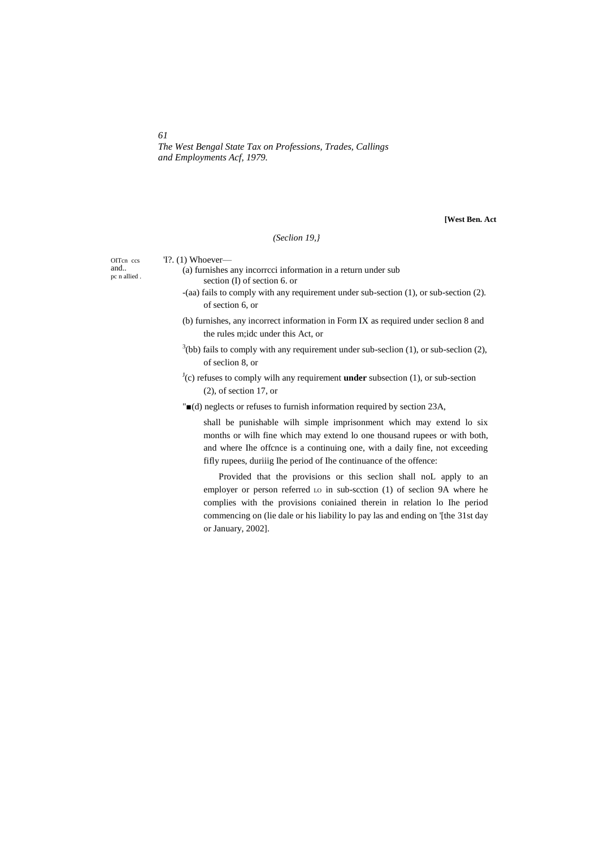*The West Bengal State Tax on Professions, Trades, Callings and Employments Acf, 1979.*

**[West Ben. Act**

# *(Seclion 19,}*

OITcn ccs and.. pc n allied . 'I?. (1) Whoever—

- (a) furnishes any incorrcci information in a return under sub section (I) of section 6. or
- -(aa) fails to comply with any requirement under sub-section (1), or sub-section (2). of section 6, or
- (b) furnishes, any incorrect information in Form IX as required under seclion 8 and the rules m;idc under this Act, or
- $3$ (bb) fails to comply with any requirement under sub-seclion (1), or sub-seclion (2), of seclion 8, or

 $J(c)$  refuses to comply wilh any requirement **under** subsection (1), or sub-section (2), of section 17, or

"■(d) neglects or refuses to furnish information required by section 23A,

shall be punishable wilh simple imprisonment which may extend lo six months or wilh fine which may extend lo one thousand rupees or with both, and where Ihe offcnce is a continuing one, with a daily fine, not exceeding fifly rupees, duriiig Ihe period of Ihe continuance of the offence:

Provided that the provisions or this seclion shall noL apply to an employer or person referred LO in sub-scction (1) of seclion 9A where he complies with the provisions coniained therein in relation lo Ihe period commencing on (lie dale or his liability lo pay las and ending on '[the 31st day or January, 2002].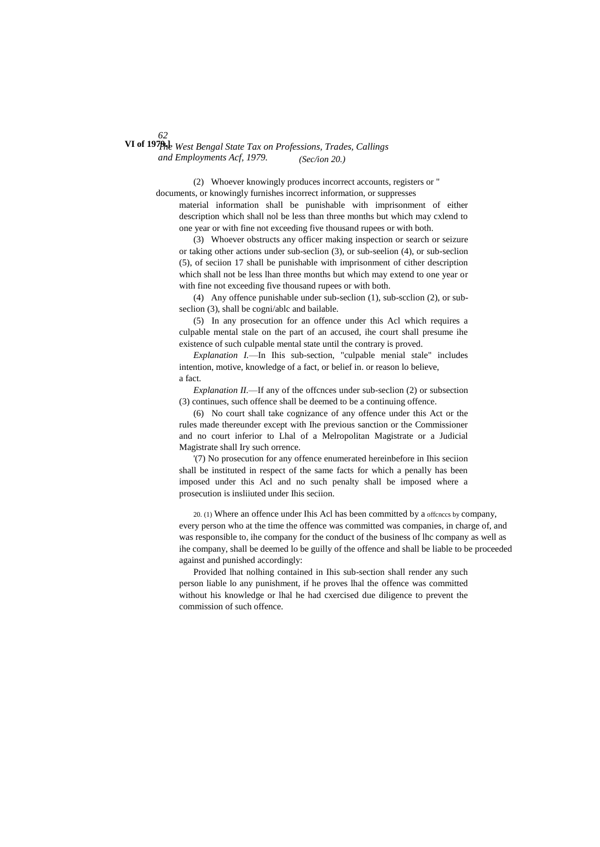*62 The West Bengal State Tax on Professions, Trades, Callings* **VI of 1979.]** *and Employments Acf, 1979. (Sec/ion 20.)*

> (2) Whoever knowingly produces incorrect accounts, registers or " documents, or knowingly furnishes incorrect information, or suppresses

material information shall be punishable with imprisonment of either description which shall nol be less than three months but which may cxlend to one year or with fine not exceeding five thousand rupees or with both.

(3) Whoever obstructs any officer making inspection or search or seizure or taking other actions under sub-seclion (3), or sub-seelion (4), or sub-seclion (5), of seciion 17 shall be punishable with imprisonment of cither description which shall not be less lhan three months but which may extend to one year or with fine not exceeding five thousand rupees or with both.

(4) Any offence punishable under sub-seclion (1), sub-scclion (2), or subseclion (3), shall be cogni/ablc and bailable.

(5) In any prosecution for an offence under this Acl which requires a culpable mental stale on the part of an accused, ihe court shall presume ihe existence of such culpable mental state until the contrary is proved.

*Explanation I.*—In Ihis sub-section, "culpable menial stale" includes intention, motive, knowledge of a fact, or belief in. or reason lo believe, a fact.

*Explanation II.*—If any of the offcnces under sub-seclion (2) or subsection (3) continues, such offence shall be deemed to be a continuing offence.

(6) No court shall take cognizance of any offence under this Act or the rules made thereunder except with Ihe previous sanction or the Commissioner and no court inferior to Lhal of a Melropolitan Magistrate or a Judicial Magistrate shall Iry such orrence.

'(7) No prosecution for any offence enumerated hereinbefore in Ihis seciion shall be instituted in respect of the same facts for which a penally has been imposed under this Acl and no such penalty shall be imposed where a prosecution is insliiuted under Ihis seciion.

20. (1) Where an offence under Ihis Acl has been committed by a offcnccs by company, every person who at the time the offence was committed was companies, in charge of, and was responsible to, ihe company for the conduct of the business of lhc company as well as ihe company, shall be deemed lo be guilly of the offence and shall be liable to be proceeded against and punished accordingly:

Provided lhat nolhing contained in Ihis sub-section shall render any such person liable lo any punishment, if he proves lhal the offence was committed without his knowledge or lhal he had cxercised due diligence to prevent the commission of such offence.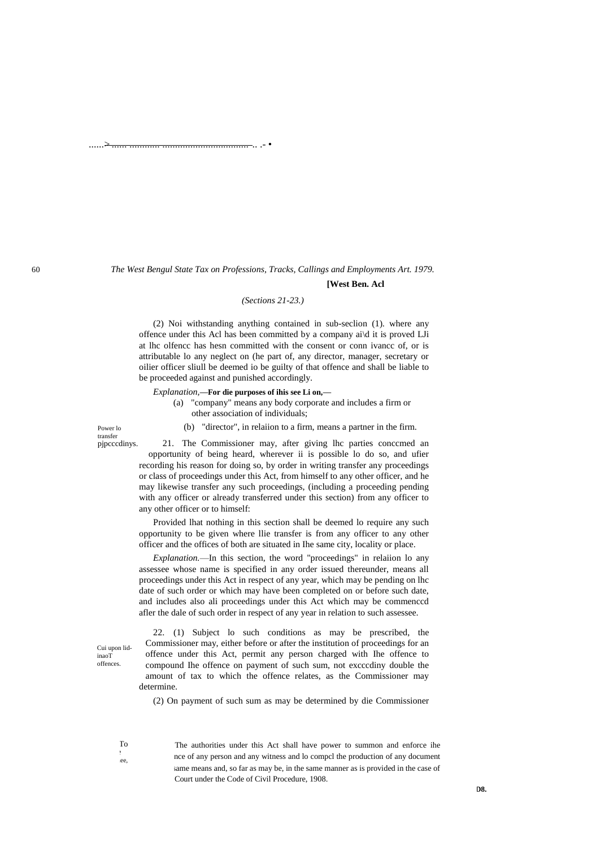# *The West Bengul State Tax on Professions, Tracks, Callings and Employments Art. 1979.* **[West Ben. Acl**

#### *(Sections 21-23.)*

(2) Noi withstanding anything contained in sub-seclion (1). where any offence under this Acl has been committed by a company ai\d it is proved LJi at lhc olfencc has hesn committed with the consent or conn ivancc of, or is attributable lo any neglect on (he part of, any director, manager, secretary or oilier officer sliull be deemed io be guilty of that offence and shall be liable to be proceeded against and punished accordingly.

*Explanation,***—For die purposes of ihis see Li on,—**

any other officer or to himself:

......> ...... ............ .................................. .. .- •

(a) "company" means any body corporate and includes a firm or other association of individuals;

(b) "director", in relaiion to a firm, means a partner in the firm.

Power lo transfer pjpcccdinys.

21. The Commissioner may, after giving lhc parties conccmed an opportunity of being heard, wherever ii is possible lo do so, and ufier recording his reason for doing so, by order in writing transfer any proceedings or class of proceedings under this Act, from himself to any other officer, and he may likewise transfer any such proceedings, (including a proceeding pending

Provided lhat nothing in this section shall be deemed lo require any such opportunity to be given where llie transfer is from any officer to any other officer and the offices of both are situated in Ihe same city, locality or place.

with any officer or already transferred under this section) from any officer to

*Explanation.*—In this section, the word "proceedings" in relaiion lo any assessee whose name is specified in any order issued thereunder, means all proceedings under this Act in respect of any year, which may be pending on lhc date of such order or which may have been completed on or before such date, and includes also ali proceedings under this Act which may be commenccd afler the dale of such order in respect of any year in relation to such assessee.

22. (1) Subject lo such conditions as may be prescribed, the Commissioner may, either before or after the institution of proceedings for an offence under this Act, permit any person charged with Ihe offence to compound Ihe offence on payment of such sum, not excccdiny double the amount of tax to which the offence relates, as the Commissioner may determine.

(2) On payment of such sum as may be determined by die Commissioner

 $\Gamma$  $\epsilon$  enforced by ee.

Cui upon lidinaoT offences.

> The authorities under this Act shall have power to summon and enforce ihe nce of any person and any witness and lo compcl the production of any document same means and, so far as may be, in the same manner as is provided in the case of Court under the Code of Civil Procedure, 1908.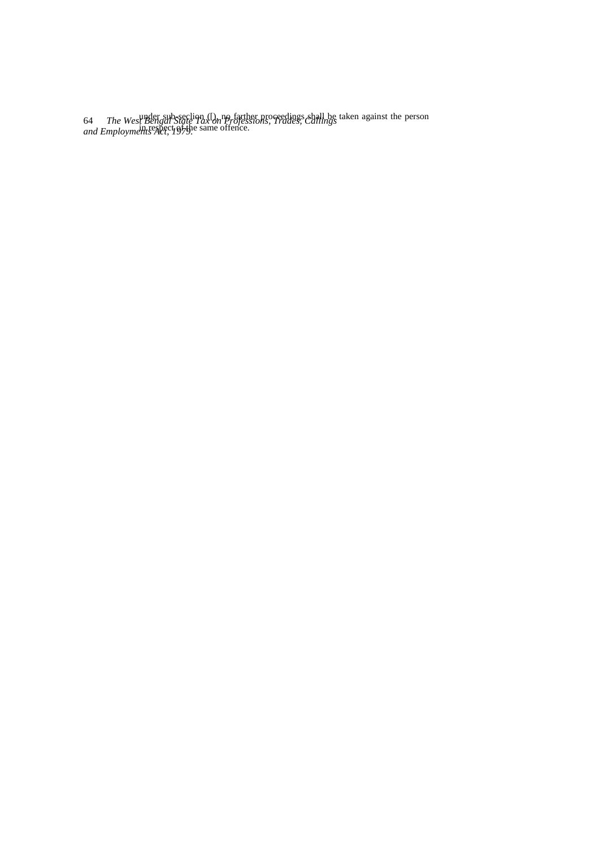64 *The West Bengal State Tax on Professions, Trades, Callings and Employments Act, 1979.* under sub-seclion ([), no farther proceedings shall be taken against the person in respect of the same offence.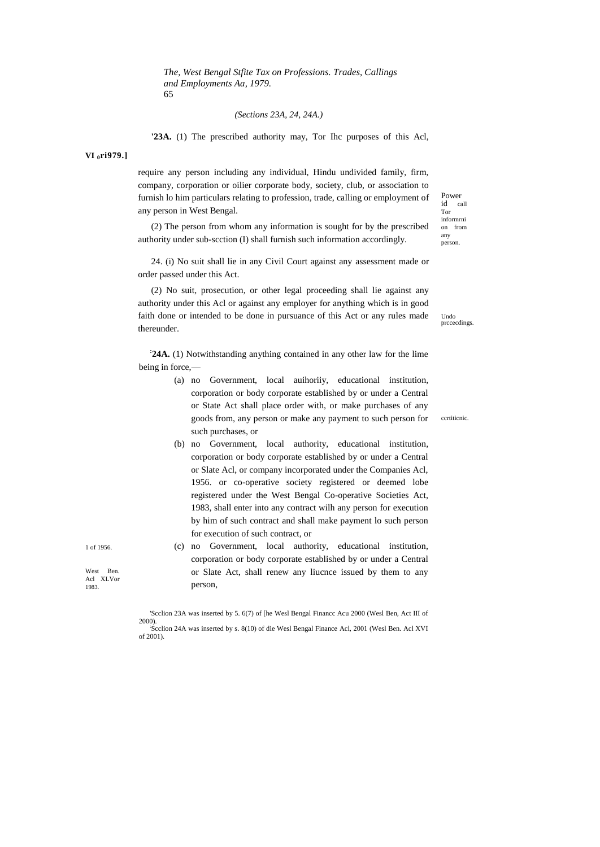*The, West Bengal Stfite Tax on Professions. Trades, Callings and Employments Aa, 1979.* 65

# *(Sections 23A, 24, 24A.)*

**'23A.** (1) The prescribed authority may, Tor Ihc purposes of this Acl,

**VI <sup>0</sup>ri979.]**

require any person including any individual, Hindu undivided family, firm, company, corporation or oilier corporate body, society, club, or association to furnish lo him particulars relating to profession, trade, calling or employment of any person in West Bengal.

(2) The person from whom any information is sought for by the prescribed authority under sub-scction (I) shall furnish such information accordingly.

24. (i) No suit shall lie in any Civil Court against any assessment made or order passed under this Act.

(2) No suit, prosecution, or other legal proceeding shall lie against any authority under this Acl or against any employer for anything which is in good faith done or intended to be done in pursuance of this Act or any rules made thereunder.

**: 24A.** (1) Notwithstanding anything contained in any other law for the lime being in force,—

- (a) no Government, local auihoriiy, educational institution, corporation or body corporate established by or under a Central or State Act shall place order with, or make purchases of any goods from, any person or make any payment to such person for such purchases, or
- (b) no Government, local authority, educational institution, corporation or body corporate established by or under a Central or Slate Acl, or company incorporated under the Companies Acl, 1956. or co-operative society registered or deemed lobe registered under the West Bengal Co-operative Societies Act, 1983, shall enter into any contract wilh any person for execution by him of such contract and shall make payment lo such person for execution of such contract, or
- (c) no Government, local authority, educational institution, corporation or body corporate established by or under a Central or Slate Act, shall renew any liucnce issued by them to any person,

Power id call Tor informrni on from any person.

Undo prccecdings.

ccrtiticnic.

1 of 1956.

West Ben. Acl XLVor 1983.

<sup>&#</sup>x27;Scclion 23A was inserted by 5. 6(7) of [he Wesl Bengal Financc Acu 2000 (Wesl Ben, Act III of 2000). : Scclion 24A was inserted by s. 8(10) of die Wesl Bengal Finance Acl, 2001 (Wesl Ben. Acl XVI of 2001).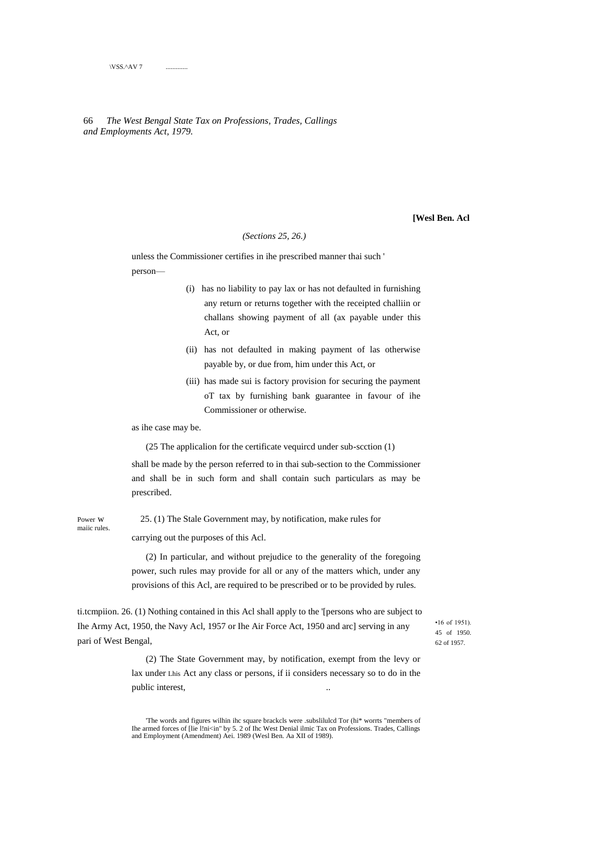# 66 *The West Bengal State Tax on Professions, Trades, Callings and Employments Act, 1979.*

**[Wesl Ben. Acl**

# *(Sections 25, 26.)*

unless the Commissioner certifies in ihe prescribed manner thai such ' person—

- (i) has no liability to pay lax or has not defaulted in furnishing any return or returns together with the receipted challiin or challans showing payment of all (ax payable under this Act, or
- (ii) has not defaulted in making payment of las otherwise payable by, or due from, him under this Act, or
- (iii) has made sui is factory provision for securing the payment oT tax by furnishing bank guarantee in favour of ihe Commissioner or otherwise.

as ihe case may be.

(25 The applicalion for the certificate vequircd under sub-scction (1)

shall be made by the person referred to in thai sub-section to the Commissioner and shall be in such form and shall contain such particulars as may be prescribed.

maiic rules.

Power w 25. (1) The Stale Government may, by notification, make rules for

carrying out the purposes of this Acl.

(2) In particular, and without prejudice to the generality of the foregoing power, such rules may provide for all or any of the matters which, under any provisions of this Acl, are required to be prescribed or to be provided by rules.

ti.tcmpiion. 26. (1) Nothing contained in this Acl shall apply to the '[persons who are subject to Ihe Army Act, 1950, the Navy Acl, 1957 or Ihe Air Force Act, 1950 and arc] serving in any pari of West Bengal,

•16 of 1951). 45 of 1950. 62 of 1957.

(2) The State Government may, by notification, exempt from the levy or lax under Lhis Act any class or persons, if ii considers necessary so to do in the public interest,

'The words and figures wilhin ihc square brackcls were .subslilulcd Tor (hi\* worrts "members of Ihe armed forces of [lie l!ni<in" by 5. 2 of Ihc West Denial ilmic Tax on Professions. Trades, Callings and Employment (Amendment) Aei. 1989 (Wesl Ben. Aa XII of 1989).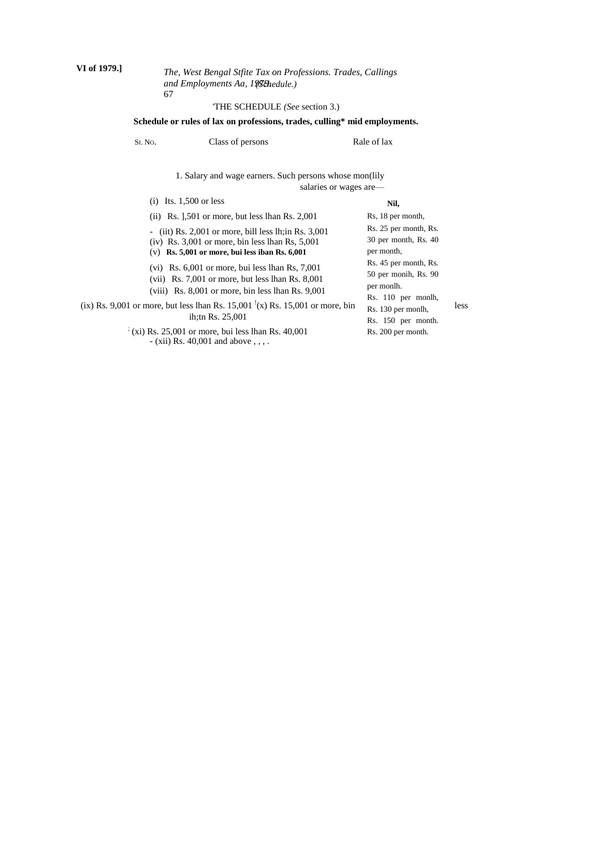# *The, West Bengal Stfite Tax on Professions. Trades, Callings and Employments Aa, 1979. (Schedule.)* 67

# 'THE SCHEDULE *(See* section 3.)

# **Schedule or rules of lax on professions, trades, culling\* mid employments.**

| SI. No. | Class of persons                                                                                                                                                                                                                                                       | Rale of lax                                                                                                                              |
|---------|------------------------------------------------------------------------------------------------------------------------------------------------------------------------------------------------------------------------------------------------------------------------|------------------------------------------------------------------------------------------------------------------------------------------|
|         | 1. Salary and wage earners. Such persons whose mon(lily                                                                                                                                                                                                                | salaries or wages are—                                                                                                                   |
|         | Its. $1,500$ or less<br>(1)                                                                                                                                                                                                                                            | Nil,                                                                                                                                     |
|         | $(ii)$ Rs. 1,501 or more, but less lhan Rs. 2,001                                                                                                                                                                                                                      | Rs, 18 per month,                                                                                                                        |
|         | (iit) Rs. $2,001$ or more, bill less lh; in Rs. $3,001$<br>$\overline{\phantom{a}}$<br>$(iv)$ Rs. 3,001 or more, bin less lhan Rs, 5,001<br>$(v)$ Rs. 5,001 or more, bui less iban Rs. 6,001                                                                           | Rs. 25 per month, Rs.<br>$30$ per month, Rs. $40$<br>per month,                                                                          |
|         | $(vi)$ Rs. 6,001 or more, bui less lhan Rs, 7,001<br>$(vii)$ Rs. 7,001 or more, but less lhan Rs. 8,001<br>(viii) Rs. $8,001$ or more, bin less lhan Rs. $9,001$<br>(ix) Rs. 9,001 or more, but less lhan Rs. 15,001 $(x)$ Rs. 15,001 or more, bin<br>ih:tn Rs. 25,001 | Rs. 45 per month, Rs.<br>50 per monih, Rs. 90<br>per monlh.<br>Rs. 110 per monlh,<br>less<br>Rs. 130 per monlh,<br>$D_0 = 150$ and month |

; (xi) Rs. 25,001 or more, bui less lhan Rs. 40,001 - (xii) Rs. 40,001 and above , , , .

Rs. 150 per month. Rs. 200 per month.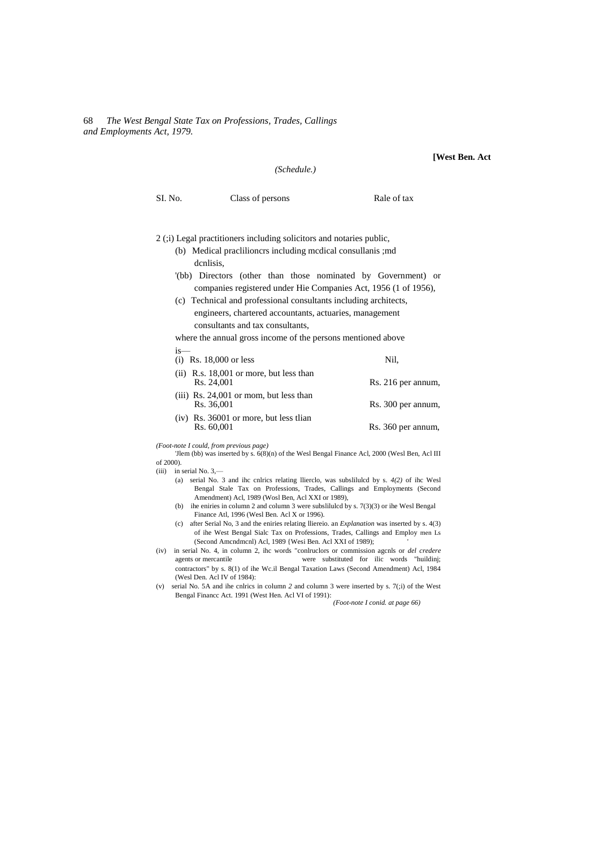# 68 *The West Bengal State Tax on Professions, Trades, Callings and Employments Act, 1979.*

#### **[West Ben. Act**

is—

SI. No. Class of persons Rale of tax

#### 2 (;i) Legal practitioners including solicitors and notaries public,

(b) Medical praclilioncrs including mcdical consullanis ;md dcnlisis,

*(Schedule.)*

- '(bb) Directors (other than those nominated by Government) or companies registered under Hie Companies Act, 1956 (1 of 1956),
- (c) Technical and professional consultants including architects, engineers, chartered accountants, actuaries, management consultants and tax consultants,

where the annual gross income of the persons mentioned above

| $(i)$ Rs. 18,000 or less                                | Nil.               |
|---------------------------------------------------------|--------------------|
| $(ii)$ R.s. 18,001 or more, but less than<br>Rs. 24,001 | Rs. 216 per annum, |
| $(iii)$ Rs. 24,001 or mom, but less than<br>Rs. 36,001  | Rs. 300 per annum, |
| $(iv)$ Rs. 36001 or more, but less than<br>Rs. 60,001   | Rs. 360 per annum, |

*(Foot-note I could, from previous page)*

'Jlem (bb) was inserted by s. 6(8)(n) of the Wesl Bengal Finance Acl, 2000 (Wesl Ben, Acl III of 2000).

(iii) in serial No. 3,—

- (a) serial No. 3 and ihc cnlrics relating llierclo, was subslilulcd by s. *4(2)* of ihc Wesl Bengal Stale Tax on Professions, Trades, Callings and Employments (Second Amendment) Acl, 1989 (Wosl Ben, Acl XXI or 1989),
- (b) ihe eniries in column 2 and column 3 were subslilulcd by s. 7(3)(3) or ihe Wesl Bengal Finance Atl, 1996 (Wesl Ben. Acl X or 1996).
- (c) after Serial No, 3 and the eniries relating lliereio. an *Explanation* was inserted by s. 4(3) of ihe West Bengal Sialc Tax on Professions, Trades, Callings and Employ men Ls (Second Amcndmcnl) Acl, 1989 {Wesi Ben. Acl XXI of 1989);
- (iv) in serial No. 4, in column 2, ihc words "conlruclors or commission agcnls or *del credere* agents or mercantile were substituted for ilic words "huildinj; contractors" by s. 8(1) of ihe Wc.il Bengal Taxation Laws (Second Amendment) Acl, 1984 (Wesl Den. Acl IV of 1984):
- (v) serial No. 5A and ihe cnlrics in column *2* and column 3 were inserted by s. 7(;i) of the West Bengal Financc Act. 1991 (West Hen. Acl VI of 1991):

*(Foot-note I conid. at page 66)*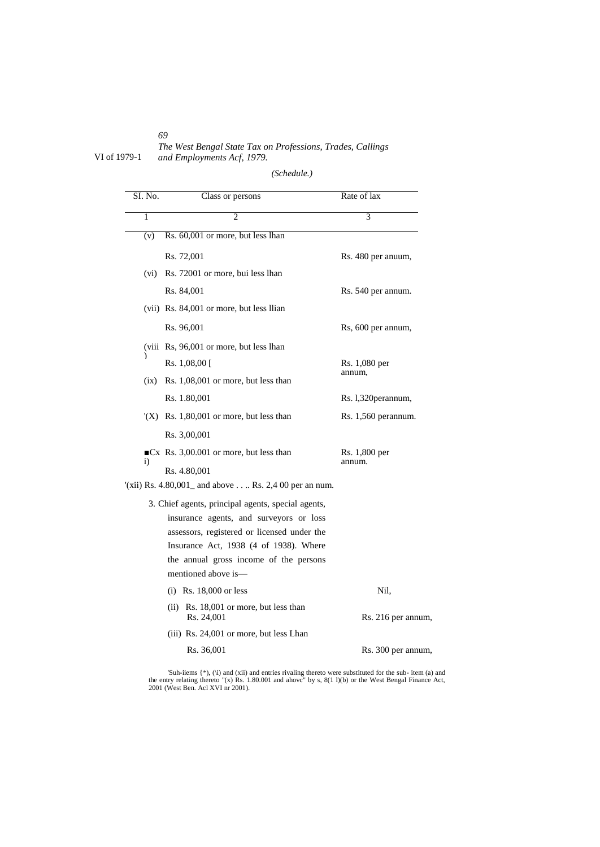*69 The West Bengal State Tax on Professions, Trades, Callings* VI of 1979-1 *and Employments Acf, 1979.*

 $\overline{\phantom{0}}$ 

*<sup>(</sup>Schedule.)*

| SI. No. | Class or persons                                                                      | Rate of lax         |
|---------|---------------------------------------------------------------------------------------|---------------------|
| 1       | $\mathfrak{D}$                                                                        | 3                   |
| (v)     | Rs. 60,001 or more, but less lhan                                                     |                     |
|         | Rs. 72,001                                                                            | Rs. 480 per anuum,  |
|         | (vi) Rs. 72001 or more, bui less lhan                                                 |                     |
|         | Rs. 84,001                                                                            | Rs. 540 per annum.  |
|         | (vii) Rs. 84,001 or more, but less Ilian                                              |                     |
|         | Rs. 96,001                                                                            | Rs, 600 per annum,  |
|         | (viii Rs, 96,001 or more, but less lhan                                               |                     |
|         | Rs. $1,08,00$ [                                                                       | Rs. 1,080 per       |
|         | $(ix)$ Rs. 1,08,001 or more, but less than                                            | annum,              |
|         | Rs. 1.80,001                                                                          | Rs. 1,320perannum,  |
|         | $(X)$ Rs. 1,80,001 or more, but less than                                             | Rs. 1,560 perannum. |
|         | Rs. 3,00,001                                                                          |                     |
|         | $\blacksquare$ Cx Rs. 3,00.001 or more, but less than                                 | Rs. 1,800 per       |
| 1)      | Rs. 4.80,001                                                                          | annum.              |
|         | $(xii)$ Rs. 4.80,001 and above  Rs. 2,4 00 per an num.                                |                     |
|         | 3. Chief agents, principal agents, special agents,                                    |                     |
|         | insurance agents, and surveyors or loss                                               |                     |
|         | assessors, registered or licensed under the<br>Insurance Act, 1938 (4 of 1938). Where |                     |
|         | the annual gross income of the persons                                                |                     |
|         | mentioned above is—                                                                   |                     |
|         | (i) Rs. $18,000$ or less                                                              | Nil,                |
|         | (ii) Rs. 18,001 or more, but less than<br>Rs. 24,001                                  | Rs. 216 per annum,  |
|         | (iii) Rs. 24,001 or more, but less Lhan                                               |                     |
|         | Rs. 36,001                                                                            | Rs. 300 per annum,  |
|         |                                                                                       |                     |

'Suh-iiems {\*), (\i) and (xii) and entries rivaling thereto were substituted for the sub- item (a) and the entry relating thereto "(x) Rs. 1.80.001 and ahove" by s, 8(1 l)(b) or the West Bengal Finance Act, 2001 (West Ben.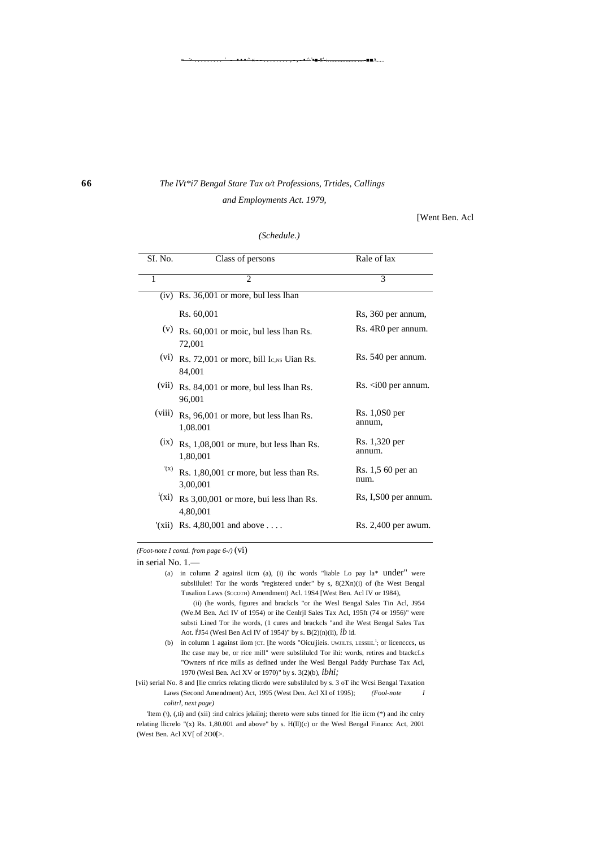# **66** *The lVt\*i7 Bengal Stare Tax o/t Professions, Trtides, Callings and Employments Act. 1979,*

~ > ......... ' - • • • ^ « - - ........ , - , - • ^ '•■-S'-:. ................. ....-■■A.....

[Went Ben. Acl

| SI. No. | Class of persons                                      | Rale of lax                      |
|---------|-------------------------------------------------------|----------------------------------|
| 1       | $\mathfrak{D}$                                        | $\overline{\mathcal{E}}$         |
|         | $(iv)$ Rs. $36,001$ or more, bul less lhan            |                                  |
|         | Rs. 60,001                                            | Rs, 360 per annum,               |
|         | $(v)$ Rs. 60,001 or moic, bul less lhan Rs.<br>72,001 | Rs. 4R0 per annum.               |
| (vi)    | Rs. 72,001 or more, bill Ic, NS Uian Rs.<br>84,001    | Rs. 540 per annum.               |
| (vii)   | Rs. 84,001 or more, bul less lhan Rs.<br>96,001       | $\text{Rs.} \leq 100$ per annum. |
| (viii)  | Rs, 96,001 or more, but less lhan Rs.<br>1,08.001     | $Rs. 1,0S0$ per<br>annum,        |
| (ix)    | Rs, 1,08,001 or mure, but less lhan Rs.<br>1,80,001   | Rs. 1,320 per<br>annum.          |
| '(X)    | Rs. 1,80,001 cr more, but less than Rs.<br>3,00,001   | Rs. 1,5 60 per an<br>num.        |
| (xi)    | Rs 3,00,001 or more, bui less lhan Rs.<br>4,80,001    | Rs, I, S00 per annum.            |
|         | $(xii)$ Rs. 4,80,001 and above                        | Rs. 2,400 per awum.              |

# *(Schedule.)*

*(Foot-note I contd. from page 6-/)* (vi)

in serial No. 1.—

(a) in column *2* againsl iicm (a), (i) ihc words "liable Lo pay la\* under" were subslilulet! Tor ihe words "registered under" by s, 8(2Xn)(i) of (he West Bengal Tusalion Laws (SCCOTH) Amendment) Acl. 19S4 [West Ben. Acl IV or 1984),

(ii) (he words, figures and brackcls "or ihe Wesl Bengal Sales Tin Acl, J954 (We.M Ben. Acl IV of 1954) or ihe Cenlrjl Sales Tax Acl, 195ft (74 or 1956)" were substi Lined Tor ihe words, (1 cures and brackcls "and ihe West Bengal Sales Tax Aot. l<sup>1</sup>J54 (Wesl Ben Acl IV of 1954)" by s. B(2)(n)(ii), *ib* id.

'Item (\), (,ti) and (xii) :ind cnlrics jelaiinj; thereto were subs tinned for l!ie iicm (\*) and ihc cnlry relating llicrelo "(x) Rs. 1,80.001 and above" by s. H(ll)(c) or the Wesl Bengal Financc Act, 2001 (West Ben. Acl XV[ of 2O0[>.

<sup>(</sup>b) in column 1 against iiom (CT. [he words "Oicu|jieis. UWJILTS, LESSEE.<sup>1</sup>; or licencccs, us Ihc case may be, or rice mill" were subslilulcd Tor ihi: words, retires and btackcLs "Owners nf rice mills as defined under ihe Wesl Bengal Paddy Purchase Tax Acl, 1970 (Wesl Ben. Acl XV or 1970)" by s. 3(2)(b), *ibhi;*

<sup>[</sup>vii) serial No. 8 and [lie cmrics relating tlicrdo were subslilulcd by s. 3 oT ihc Wcsi Bengal Taxation Laws (Second Amendment) Act, 1995 (West Den. Acl XI of 1995); *(Fool-note I colitrl, next page)*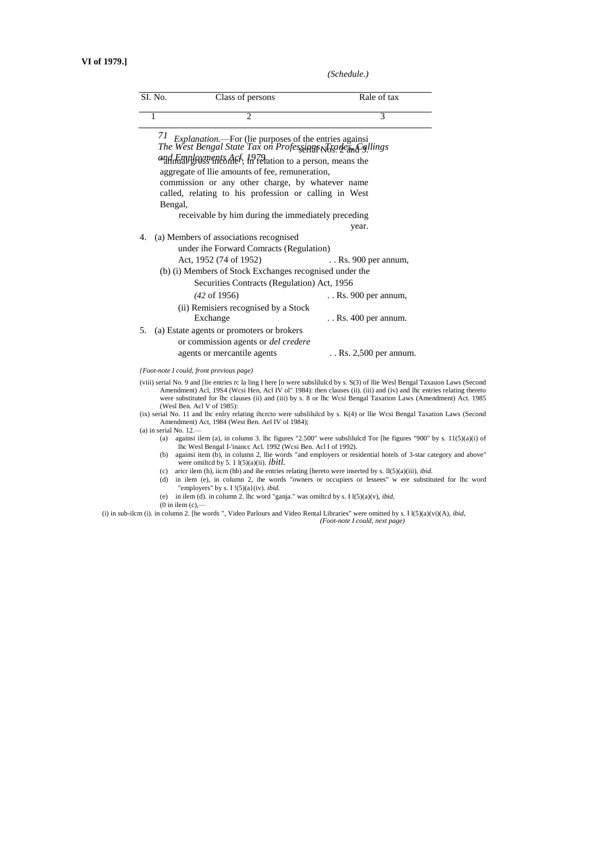*(Schedule.)*

|    | SI. No.<br>Class of persons                                                                                              | Rale of tax                   |
|----|--------------------------------------------------------------------------------------------------------------------------|-------------------------------|
|    | 2<br>1                                                                                                                   | 3                             |
|    | 71 Explanation.—For (lie purposes of the entries againsi<br>The West Bengal State Tax on Professing NRs. de and Sallings |                               |
|    |                                                                                                                          |                               |
|    | <i>and Employments Asf, 1979</i> ation to a person, means the                                                            |                               |
|    | aggregate of llie amounts of fee, remuneration,                                                                          |                               |
|    | commission or any other charge, by whatever name                                                                         |                               |
|    | called, relating to his profession or calling in West                                                                    |                               |
|    | Bengal,                                                                                                                  |                               |
|    | receivable by him during the immediately preceding                                                                       |                               |
|    |                                                                                                                          | year.                         |
| 4. | (a) Members of associations recognised                                                                                   |                               |
|    | under ihe Forward Comracts (Regulation)                                                                                  |                               |
|    | Act, 1952 (74 of 1952)                                                                                                   | $\ldots$ Rs. 900 per annum,   |
|    | (b) (i) Members of Stock Exchanges recognised under the                                                                  |                               |
|    | Securities Contracts (Regulation) Act, 1956                                                                              |                               |
|    | $(42 \text{ of } 1956)$                                                                                                  | $\ldots$ Rs. 900 per annum,   |
|    | (ii) Remisiers recognised by a Stock                                                                                     |                               |
|    | Exchange                                                                                                                 | $\ldots$ Rs. 400 per annum.   |
| 5. | (a) Estate agents or promoters or brokers                                                                                |                               |
|    | or commission agents or <i>del credere</i>                                                                               |                               |
|    | agents or mercantile agents                                                                                              | $\ldots$ Rs. 2,500 per annum. |

*{Foot-note I could, front previous page)*

(viii) serial No. 9 and [lie entries rc la ling I here [o were subslilulcd by s. S(3) of llie Wesl Bengal Taxauon Laws (Second Amendment) Acl, 1984 (Wcsi Hen, Acl IV ol" 1984): then clauses (ii). (iii) and (iv) and lhc entries relating thereto<br>were substituted for lhc clauses (ii) and (iii) by s. 8 or lhc Wcsi Bengal Taxation Laws (Amendment) Act. (Wesl Ben. Acl V of 1985):

(ix) serial No. 11 and lhc enlry relating ihcrcto were subslilulcd by s. K(4) or llie Wcsi Bengal Taxation Laws (Second Amendment) Act, 1984 (West Ben. Ael IV ol 1984);

(a) in serial No. 12.

- (a) againsi ilem (a), in column 3. lhc figures "2.500" were subslilulcd Tor [he figures "900" by s.  $11(5)(a)(i)$  of lhc Wesl Bengal I-'inancc Acl. 1992 (Wcsi Ben. Acl I of 1992).
- (b) againsi item (b), in column 2, llie words "and employers or residential hotels of 3-star category and above" were omiltcd by 5. 1 l(5)(a)(ii). *ibitl.*
- (c) aricr ilem (h), iicm (hb) and ihe entries relating [hereto were inserted by s. ll(5)(a)(iii), *ibid.*
- (d) in ilem (e), in column 2, ihe words "owners or occupiers or lessees" w ere substituted for lhc word "employers" by s. I !(5)(a}(iv). *ibid.*
- (e) in ilem (d). in column 2. lhc word "ganja." was omiltcd by s. I l(5)(a)(v), *ibid,*
- $(0 \text{ in item } (c), -$

(i) in sub-ilcm (i). in column 2. [he words ", Video Parlours and Video Rental Libraries" were omitted by s. I l(5)(a)(vi)(A), *ibid, (Foot-note I could, next page)*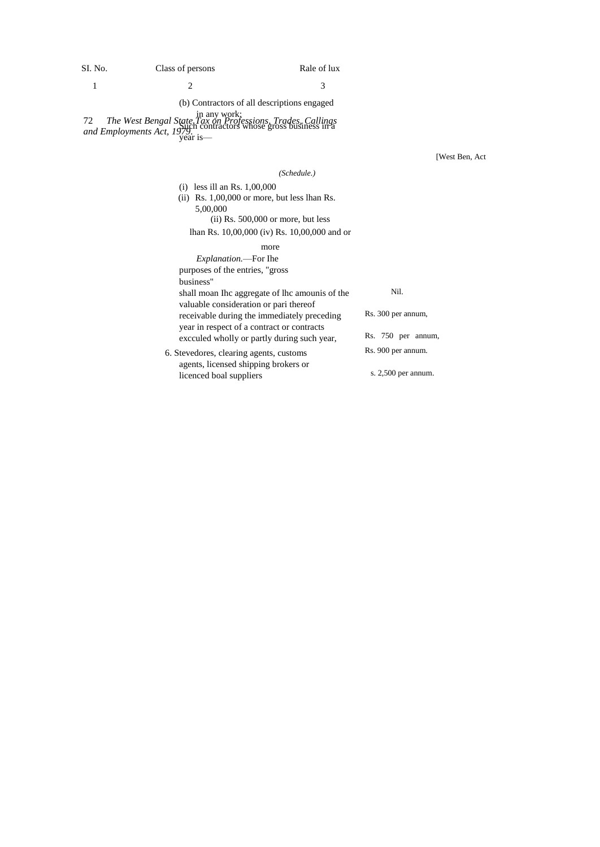## SI. No. Class of persons Rale of lux

## (b) Contractors of all descriptions engaged

72 *The West Bengal State Tax on Professions, Trades, Callings and Employments Act, 1979.* in any work: Such contractors whose gross business in a year is—

[West Ben, Act

(i) less ill an Rs. 1,00,000 (ii) Rs. 1,00,000 or more, but less lhan Rs. 5,00,000

## (ii) Rs. 500,000 or more, but less lhan Rs. 10,00,000 (iv) Rs. 10,00,000 and or

## more

licenced boal suppliers

| <i>Explanation</i> .—For Ihe                   |                       |
|------------------------------------------------|-----------------------|
| purposes of the entries, "gross"               |                       |
| business"                                      |                       |
| shall moan Inc aggregate of the amounis of the | Nil.                  |
| valuable consideration or pari thereof         |                       |
| receivable during the immediately preceding    | Rs. 300 per annum.    |
| year in respect of a contract or contracts     |                       |
| excculed wholly or partly during such year,    | Rs. 750 per annum,    |
| 6. Stevedores, clearing agents, customs        | Rs. 900 per annum.    |
| agents, licensed shipping brokers or           |                       |
| licenced hoal suppliers                        | s. $2,500$ per annum. |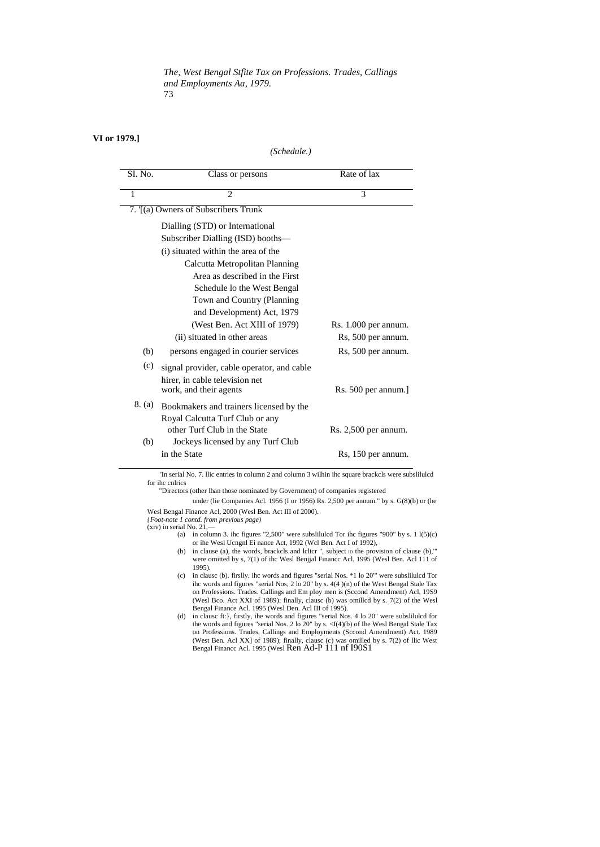*The, West Bengal Stfite Tax on Professions. Trades, Callings and Employments Aa, 1979.* 73

## **VI or 1979.]**

 $\overline{a}$ 

#### *(Schedule.)*

| SI. No. | Class or persons                           | Rate of $\overline{\text{tax}}$ |
|---------|--------------------------------------------|---------------------------------|
| 1       | $\overline{\mathcal{L}}$                   | 3                               |
|         | 7. [(a) Owners of Subscribers Trunk        |                                 |
|         | Dialling (STD) or International            |                                 |
|         | Subscriber Dialling (ISD) booths-          |                                 |
|         | (i) situated within the area of the        |                                 |
|         | Calcutta Metropolitan Planning             |                                 |
|         | Area as described in the First             |                                 |
|         | Schedule lo the West Bengal                |                                 |
|         | Town and Country (Planning)                |                                 |
|         | and Development) Act, 1979                 |                                 |
|         | (West Ben. Act XIII of 1979)               | Rs. 1.000 per annum.            |
|         | (ii) situated in other areas               | Rs, 500 per annum.              |
| (b)     | persons engaged in courier services        | Rs, 500 per annum.              |
| (c)     | signal provider, cable operator, and cable |                                 |
|         | hirer, in cable television net             |                                 |
|         | work, and their agents                     | Rs. 500 per annum.]             |
| 8. (a)  | Bookmakers and trainers licensed by the    |                                 |
|         | Royal Calcutta Turf Club or any            |                                 |
|         | other Turf Club in the State               | $Rs. 2,500$ per annum.          |
| (b)     | Jockeys licensed by any Turf Club          |                                 |
|         | in the State                               | Rs, 150 per annum.              |

'In serial No. 7. llic entries in column 2 and column 3 wilhin ihc square brackcls were subslilulcd for ihc cnlrics

"Directors (other lhan those nominated by Government) of companies registered

under (lie Companies Acl. 1956 (I or 1956) Rs. 2,500 per annum." by s. G(8)(b) or (he Wesl Bengal Finance Acl, 2000 (Wesl Ben. Act III of 2000).

*{Foot-note 1 contd. from previous page)*

 $(xiv)$  in serial No. 21,-

- (a) in column 3. ihc figures "2,500" were subslituted Tor ihc figures "900" by s.  $11(5)(c)$ or ihe Wesl Ucngnl Ei nance Act, 1992 (Wcl Ben. Act I of 1992),
- (b) in clause (a), the words, brackcls and lcltcr ", subject  $D$  the provision of clause (b)," were omitted by s, 7(1) of ihc Wesl Benjjal Financc Acl. 1995 (Wesl Ben. Acl 111 of 1995).
- (c) in clausc (b). firslly. ihc words and figures "serial Nos. \*1 lo 20"' were subslilulcd Tor ihc words and figures "serial Nos, 2 lo 20" by s. 4(4 )(n) of the West Bengal Stale Tax on Professions. Trades. Callings and Em ploy men is (Sccond Amendment) Acl, 19S9 (Wesl Bco. Act XXI of 1989): finally, clausc (b) was omillcd by s. 7(2) of the Wesl
- Bengal Finance Acl. 1995 (Wesl Den. Acl III of 1995).<br>
(d) in clause ft: }, firstly, ihe words and figures "serial Nos. 4 lo 20" were subsliluled for<br>
the words and figures "serial Nos. 2 lo 20" by s. < I(4)(b) of Ihe Wesl on Professions. Trades, Callings and Employments (Sccond Amendment) Act. 1989 (West Ben. Acl XX] of 1989); finally, clausc (c) was omilled by s. 7(2) of llic West Bengal Financc Acl. 1995 (Wesl Ren Ad-P 111 nf I90S1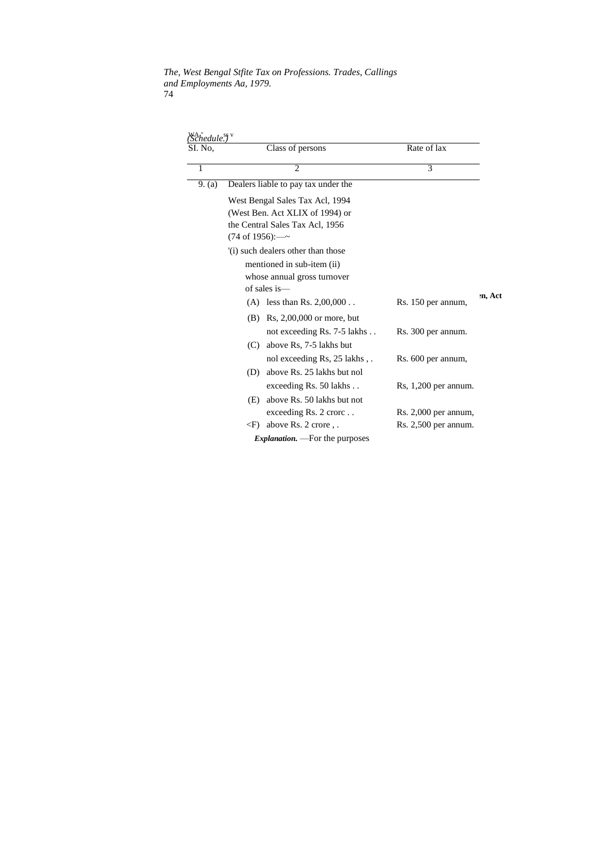*The, West Bengal Stfite Tax on Professions. Trades, Callings and Employments Aa, 1979.* 74

| SI. No. |                             | Class of persons                       | Rate of lax            |         |
|---------|-----------------------------|----------------------------------------|------------------------|---------|
| 1       |                             | $\overline{2}$                         | 3                      |         |
| 9. (a)  |                             | Dealers liable to pay tax under the    |                        |         |
|         |                             | West Bengal Sales Tax Acl, 1994        |                        |         |
|         |                             | (West Ben. Act XLIX of 1994) or        |                        |         |
|         |                             | the Central Sales Tax Acl, 1956        |                        |         |
|         | $(74 \text{ of } 1956)$ :—~ |                                        |                        |         |
|         |                             | (i) such dealers other than those      |                        |         |
|         |                             | mentioned in sub-item (ii)             |                        |         |
|         |                             | whose annual gross turnover            |                        |         |
|         |                             | of sales is—                           |                        |         |
|         | (A)                         | less than Rs. $2,00,000$               | Rs. 150 per annum,     | en, Act |
|         | (B)                         | Rs, $2,00,000$ or more, but            |                        |         |
|         |                             | not exceeding Rs. 7-5 lakhs            | Rs. 300 per annum.     |         |
|         | (C)                         | above Rs, 7-5 lakhs but                |                        |         |
|         |                             | nol exceeding Rs, 25 lakhs,            | Rs. 600 per annum,     |         |
|         | (D)                         | above Rs. 25 lakhs but nol             |                        |         |
|         |                             | exceeding $Rs. 50$ lakhs               | $Rs, 1,200$ per annum. |         |
|         | (E)                         | above Rs. 50 lakhs but not             |                        |         |
|         |                             | exceeding $Rs. 2$ crorc                | $Rs. 2,000$ per annum, |         |
|         | $\langle F \rangle$         | above Rs. 2 crore,.                    | Rs. 2,500 per annum.   |         |
|         |                             | <i>Explanation.</i> — For the purposes |                        |         |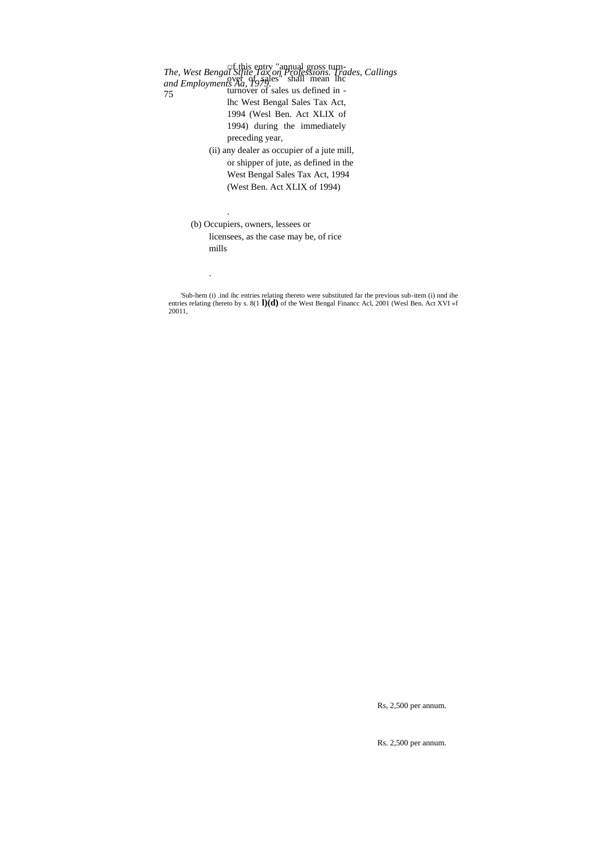*The, West Bengal Stfite Tax on Professions. Trades, Callings and Employments Aa, 1979.* 75 □f this entry "annual gross turn- $\alpha$  of  $\alpha$  sales" shall mean lhc turnover of sales us defined in lhc West Bengal Sales Tax Act, 1994 (Wesl Ben. Act XLIX of 1994) during the immediately preceding year, (ii) any dealer as occupier of a jute mill, or shipper of jute, as defined in the West Bengal Sales Tax Act, 1994 (West Ben. Act XLIX of 1994)

(b) Occupiers, owners, lessees or

.

.

licensees, as the case may be, of rice mills

'Sub-hem (i) .ind ihc entries relating thereto were substituted far the previous sub-item (i) nnd ihe entries relating (hereto by s. 8(1 **l)(d)** of the West Bengal Financc Acl, 2001 (Wesl Ben. Act XVI »f 20011,

Rs, 2,500 per annum.

Rs. 2,500 per annum.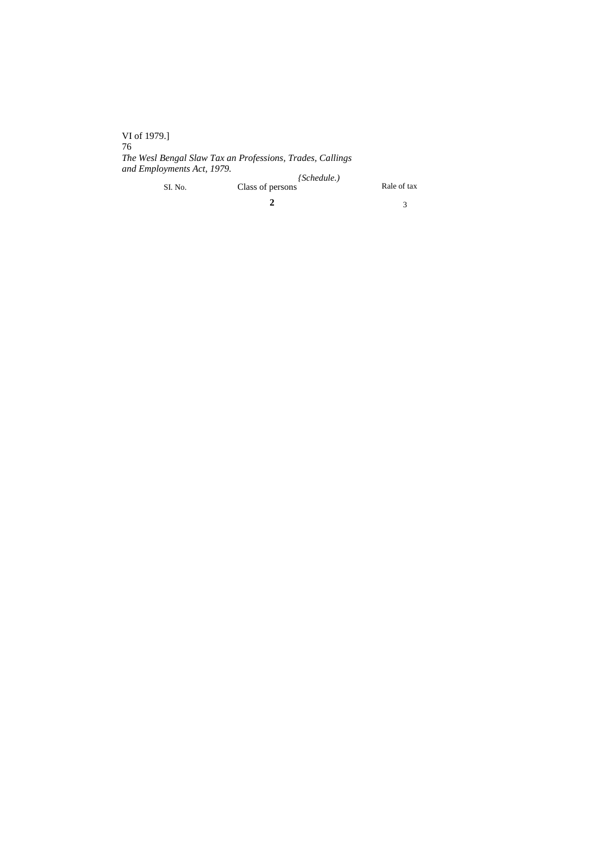VI of 1979.] 76 *The Wesl Bengal Slaw Tax an Professions, Trades, Callings and Employments Act, 1979.* SI. No. Class of persons Rale of tax *{Schedule.)* Class of persons

**2**

3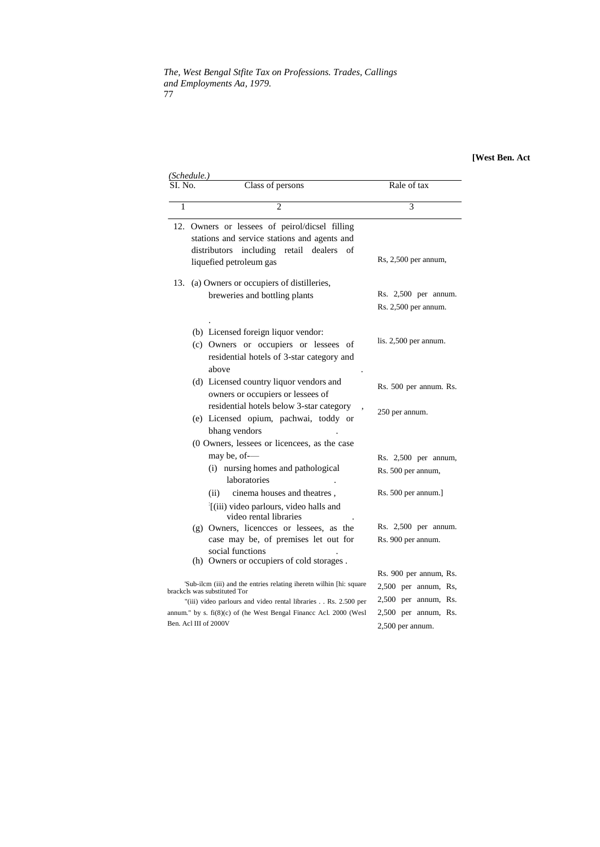*The, West Bengal Stfite Tax on Professions. Trades, Callings and Employments Aa, 1979.* 77

## **[West Ben. Act**

| (Schedule.)           |                                                                                                                                                                                                                                                                                         |                                                                                                                      |  |  |  |  |  |
|-----------------------|-----------------------------------------------------------------------------------------------------------------------------------------------------------------------------------------------------------------------------------------------------------------------------------------|----------------------------------------------------------------------------------------------------------------------|--|--|--|--|--|
|                       | Class of persons                                                                                                                                                                                                                                                                        | Rale of tax                                                                                                          |  |  |  |  |  |
| 1                     | $\overline{2}$                                                                                                                                                                                                                                                                          | 3                                                                                                                    |  |  |  |  |  |
| 12.                   | Owners or lessees of peirol/dicsel filling<br>stations and service stations and agents and<br>distributors including<br>retail dealers<br>οf<br>liquefied petroleum gas                                                                                                                 | $Rs, 2,500$ per annum,                                                                                               |  |  |  |  |  |
| 13.                   | (a) Owners or occupiers of distilleries,<br>breweries and bottling plants                                                                                                                                                                                                               | $Rs. 2,500$ per annum.<br>Rs. 2,500 per annum.                                                                       |  |  |  |  |  |
|                       | (b) Licensed foreign liquor vendor:<br>(c) Owners or occupiers or lessees of<br>residential hotels of 3-star category and<br>above                                                                                                                                                      | lis. $2,500$ per annum.                                                                                              |  |  |  |  |  |
|                       | (d) Licensed country liquor vendors and<br>owners or occupiers or lessees of                                                                                                                                                                                                            | Rs. 500 per annum. Rs.                                                                                               |  |  |  |  |  |
|                       | residential hotels below 3-star category<br>(e) Licensed opium, pachwai, toddy or<br>bhang vendors                                                                                                                                                                                      | 250 per annum.                                                                                                       |  |  |  |  |  |
|                       | (0 Owners, lessees or licencees, as the case<br>may be, of--<br>(i) nursing homes and pathological<br>laboratories<br>cinema houses and theatres,<br>(ii)<br>(iii) video parlours, video halls and                                                                                      | Rs. $2,500$ per annum,<br>Rs. 500 per annum,<br>Rs. 500 per annum.]                                                  |  |  |  |  |  |
|                       | video rental libraries<br>$(g)$ Owners, licences or lessees, as the<br>case may be, of premises let out for<br>social functions                                                                                                                                                         | Rs. $2,500$ per annum.<br>Rs. 900 per annum.                                                                         |  |  |  |  |  |
| Ben. Acl III of 2000V | (h) Owners or occupiers of cold storages.<br>'Sub-ilcm (iii) and the entries relating iheretn wilhin [hi: square<br>brackcls was substituted Tor<br>"(iii) video parlours and video rental libraries Rs. 2.500 per<br>annum." by s. fi(8)(c) of (he West Bengal Finance Acl. 2000 (Wesl | Rs. 900 per annum, Rs.<br>2,500 per annum, Rs,<br>2,500 per annum, Rs.<br>2,500 per annum, Rs.<br>$2,500$ per annum. |  |  |  |  |  |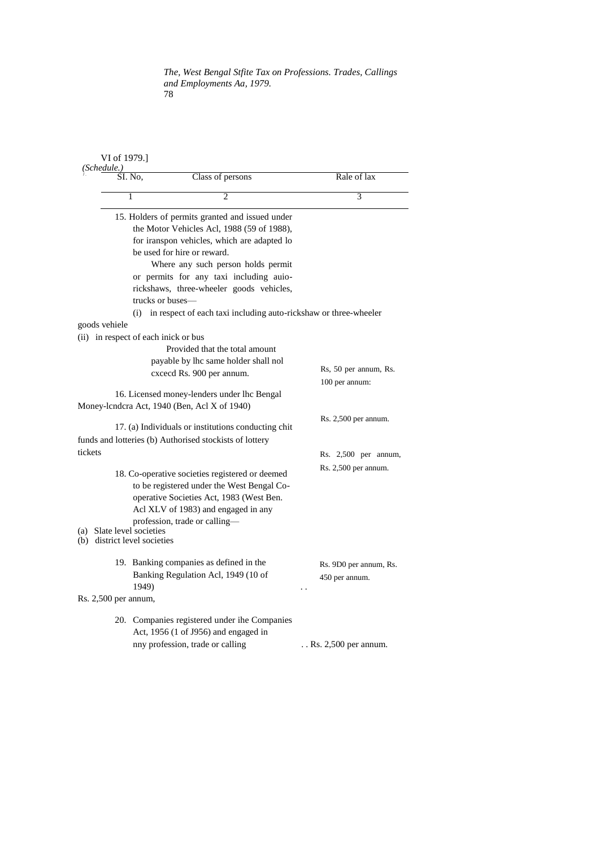## *The, West Bengal Stfite Tax on Professions. Trades, Callings and Employments Aa, 1979.* 78

| (Schedule.)                      | VI of 1979.]             |                                                                                                                                                                                                                                                                                                                                                                                                   |                                          |
|----------------------------------|--------------------------|---------------------------------------------------------------------------------------------------------------------------------------------------------------------------------------------------------------------------------------------------------------------------------------------------------------------------------------------------------------------------------------------------|------------------------------------------|
|                                  | SI. No.                  | Class of persons                                                                                                                                                                                                                                                                                                                                                                                  | Rale of lax                              |
|                                  | 1                        | $\mathfrak{D}$                                                                                                                                                                                                                                                                                                                                                                                    | 3                                        |
|                                  | (i)                      | 15. Holders of permits granted and issued under<br>the Motor Vehicles Acl, 1988 (59 of 1988),<br>for iranspon vehicles, which are adapted lo<br>be used for hire or reward.<br>Where any such person holds permit<br>or permits for any taxi including auio-<br>rickshaws, three-wheeler goods vehicles,<br>trucks or buses—<br>in respect of each taxi including auto-ricks haw or three-wheeler |                                          |
| goods vehiele                    |                          |                                                                                                                                                                                                                                                                                                                                                                                                   |                                          |
|                                  |                          | (ii) in respect of each inick or bus<br>Provided that the total amount<br>payable by lhc same holder shall nol<br>cxcecd Rs. 900 per annum.                                                                                                                                                                                                                                                       | Rs, 50 per annum, Rs.<br>100 per annum:  |
|                                  |                          | 16. Licensed money-lenders under lhc Bengal                                                                                                                                                                                                                                                                                                                                                       |                                          |
|                                  |                          | Money-lcndcra Act, 1940 (Ben, Acl X of 1940)                                                                                                                                                                                                                                                                                                                                                      |                                          |
|                                  |                          | 17. (a) Individuals or institutions conducting chit<br>funds and lotteries (b) Authorised stockists of lottery                                                                                                                                                                                                                                                                                    | $Rs. 2,500$ per annum.                   |
| tickets                          |                          |                                                                                                                                                                                                                                                                                                                                                                                                   | Rs. 2,500 per annum,                     |
| (a) Slate level societies<br>(b) | district level societies | 18. Co-operative societies registered or deemed<br>to be registered under the West Bengal Co-<br>operative Societies Act, 1983 (West Ben.<br>Acl XLV of 1983) and engaged in any<br>profession, trade or calling—                                                                                                                                                                                 | $Rs. 2,500$ per annum.                   |
|                                  | 1949)                    | 19. Banking companies as defined in the<br>Banking Regulation Acl, 1949 (10 of                                                                                                                                                                                                                                                                                                                    | Rs. 9D0 per annum, Rs.<br>450 per annum. |
| Rs. 2,500 per annum,             |                          |                                                                                                                                                                                                                                                                                                                                                                                                   |                                          |
|                                  |                          | 20. Companies registered under ihe Companies<br>Act, 1956 (1 of J956) and engaged in<br>nny profession, trade or calling                                                                                                                                                                                                                                                                          | $\ldots$ Rs. 2,500 per annum.            |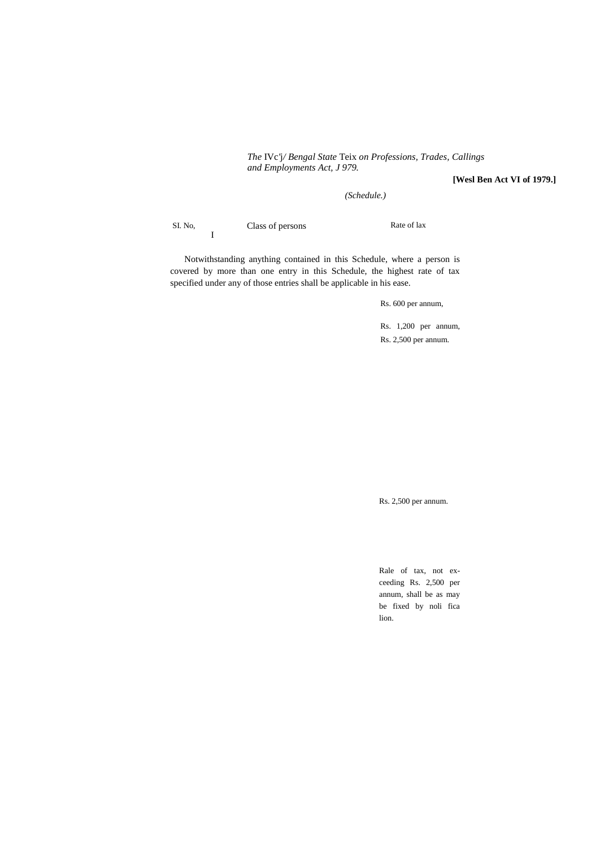*The* IVc*'*j*/ Bengal State* Teix *on Professions, Trades, Callings and Employments Act, J 979.*

**[Wesl Ben Act VI of 1979.]**

*(Schedule.)*

SI. No, Class of persons Rate of lax I

Notwithstanding anything contained in this Schedule, where a person is covered by more than one entry in this Schedule, the highest rate of tax specified under any of those entries shall be applicable in his ease.

Rs. 600 per annum,

Rs. 1,200 per annum, Rs. 2,500 per annum.

Rs. 2,500 per annum.

Rale of tax, not exceeding Rs. 2,500 per annum, shall be as may be fixed by noli fica lion.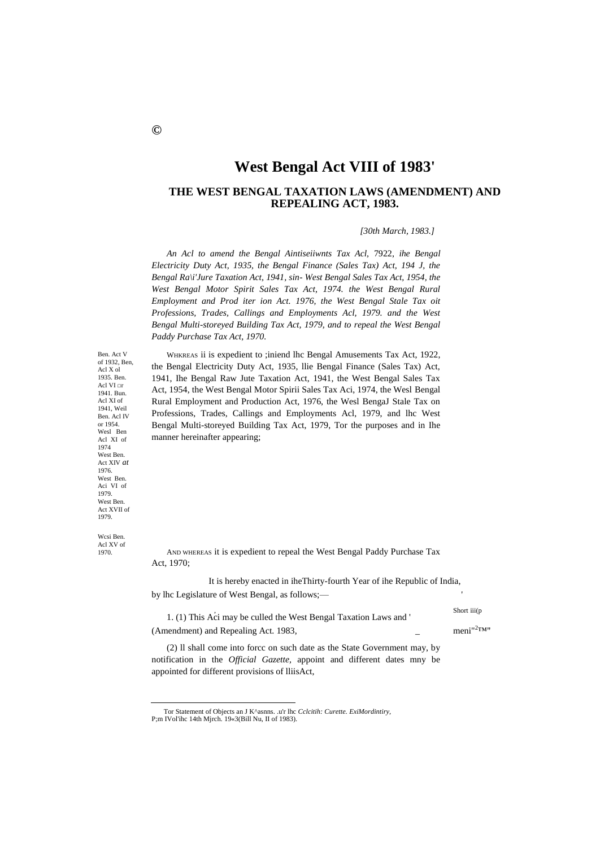# **West Bengal Act VIII of 1983'**

## **THE WEST BENGAL TAXATION LAWS (AMENDMENT) AND REPEALING ACT, 1983.**

*[30th March, 1983.]*

*An Acl to amend the Bengal Aintiseiiwnts Tax Acl,* 7922, *ihe Bengal Electricity Duty Act, 1935, the Bengal Finance (Sales Tax) Act, 194 J, the Bengal Ra\i'Jure Taxation Act, 1941, sin- West Bengal Sales Tax Act, 1954, the*  West Bengal Motor Spirit Sales Tax Act, 1974. the West Bengal Rural *Employment and Prod iter ion Act. 1976, the West Bengal Stale Tax oit Professions, Trades, Callings and Employments Acl, 1979. and the West Bengal Multi-storeyed Building Tax Act, 1979, and to repeal the West Bengal Paddy Purchase Tax Act, 1970.*

WHKREAS ii is expedient to ;iniend lhc Bengal Amusements Tax Act, 1922, the Bengal Electricity Duty Act, 1935, llie Bengal Finance (Sales Tax) Act, 1941, Ihe Bengal Raw Jute Taxation Act, 1941, the West Bengal Sales Tax Act, 1954, the West Bengal Motor Spirii Sales Tax Aci, 1974, the Wesl Bengal Rural Employment and Production Act, 1976, the Wesl BengaJ Stale Tax on Professions, Trades, Callings and Employments Acl, 1979, and lhc West Bengal Multi-storeyed Building Tax Act, 1979, Tor the purposes and in Ihe manner hereinafter appearing;

West Ben. Aci VI of 1979. West Ben. Act XVII of 1979.

Ben. Act V of 1932, Ben, Acl X ol 1935. Ben. Acl VI □r 1941. Bun. Acl XI of 1941, Weil Ben. Acl IV or 1954. Wesl Ben Acl XI of 1974 West Ben. Act XIV *at*  1976.

Wcsi Ben. Acl XV of 1970.

1

AND WHEREAS it is expedient to repeal the West Bengal Paddy Purchase Tax Act, 1970;

It is hereby enacted in iheThirty-fourth Year of ihe Republic of India, by lhc Legislature of West Bengal, as follows;-

, Short iii(p 1. (1) This Aci may be culled the West Bengal Taxation Laws and ' (Amendment) and Repealing Act. 1983,  $\qquad \qquad$  meni<sup>n2</sup>™"

(2) ll shall come into forcc on such date as the State Government may, by notification in the *Official Gazette,* appoint and different dates mny be appointed for different provisions of lliisAct,

Tor Statement of Objects an J K^asnns. .u'r lhc *Cclcitih: Curette. ExiMordintiry,* P;m IVol'ihc 14th Mjrch. 19«3(Bill Nu, II of 1983).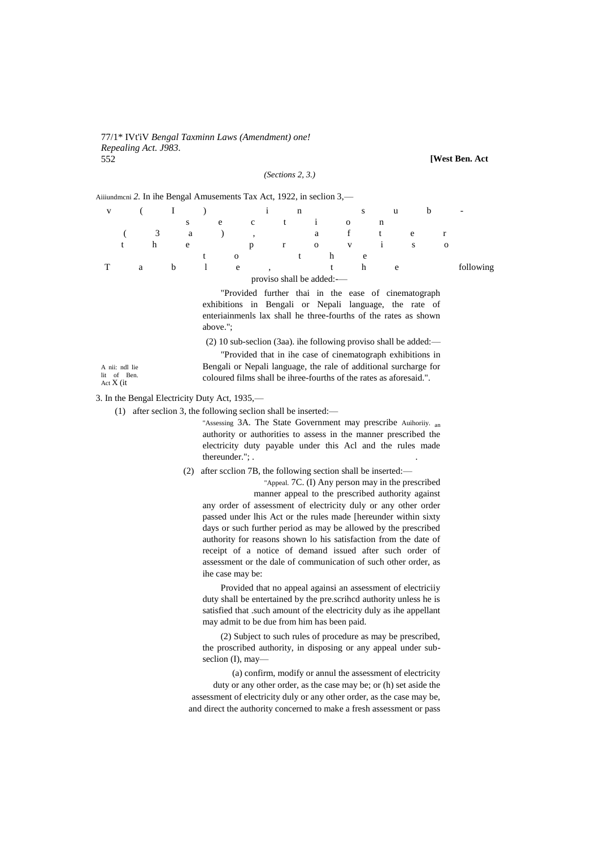#### 77/1\* IVt'iV Bengal Taxminn Laws (Amendment) one! Repealing Act. J983. 552

(Sections  $2, 3$ .)

[West Ben. Act

|                   |                           |   |   |   |   |   | Aiiiundmeni 2. In ihe Bengal Amusements Tax Act, 1922, in seclion 3,— |              |                           |   |              |   |              |   |              |   |                                                            |              |           |
|-------------------|---------------------------|---|---|---|---|---|-----------------------------------------------------------------------|--------------|---------------------------|---|--------------|---|--------------|---|--------------|---|------------------------------------------------------------|--------------|-----------|
| v                 |                           |   |   | 1 |   |   |                                                                       |              |                           | n |              |   |              | S |              | u |                                                            | b            |           |
|                   |                           |   |   |   | S |   | e                                                                     | $\mathbf{C}$ | t                         |   | $\mathbf{1}$ |   | $\mathbf{O}$ |   | n            |   |                                                            |              |           |
|                   |                           |   | 3 |   | a |   |                                                                       |              |                           |   | a            |   | f            |   | t            |   | e                                                          | r            |           |
|                   |                           |   | h |   | e |   |                                                                       | p            | r                         |   | $\mathbf{O}$ |   | V            |   | $\mathbf{i}$ |   | S                                                          | $\mathbf{O}$ |           |
|                   |                           |   |   |   |   | t | $\mathbf{O}$                                                          |              |                           | t |              | h |              | e |              |   |                                                            |              |           |
|                   |                           | a |   | b |   |   | e                                                                     |              |                           |   |              | t |              | h |              | e |                                                            |              | following |
|                   |                           |   |   |   |   |   |                                                                       |              | proviso shall be added:-- |   |              |   |              |   |              |   |                                                            |              |           |
|                   |                           |   |   |   |   |   |                                                                       |              |                           |   |              |   |              |   |              |   | "Provided further thai in the ease of cinematograph        |              |           |
|                   |                           |   |   |   |   |   | exhibitions in Bengali or Nepali language, the rate of                |              |                           |   |              |   |              |   |              |   |                                                            |              |           |
|                   |                           |   |   |   |   |   | enteriainments lax shall he three-fourths of the rates as shown       |              |                           |   |              |   |              |   |              |   |                                                            |              |           |
|                   |                           |   |   |   |   |   | above.":                                                              |              |                           |   |              |   |              |   |              |   |                                                            |              |           |
|                   |                           |   |   |   |   |   | $(2)$ 10 sub-section (3aa). ihe following proviso shall be added:—    |              |                           |   |              |   |              |   |              |   |                                                            |              |           |
|                   |                           |   |   |   |   |   |                                                                       |              |                           |   |              |   |              |   |              |   |                                                            |              |           |
|                   |                           |   |   |   |   |   |                                                                       |              |                           |   |              |   |              |   |              |   | "Provided that in the case of cinematograph exhibitions in |              |           |
|                   | A nii: ndl lie<br>of Ben. |   |   |   |   |   | Bengali or Nepali language, the rale of additional surcharge for      |              |                           |   |              |   |              |   |              |   |                                                            |              |           |
| lit<br>Act X (it) |                           |   |   |   |   |   | coloured films shall be ihree-fourths of the rates as aforesaid.".    |              |                           |   |              |   |              |   |              |   |                                                            |              |           |

3. In the Bengal Electricity Duty Act, 1935,-

(1) after section 3, the following section shall be inserted:—

"Assessing 3A. The State Government may prescribe Auihoriiy. an authority or authorities to assess in the manner prescribed the electricity duty payable under this Acl and the rules made thereunder."; .

(2) after section 7B, the following section shall be inserted:—

"Appeal. 7C. (I) Any person may in the prescribed manner appeal to the prescribed authority against any order of assessment of electricity duly or any other order passed under lhis Act or the rules made [hereunder within sixty

days or such further period as may be allowed by the prescribed authority for reasons shown lo his satisfaction from the date of receipt of a notice of demand issued after such order of assessment or the dale of communication of such other order, as ihe case may be:

Provided that no appeal againsi an assessment of electriciiy duty shall be entertained by the pre.scrihcd authority unless he is satisfied that .such amount of the electricity duly as ihe appellant may admit to be due from him has been paid.

(2) Subject to such rules of procedure as may be prescribed, the proscribed authority, in disposing or any appeal under subseclion (I), may-

(a) confirm, modify or annul the assessment of electricity duty or any other order, as the case may be; or (h) set aside the assessment of electricity duly or any other order, as the case may be, and direct the authority concerned to make a fresh assessment or pass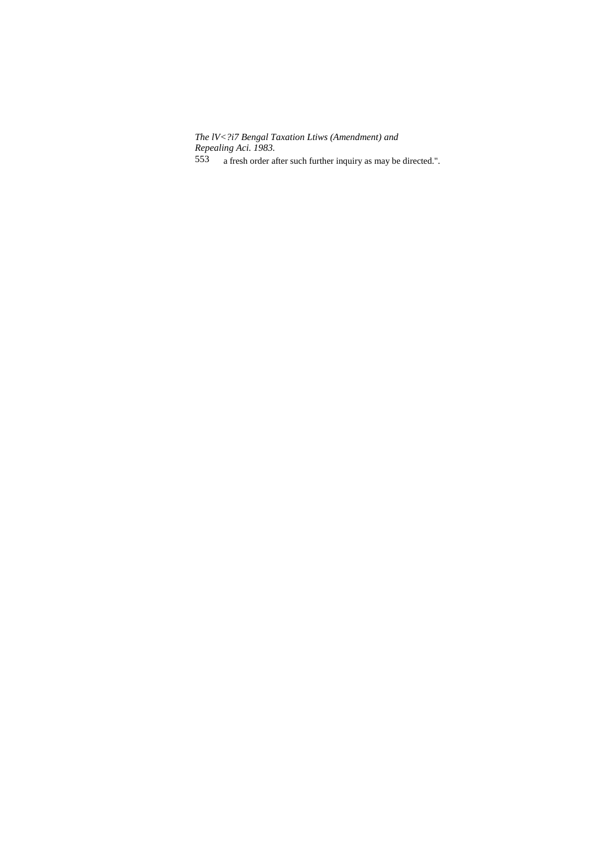The IV<?i7 Bengal Taxation Ltiws (Amendment) and<br>Repealing Aci. 1983.

553 a fresh order after such further inquiry as may be directed.".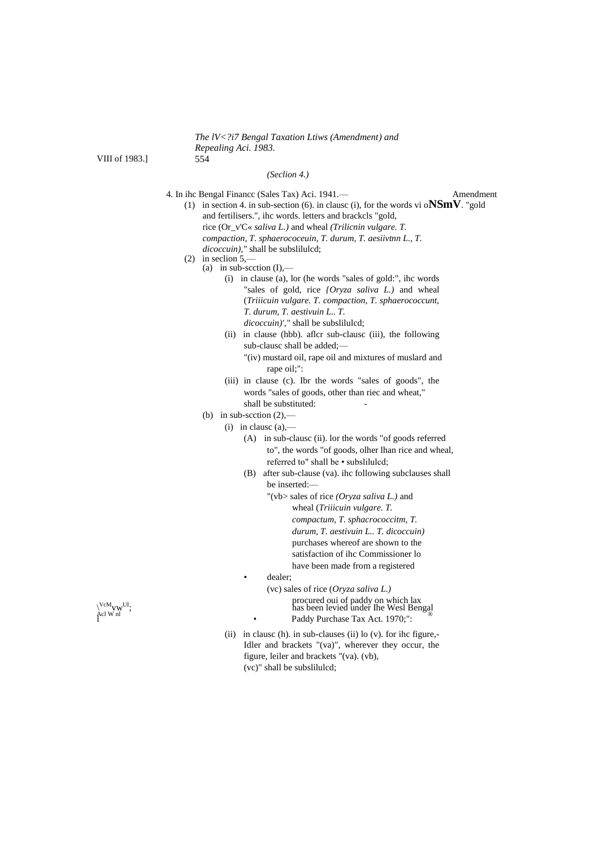*The lV<?i7 Bengal Taxation Ltiws (Amendment) and Repealing Aci. 1983.*

VIII of 1983.]

#### *(Seclion 4.)*

- 4. In ihc Bengal Financc (Sales Tax) Aci. 1941.— Amendment (1) in section 4. in sub-section (6). in clausc (i), for the words vi o**NSmV**. "gold
	- and fertilisers.", ihc words. letters and brackcls "gold, rice (Or\_v'C« *saliva L.)* and wheal *(Trilicnin vulgare. T. compaction, T. sphaerococeuin, T. durum, T. aesiivtnn L., T.*
		- *dicoccuin),"* shall be subslilulcd;
	- (2) in seclion  $5$ ,-
		- (a) in sub-section  $(I)$ ,—
			- (i) in clause (a), lor (he words "sales of gold:", ihc words "sales of gold, rice *{Oryza saliva L.)* and wheal (*Triiicuin vulgare. T. compaction, T. sphaerococcunt, T. durum, T. aestivuin L.. T. dicoccuin)',"* shall be subslilulcd;
			- (ii) in clause (hbb). aflcr sub-clausc (iii), the following sub-clausc shall be added;— "(iv) mustard oil, rape oil and mixtures of muslard and
				- rape oil;":
			- (iii) in clause (c). Ibr the words "sales of goods", the words "sales of goods, other than riec and wheat," shall be substituted:
		- (b) in sub-section  $(2)$ ,—
			- $(i)$  in clause  $(a)$ .
				- (A) in sub-clausc (ii). lor the words "of goods referred to", the words "of goods, olher lhan rice and wheal, referred to" shall be • subslilulcd;
				- (B) after sub-clause (va). ihc following subclauses shall be inserted:—
					- "(vb> sales of rice *(Oryza saliva L.)* and wheal (*Triiicuin vulgare. T. compactum, T. sphacrococcitm, T. durum, T. aestivuin L.. T. dicoccuin)* purchases whereof are shown to the satisfaction of ihc Commissioner lo have been made from a registered
					- dealer;
- (vc) sales of rice (*Oryza saliva L.)*  $\alpha_{\text{el}}^{\text{VcM}}$ <sub>V</sub>cM<sub>V</sub>W<sup>UI</sup>;<br>
Acl W nl  $\alpha_{\text{el}}$  M nl  $\alpha_{\text{el}}$  and  $\alpha_{\text{el}}$  and  $\alpha_{\text{el}}$  and  $\alpha_{\text{el}}$  and  $\alpha_{\text{el}}$  and  $\alpha_{\text{el}}$  and  $\alpha_{\text{el}}$  and  $\alpha_{\text{el}}$  and  $\alpha_{\text{el}}$  and  $\alpha_{\text{el}}$  and  $\alpha_{\text{el}}$  a Paddy Purchase Tax Act. 1970;":
	- (ii) in clausc (h). in sub-clauses (ii) lo (v). for ihc figure,- Idler and brackets "(va)", wherever they occur, the figure, leiler and brackets "(va). (vb), (vc)" shall be subslilulcd;

 $\chi^{\text{VcM}}_{\text{cl W nl}}$  m<sup>UI</sup>;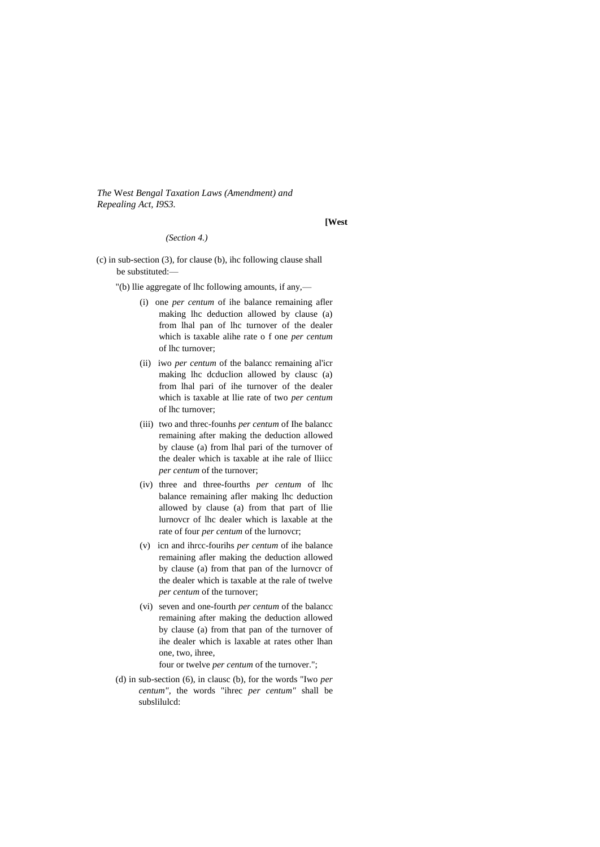*The* We*st Bengal Taxation Laws (Amendment) and Repealing Act, I9S3.*

#### **[West**

## *(Section 4.)*

- (c) in sub-section (3), for clause (b), ihc following clause shall be substituted:—
	- "(b) llie aggregate of lhc following amounts, if any,—
		- (i) one *per centum* of ihe balance remaining afler making lhc deduction allowed by clause (a) from lhal pan of lhc turnover of the dealer which is taxable alihe rate o f one *per centum*  of lhc turnover;
		- (ii) iwo *per centum* of the balancc remaining al'icr making lhc dcduclion allowed by clausc (a) from lhal pari of ihe turnover of the dealer which is taxable at llie rate of two *per centum*  of lhc turnover;
		- (iii) two and threc-founhs *per centum* of Ihe balancc remaining after making the deduction allowed by clause (a) from lhal pari of the turnover of the dealer which is taxable at ihe rale of lliicc *per centum* of the turnover;
		- (iv) three and three-fourths *per centum* of lhc balance remaining afler making lhc deduction allowed by clause (a) from that part of llie lurnovcr of lhc dealer which is laxable at the rate of four *per centum* of the lurnovcr;
		- (v) icn and ihrcc-fourihs *per centum* of ihe balance remaining afler making the deduction allowed by clause (a) from that pan of the lurnovcr of the dealer which is taxable at the rale of twelve *per centum* of the turnover;
		- (vi) seven and one-fourth *per centum* of the balancc remaining after making the deduction allowed by clause (a) from that pan of the turnover of ihe dealer which is laxable at rates other lhan one, two, ihree,

four or twelve *per centum* of the turnover.";

(d) in sub-section (6), in clausc (b), for the words "Iwo *per centum",* the words "ihrec *per centum"* shall be subslilulcd: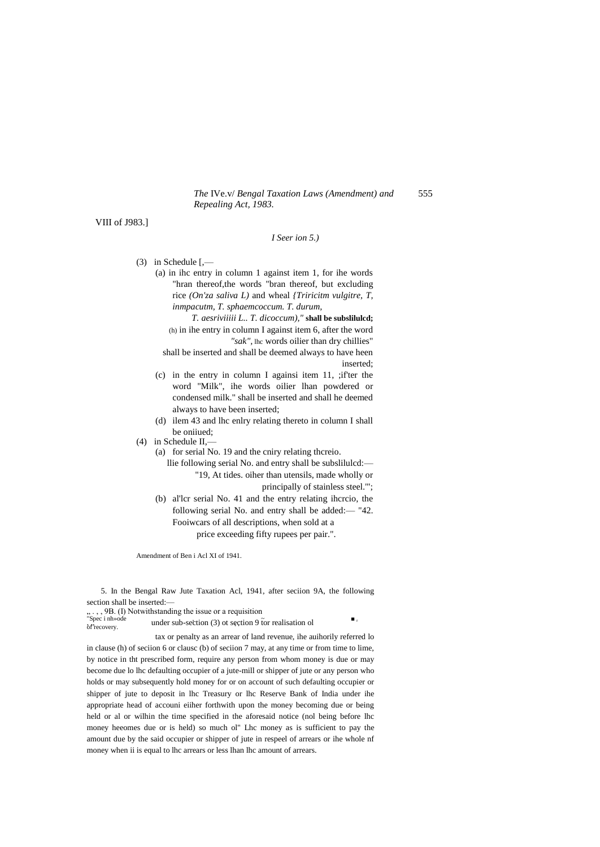The IVe.v/ Bengal Taxation Laws (Amendment) and 555 Repealing Act, 1983.

VIII of J983.]

#### $I$  Seer ion 5.)

- $(3)$  in Schedule  $\left[\right]$ .
	- (a) in ihc entry in column 1 against item 1, for ihe words "hran thereof, the words "bran thereof, but excluding rice  $(On'za saliva L)$  and wheal *{Triricitm vulgitre, T,* inmpacutm, T. sphaemcoccum. T. durum,

T. aesriviiiii L.. T. dicoccum)," shall be subsliluled; (h) in ihe entry in column I against item 6, after the word "sak", the words oilier than dry chillies"

shall be inserted and shall be deemed always to have heen inserted;

- (c) in the entry in column I againsi item 11, ;ifter the word "Milk", ihe words oilier lhan powdered or condensed milk." shall be inserted and shall he deemed always to have been inserted;
- (d) ilem 43 and lhc enlry relating thereto in column I shall be oniiued:

 $(4)$  in Schedule II,-

(a) for serial No. 19 and the cniry relating thereio.

- llie following serial No. and entry shall be subsliluled:-"19, At tides. oiher than utensils, made wholly or
	- principally of stainless steel."';

 $\blacksquare$  ,

(b) aller serial No. 41 and the entry relating ihereio, the following serial No. and entry shall be added: - "42. Fooiwcars of all descriptions, when sold at a price exceeding fifty rupees per pair.".

Amendment of Ben i Acl XI of 1941.

5. In the Bengal Raw Jute Taxation Acl, 1941, after seciion 9A, the following section shall be inserted:-

..., 9B. (I) Notwithstanding the issue or a requisition<br>"Spec i nh»ode under sub sociion (3) et sociion 0.6

under sub-section  $(3)$  ot section 9 for realisation of of recovery.

tax or penalty as an arrear of land revenue, ihe auihorily referred lo in clause (h) of seciion 6 or clause (b) of seciion 7 may, at any time or from time to lime, by notice in tht prescribed form, require any person from whom money is due or may become due lo lhc defaulting occupier of a jute-mill or shipper of jute or any person who holds or may subsequently hold money for or on account of such defaulting occupier or shipper of jute to deposit in lhc Treasury or lhc Reserve Bank of India under ihe appropriate head of accouni either forthwith upon the money becoming due or being held or al or wilhin the time specified in the aforesaid notice (nol being before lhc money heeomes due or is held) so much ol" Lhc money as is sufficient to pay the amount due by the said occupier or shipper of jute in respeel of arrears or ihe whole nf money when ii is equal to lhc arrears or less lhan lhc amount of arrears.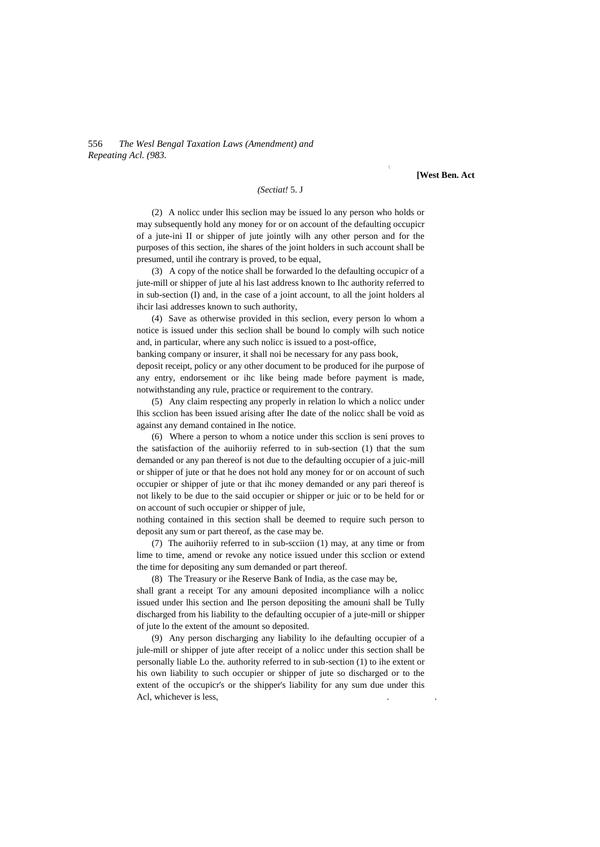556 *The Wesl Bengal Taxation Laws (Amendment) and Repeating Acl. (983.*

**[West Ben. Act**

#### *(Sectiat!* 5. J

(2) A nolicc under lhis seclion may be issued lo any person who holds or may subsequently hold any money for or on account of the defaulting occupicr of a jute-ini II or shipper of jute jointly wilh any other person and for the purposes of this section, ihe shares of the joint holders in such account shall be presumed, until ihe contrary is proved, to be equal,

(3) A copy of the notice shall be forwarded lo the defaulting occupicr of a jute-mill or shipper of jute al his last address known to Ihc authority referred to in sub-section (I) and, in the case of a joint account, to all the joint holders al ihcir lasi addresses known to such authority,

(4) Save as otherwise provided in this seclion, every person lo whom a notice is issued under this seclion shall be bound lo comply wilh such notice and, in particular, where any such nolicc is issued to a post-office,

banking company or insurer, it shall noi be necessary for any pass book,

deposit receipt, policy or any other document to be produced for ihe purpose of any entry, endorsement or ihc like being made before payment is made, notwithstanding any rule, practice or requirement to the contrary.

(5) Any claim respecting any properly in relation lo which a nolicc under lhis scclion has been issued arising after Ihe date of the nolicc shall be void as against any demand contained in Ihe notice.

(6) Where a person to whom a notice under this scclion is seni proves to the satisfaction of the auihoriiy referred to in sub-section (1) that the sum demanded or any pan thereof is not due to the defaulting occupier of a juic-mill or shipper of jute or that he does not hold any money for or on account of such occupier or shipper of jute or that ihc money demanded or any pari thereof is not likely to be due to the said occupier or shipper or juic or to be held for or on account of such occupier or shipper of jule,

nothing contained in this section shall be deemed to require such person to deposit any sum or part thereof, as the case may be.

(7) The auihoriiy referred to in sub-scciion (1) may, at any time or from lime to time, amend or revoke any notice issued under this scclion or extend the time for depositing any sum demanded or part thereof.

(8) The Treasury or ihe Reserve Bank of India, as the case may be,

shall grant a receipt Tor any amouni deposited incompliance wilh a nolicc issued under lhis section and Ihe person depositing the amouni shall be Tully discharged from his liability to the defaulting occupier of a jute-mill or shipper of jute lo the extent of the amount so deposited.

(9) Any person discharging any liability lo ihe defaulting occupier of a jule-mill or shipper of jute after receipt of a nolicc under this section shall be personally liable Lo the. authority referred to in sub-section (1) to ihe extent or his own liability to such occupier or shipper of jute so discharged or to the extent of the occupicr's or the shipper's liability for any sum due under this Acl, whichever is less,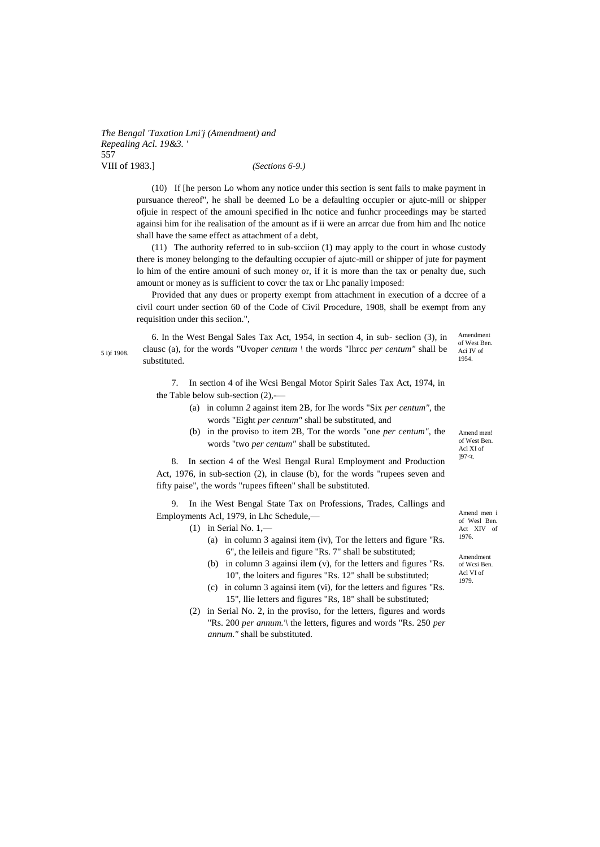*The Bengal 'Taxation Lmi'j (Amendment) and Repealing Acl. 19&3. '* 557 VIII of 1983.] *(Sections 6-9.)*

> (10) If [he person Lo whom any notice under this section is sent fails to make payment in pursuance thereof", he shall be deemed Lo be a defaulting occupier or ajutc-mill or shipper ofjuie in respect of the amouni specified in lhc notice and funhcr proceedings may be started againsi him for ihe realisation of the amount as if ii were an arrcar due from him and Ihc notice shall have the same effect as attachment of a debt,

> (11) The authority referred to in sub-scciion (1) may apply to the court in whose custody there is money belonging to the defaulting occupier of ajutc-mill or shipper of jute for payment lo him of the entire amouni of such money or, if it is more than the tax or penalty due, such amount or money as is sufficient to covcr the tax or Lhc panaliy imposed:

> Provided that any dues or property exempt from attachment in execution of a dccree of a civil court under section 60 of the Code of Civil Procedure, 1908, shall be exempt from any requisition under this seciion.",

6. In the West Bengal Sales Tax Act, 1954, in section 4, in sub- seclion (3), in clausc (a), for the words "Uvo*per centum \* the words "Ihrcc *per centum"* shall be substituted.

Amendment of West Ben. Aci IV of 1954.

Amend men! of West Ben. Acl XI of ]97<t.

7. In section 4 of ihe Wcsi Bengal Motor Spirit Sales Tax Act, 1974, in the Table below sub-section  $(2)$ ,-

- (a) in column *2* against item 2B, for Ihe words "Six *per centum",* the words "Eight *per centum"* shall be substituted, and
- (b) in the proviso to item 2B, Tor the words "one *per centum",* the words "two *per centum"* shall be substituted.

8. In section 4 of the Wesl Bengal Rural Employment and Production Act, 1976, in sub-section (2), in clause (b), for the words "rupees seven and fifty paise", the words "rupees fifteen" shall be substituted.

9. In ihe West Bengal State Tax on Professions, Trades, Callings and Employments Acl, 1979, in Lhc Schedule,—

 $(1)$  in Serial No. 1,—

- (a) in column 3 againsi item (iv), Tor the letters and figure "Rs. 6", the leileis and figure "Rs. 7" shall be substituted;
- (b) in column 3 againsi ilem (v), for the letters and figures "Rs. 10", the loiters and figures "Rs. 12" shall be substituted;
- (c) in column 3 againsi item (vi), for the letters and figures "Rs. 15", llie letters and figures "Rs, 18" shall be substituted;
- (2) in Serial No. 2, in the proviso, for the letters, figures and words "Rs. 200 *per annum.'\* the letters, figures and words "Rs. 250 *per annum."* shall be substituted.

Amend men i of Wesl Ben. Act XIV of 1976.

Amendment of Wcsi Ben. Acl VI of 1979.

5 i)f 1908.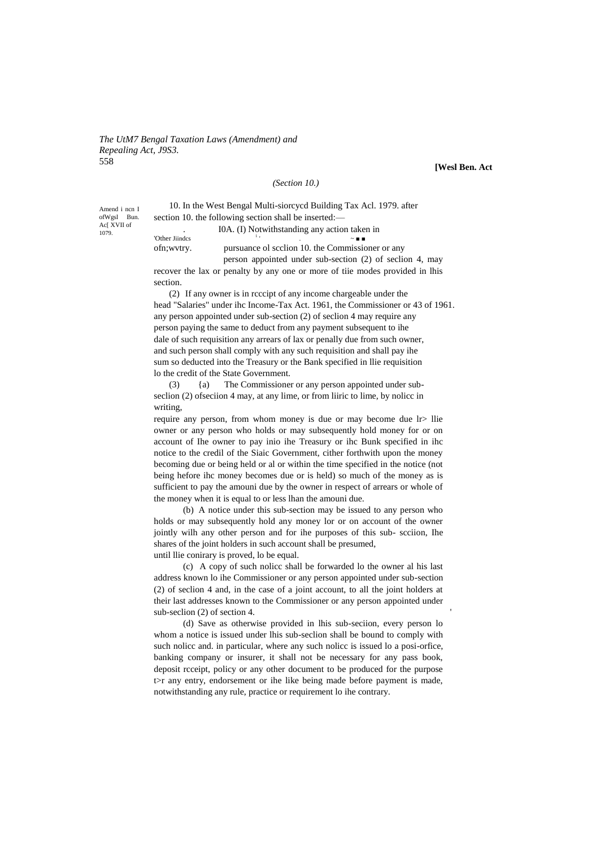*The UtM7 Bengal Taxation Laws (Amendment) and Repealing Act, J9S3.* 558

**[Wesl Ben. Act**

### *(Section 10.)*

Amend i ncn I ofWgsl Bun. Ac<sub>[</sub> XVII of 1079.

10. In the West Bengal Multi-siorcycd Building Tax Acl. 1979. after section 10, the following section shall be inserted:— . I0A. (I) Notwithstanding any action taken in

'Other Jiindcs <sup>1</sup> . ~ ■ ■ ofn;wvtry. pursuance ol scclion 10. the Commissioner or any

person appointed under sub-section (2) of seclion 4, may

recover the lax or penalty by any one or more of tiie modes provided in lhis section.

(2) If any owner is in rcccipt of any income chargeable under the head "Salaries" under ihc Income-Tax Act. 1961, the Commissioner or 43 of 1961. any person appointed under sub-section (2) of seclion 4 may require any person paying the same to deduct from any payment subsequent to ihe dale of such requisition any arrears of lax or penally due from such owner, and such person shall comply with any such requisition and shall pay ihe sum so deducted into the Treasury or the Bank specified in llie requisition lo the credit of the State Government.

(3) {a) The Commissioner or any person appointed under subseclion (2) ofseciion 4 may, at any lime, or from liiric to lime, by nolicc in writing,

require any person, from whom money is due or may become due lr> llie owner or any person who holds or may subsequently hold money for or on account of Ihe owner to pay inio ihe Treasury or ihc Bunk specified in ihc notice to the credil of the Siaic Government, cither forthwith upon the money becoming due or being held or al or within the time specified in the notice (not being hefore ihc money becomes due or is held) so much of the money as is sufficient to pay the amouni due by the owner in respect of arrears or whole of the money when it is equal to or less lhan the amouni due.

(b) A notice under this sub-section may be issued to any person who holds or may subsequently hold any money lor or on account of the owner jointly wilh any other person and for ihe purposes of this sub- scciion, Ihe shares of the joint holders in such account shall be presumed, until llie conirary is proved, lo be equal.

(c) A copy of such nolicc shall be forwarded lo the owner al his last address known lo ihe Commissioner or any person appointed under sub-section (2) of seclion 4 and, in the case of a joint account, to all the joint holders at their last addresses known to the Commissioner or any person appointed under sub-seclion (2) of section 4.

(d) Save as otherwise provided in lhis sub-seciion, every person lo whom a notice is issued under lhis sub-seclion shall be bound to comply with such nolicc and. in particular, where any such nolicc is issued lo a posi-orfice, banking company or insurer, it shall not be necessary for any pass book, deposit rcceipt, policy or any other document to be produced for the purpose  $t$  any entry, endorsement or ihe like being made before payment is made, notwithstanding any rule, practice or requirement lo ihe contrary.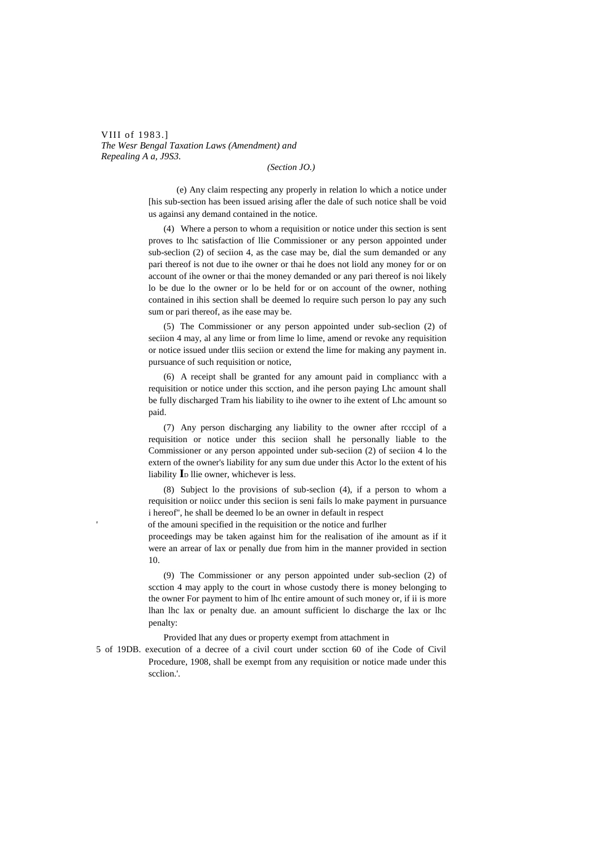VIII of 1983.] *The Wesr Bengal Taxation Laws (Amendment) and Repealing A a, J9S3.*

*(Section JO.)*

(e) Any claim respecting any properly in relation lo which a notice under [his sub-section has been issued arising afler the dale of such notice shall be void us againsi any demand contained in the notice.

(4) Where a person to whom a requisition or notice under this section is sent proves to lhc satisfaction of llie Commissioner or any person appointed under sub-seclion (2) of seciion 4, as the case may be, dial the sum demanded or any pari thereof is not due to ihe owner or thai he does not liold any money for or on account of ihe owner or thai the money demanded or any pari thereof is noi likely lo be due lo the owner or lo be held for or on account of the owner, nothing contained in ihis section shall be deemed lo require such person lo pay any such sum or pari thereof, as ihe ease may be.

(5) The Commissioner or any person appointed under sub-seclion (2) of seciion 4 may, al any lime or from lime lo lime, amend or revoke any requisition or notice issued under tliis seciion or extend the lime for making any payment in. pursuance of such requisition or notice,

(6) A receipt shall be granted for any amount paid in compliancc with a requisition or notice under this scction, and ihe person paying Lhc amount shall be fully discharged Tram his liability to ihe owner to ihe extent of Lhc amount so paid.

(7) Any person discharging any liability to the owner after rcccipl of a requisition or notice under this seciion shall he personally liable to the Commissioner or any person appointed under sub-seciion (2) of seciion 4 lo the extern of the owner's liability for any sum due under this Actor lo the extent of his liability **I**<sub>D</sub> llie owner, whichever is less.

(8) Subject lo the provisions of sub-seclion (4), if a person to whom a requisition or noiicc under this seciion is seni fails lo make payment in pursuance i hereof", he shall be deemed lo be an owner in default in respect

of the amouni specified in the requisition or the notice and furlher

'

proceedings may be taken against him for the realisation of ihe amount as if it were an arrear of lax or penally due from him in the manner provided in section 10.

(9) The Commissioner or any person appointed under sub-seclion (2) of scction 4 may apply to the court in whose custody there is money belonging to the owner For payment to him of lhc entire amount of such money or, if ii is more lhan lhc lax or penalty due. an amount sufficient lo discharge the lax or lhc penalty:

Provided lhat any dues or property exempt from attachment in

5 of 19DB. execution of a decree of a civil court under scction 60 of ihe Code of Civil Procedure, 1908, shall be exempt from any requisition or notice made under this scclion.'.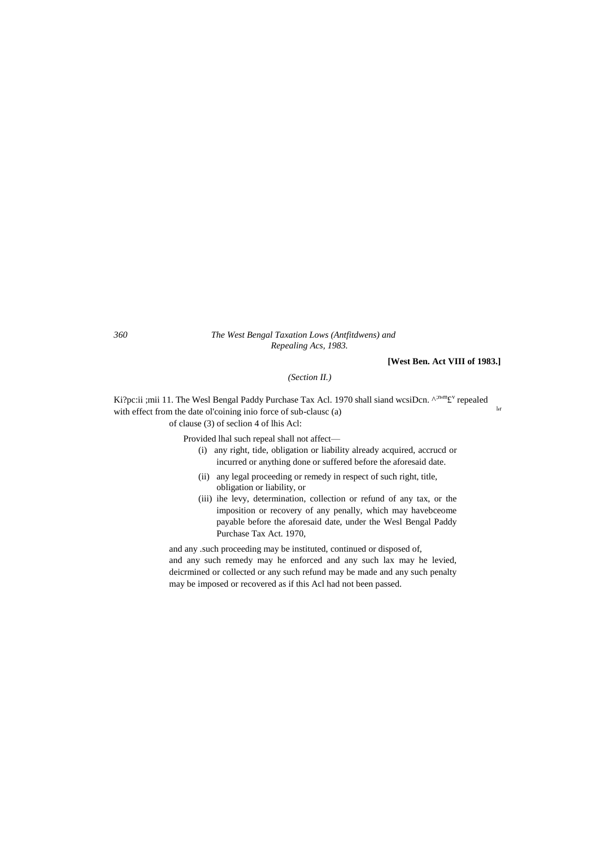#### *360 The West Bengal Taxation Lows (Antfitdwens) and Repealing Acs, 1983.*

## **[West Ben. Act VIII of 1983.]**

'r

*(Section II.)*

Ki?pc:ii ;mii 11. The Wesl Bengal Paddy Purchase Tax Acl. 1970 shall siand wcsiDcn. ^;n,mf y' repealed with effect from the date ol'coining inio force of sub-clausc (a) of clause (3) of seclion 4 of lhis Acl:

Provided lhal such repeal shall not affect—

- (i) any right, tide, obligation or liability already acquired, accrucd or incurred or anything done or suffered before the aforesaid date.
- (ii) any legal proceeding or remedy in respect of such right, title, obligation or liability, or
- (iii) ihe levy, determination, collection or refund of any tax, or the imposition or recovery of any penally, which may havebceome payable before the aforesaid date, under the Wesl Bengal Paddy Purchase Tax Act. 1970,

and any .such proceeding may be instituted, continued or disposed of, and any such remedy may he enforced and any such lax may he levied, deicrmined or collected or any such refund may be made and any such penalty may be imposed or recovered as if this Acl had not been passed.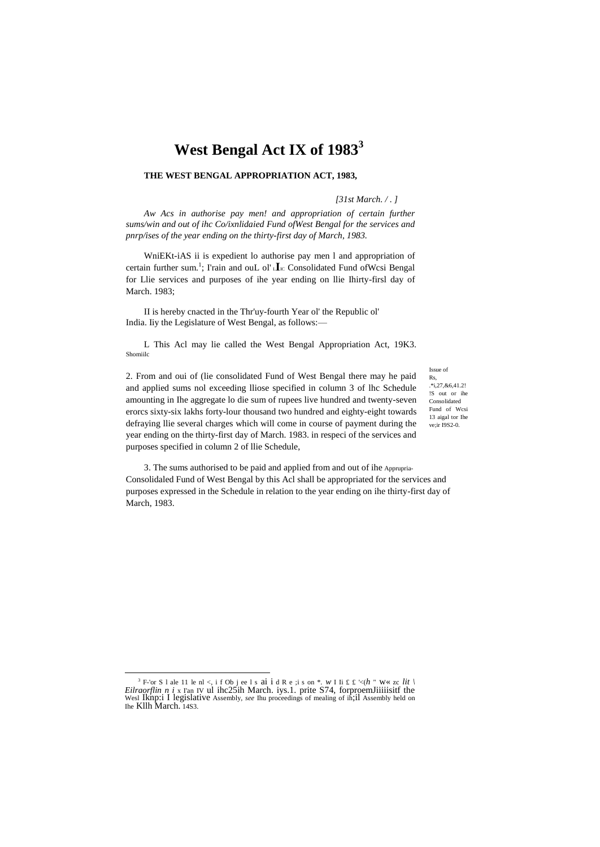## West Bengal Act IX of 1983<sup>3</sup>

## THE WEST BENGAL APPROPRIATION ACT, 1983,

#### [31st March.  $/$ .]

Aw Acs in authorise pay men! and appropriation of certain further sums/win and out of ihc Co/ixnlidaied Fund ofWest Bengal for the services and pnrp/ises of the year ending on the thirty-first day of March, 1983.

WniEKt-iAS ii is expedient lo authorise pay men l and appropriation of certain further sum.<sup>1</sup>; I'rain and ouL ol'Le Consolidated Fund of Wesi Bengal for Llie services and purposes of ihe year ending on Ilie Ihirty-firsl day of March. 1983;

II is hereby cnacted in the Thr'uy-fourth Year ol' the Republic ol' India. Iiy the Legislature of West Bengal, as follows:-

L This Acl may lie called the West Bengal Appropriation Act, 19K3. Shomiilc

2. From and oui of (lie consolidated Fund of West Bengal there may he paid and applied sums nol exceeding lliose specified in column 3 of lhc Schedule amounting in Ihe aggregate lo die sum of rupees live hundred and twenty-seven erorcs sixty-six lakhs forty-lour thousand two hundred and eighty-eight towards defraying llie several charges which will come in course of payment during the year ending on the thirty-first day of March. 1983. in respeci of the services and purposes specified in column 2 of llie Schedule,

Issue of  $\mathbf{R}$  $*127.864121$ !S out or ihe Consolidated Fund of Wesi 13 aigal tor Ihe ve;ir I9S2-0.

3. The sums authorised to be paid and applied from and out of ihe Apprupria-Consolidated Fund of West Bengal by this Acl shall be appropriated for the services and purposes expressed in the Schedule in relation to the year ending on ihe thirty-first day of March, 1983.

<sup>&</sup>lt;sup>3</sup> F-'or S 1 ale 11 le nl < i f Ob j ee 1 s al i d R e ; i s on \*. W I li £ £ '<(h " W« zc lit \ Eilraorflin n i x I an IV ul ihc25ih March. iys.1. prite S74, forproemJiiiiisitf the West Iknp: I legislative Assembly, *se* Ihe Kllh March. 14S3.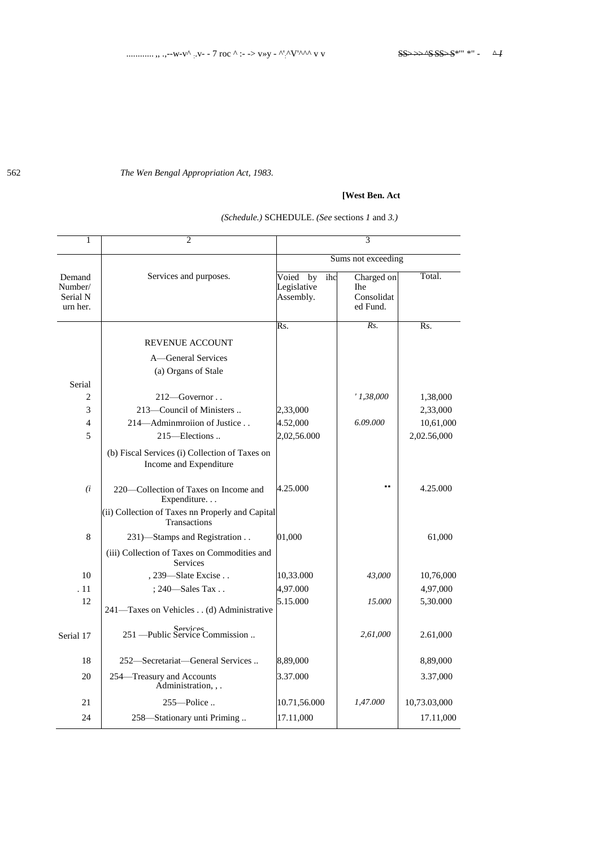The Wen Bengal Appropriation Act, 1983.

## [West Ben. Act

| <i>(Schedule.)</i> SCHEDULE. <i>(See sections 1 and 3.)</i> |  |
|-------------------------------------------------------------|--|

| $\mathbf{1}$                              | $\overline{c}$                                                           |                                                             | 3                                                  |              |
|-------------------------------------------|--------------------------------------------------------------------------|-------------------------------------------------------------|----------------------------------------------------|--------------|
|                                           |                                                                          |                                                             | Sums not exceeding                                 |              |
| Demand<br>Number/<br>Serial N<br>urn her. | Services and purposes.                                                   | Voied<br>$\overline{ihc}$<br>by<br>Legislative<br>Assembly. | Charged on<br><b>The</b><br>Consolidat<br>ed Fund. | Total.       |
|                                           |                                                                          | Rs.                                                         | Rs.                                                | Rs.          |
|                                           | <b>REVENUE ACCOUNT</b>                                                   |                                                             |                                                    |              |
|                                           | A-General Services                                                       |                                                             |                                                    |              |
|                                           | (a) Organs of Stale                                                      |                                                             |                                                    |              |
| Serial                                    |                                                                          |                                                             |                                                    |              |
| 2                                         | $212$ —Governor                                                          |                                                             | '1,38,000                                          | 1,38,000     |
| 3                                         | 213—Council of Ministers                                                 | 2,33,000                                                    |                                                    | 2,33,000     |
| $\overline{4}$                            | 214-Adminmroiion of Justice                                              | 4.52,000                                                    | 6.09.000                                           | 10,61,000    |
| 5                                         | 215-Elections                                                            | 2,02,56.000                                                 |                                                    | 2,02.56,000  |
|                                           | (b) Fiscal Services (i) Collection of Taxes on<br>Income and Expenditure |                                                             |                                                    |              |
| (i)                                       | 220—Collection of Taxes on Income and<br>Expenditure                     | 4.25.000                                                    |                                                    | 4.25.000     |
|                                           | (ii) Collection of Taxes nn Properly and Capital<br>Transactions         |                                                             |                                                    |              |
| 8                                         | 231)-Stamps and Registration                                             | 01,000                                                      |                                                    | 61,000       |
|                                           | (iii) Collection of Taxes on Commodities and<br><b>Services</b>          |                                                             |                                                    |              |
| 10                                        | , 239-Slate Excise                                                       | 10,33.000                                                   | 43,000                                             | 10,76,000    |
| . 11                                      | ; 240-Sales Tax                                                          | 4,97.000                                                    |                                                    | 4,97,000     |
| 12                                        | 241-Taxes on Vehicles (d) Administrative                                 | 5.15.000                                                    | 15.000                                             | 5,30.000     |
| Serial 17                                 | Services<br>251 — Public Service Commission                              |                                                             | 2,61,000                                           | 2.61,000     |
| 18                                        | 252-Secretariat-General Services                                         | 8,89,000                                                    |                                                    | 8,89,000     |
| 20                                        | 254-Treasury and Accounts<br>Administration, , .                         | 3.37.000                                                    |                                                    | 3.37,000     |
| 21                                        | $255$ —Police                                                            | 10.71,56.000                                                | 1,47.000                                           | 10,73.03,000 |
| 24                                        | 258-Stationary unti Priming                                              | 17.11,000                                                   |                                                    | 17.11,000    |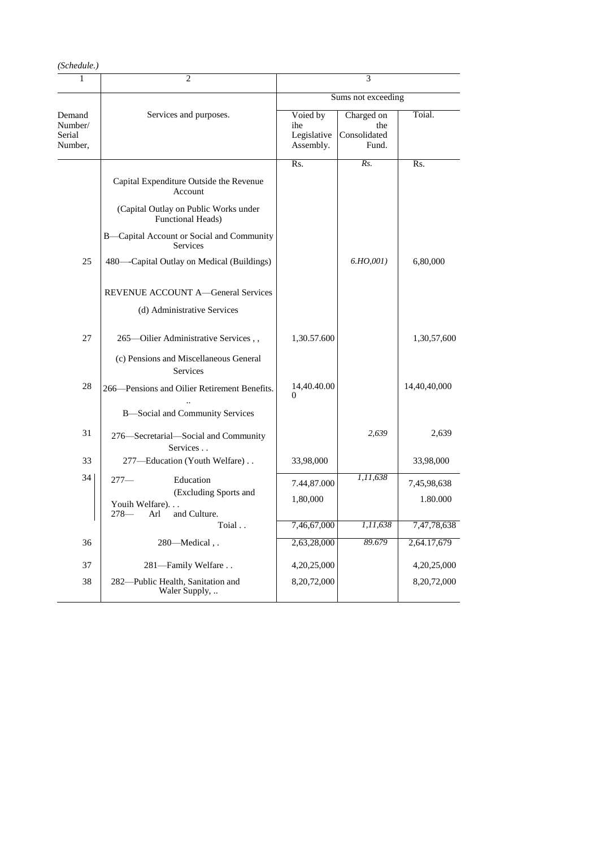| (Schedule.) |
|-------------|
|-------------|

| 1                                      | 2                                                                  | 3                                           |                                            |              |  |  |  |
|----------------------------------------|--------------------------------------------------------------------|---------------------------------------------|--------------------------------------------|--------------|--|--|--|
|                                        |                                                                    | Sums not exceeding                          |                                            |              |  |  |  |
| Demand<br>Number/<br>Serial<br>Number, | Services and purposes.                                             | Voied by<br>ihe<br>Legislative<br>Assembly. | Charged on<br>the<br>Consolidated<br>Fund. | Toial.       |  |  |  |
|                                        |                                                                    | Rs.                                         | Rs.                                        | Rs.          |  |  |  |
|                                        | Capital Expenditure Outside the Revenue<br>Account                 |                                             |                                            |              |  |  |  |
|                                        | (Capital Outlay on Public Works under<br><b>Functional Heads</b> ) |                                             |                                            |              |  |  |  |
|                                        | B-Capital Account or Social and Community<br><b>Services</b>       |                                             |                                            |              |  |  |  |
| 25                                     | 480—Capital Outlay on Medical (Buildings)                          |                                             | 6.HO,001)                                  | 6,80,000     |  |  |  |
|                                        | REVENUE ACCOUNT A-General Services                                 |                                             |                                            |              |  |  |  |
|                                        | (d) Administrative Services                                        |                                             |                                            |              |  |  |  |
| 27                                     | 265-Oilier Administrative Services,,                               | 1,30.57.600                                 |                                            | 1,30,57,600  |  |  |  |
|                                        | (c) Pensions and Miscellaneous General<br><b>Services</b>          |                                             |                                            |              |  |  |  |
| 28                                     | 266-Pensions and Oilier Retirement Benefits.                       | 14,40.40.00<br>0                            |                                            | 14,40,40,000 |  |  |  |
|                                        | <b>B</b> -Social and Community Services                            |                                             |                                            |              |  |  |  |
| 31                                     | 276-Secretarial-Social and Community<br>Services                   |                                             | 2,639                                      | 2,639        |  |  |  |
| 33                                     | 277-Education (Youth Welfare)                                      | 33,98,000                                   |                                            | 33,98,000    |  |  |  |
| 34                                     | Education<br>$277-$                                                | 7.44,87.000                                 | 1,11,638                                   | 7,45,98,638  |  |  |  |
|                                        | (Excluding Sports and<br>Youih Welfare)                            | 1,80,000                                    |                                            | 1.80.000     |  |  |  |
|                                        | and Culture.<br>$278-$<br>Arl                                      |                                             |                                            |              |  |  |  |
|                                        | Toial                                                              | 7,46,67,000                                 | 1, 11, 638<br>89.679                       | 7,47,78,638  |  |  |  |
| 36                                     | 280-Medical,.                                                      | 2,63,28,000                                 |                                            | 2,64.17,679  |  |  |  |
| 37                                     | 281-Family Welfare                                                 | 4,20,25,000                                 |                                            | 4,20,25,000  |  |  |  |
| 38                                     | 282-Public Health, Sanitation and<br>Waler Supply,                 | 8,20,72,000                                 |                                            | 8,20,72,000  |  |  |  |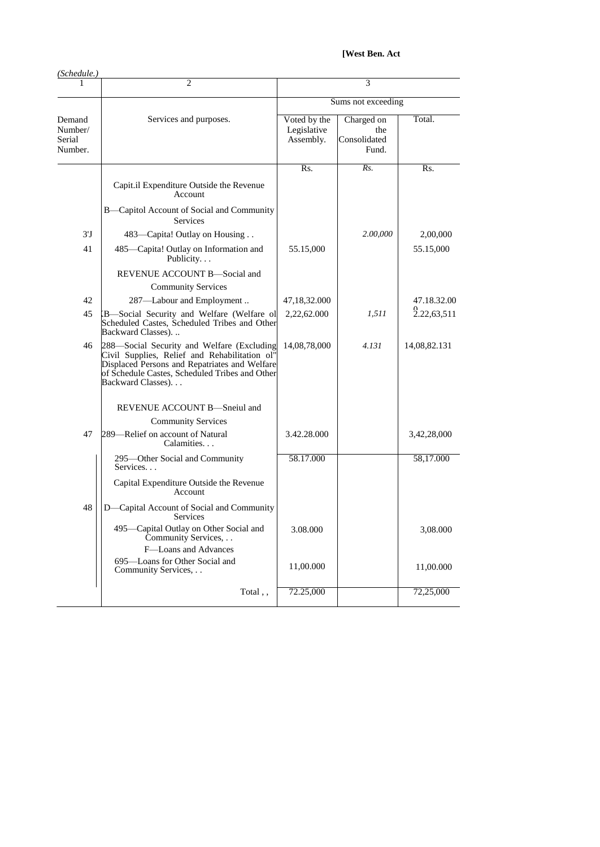[West Ben. Act

| (Schedule.)                            |                                                                                                                                                                                                                     |                                          |                                            |              |
|----------------------------------------|---------------------------------------------------------------------------------------------------------------------------------------------------------------------------------------------------------------------|------------------------------------------|--------------------------------------------|--------------|
|                                        | $\overline{c}$                                                                                                                                                                                                      | 3                                        |                                            |              |
|                                        |                                                                                                                                                                                                                     | Sums not exceeding                       |                                            |              |
| Demand<br>Number/<br>Serial<br>Number. | Services and purposes.                                                                                                                                                                                              | Voted by the<br>Legislative<br>Assembly. | Charged on<br>the<br>Consolidated<br>Fund. | Total.       |
|                                        |                                                                                                                                                                                                                     | $\overline{\text{Rs}}$ .                 | Rs.                                        | Rs.          |
|                                        | Capit.il Expenditure Outside the Revenue<br>Account                                                                                                                                                                 |                                          |                                            |              |
|                                        | B-Capitol Account of Social and Community<br><b>Services</b>                                                                                                                                                        |                                          |                                            |              |
| $3^{\prime}$ J                         | 483—Capita! Outlay on Housing                                                                                                                                                                                       |                                          | 2.00,000                                   | 2,00,000     |
| 41                                     | 485-Capita! Outlay on Information and<br>Publicity                                                                                                                                                                  | 55.15,000                                |                                            | 55.15,000    |
|                                        | REVENUE ACCOUNT B-Social and                                                                                                                                                                                        |                                          |                                            |              |
|                                        | <b>Community Services</b>                                                                                                                                                                                           |                                          |                                            |              |
| 42                                     | 287-Labour and Employment                                                                                                                                                                                           | 47,18,32.000                             |                                            | 47.18.32.00  |
| 45                                     | B-Social Security and Welfare (Welfare ol<br>Scheduled Castes, Scheduled Tribes and Other<br>Backward Classes)                                                                                                      | 2,22,62.000                              | 1,511                                      | 2.22,63,511  |
| 46                                     | 288—Social Security and Welfare (Excluding<br>Civil Supplies, Relief and Rehabilitation ol"<br>Displaced Persons and Repatriates and Welfare<br>of Schedule Castes, Scheduled Tribes and Other<br>Backward Classes) | 14,08,78,000                             | 4.131                                      | 14,08,82.131 |
|                                        | REVENUE ACCOUNT B-Sneiul and                                                                                                                                                                                        |                                          |                                            |              |
|                                        | <b>Community Services</b>                                                                                                                                                                                           |                                          |                                            |              |
| 47                                     | 289—Relief on account of Natural<br>Calamities                                                                                                                                                                      | 3.42.28.000                              |                                            | 3,42,28,000  |
|                                        | 295—Other Social and Community<br>Services                                                                                                                                                                          | 58.17.000                                |                                            | 58,17.000    |
|                                        | Capital Expenditure Outside the Revenue<br>Account                                                                                                                                                                  |                                          |                                            |              |
| 48                                     | D-Capital Account of Social and Community<br>Services                                                                                                                                                               |                                          |                                            |              |
|                                        | 495-Capital Outlay on Other Social and<br>Community Services,                                                                                                                                                       | 3.08.000                                 |                                            | 3,08.000     |
|                                        | F-Loans and Advances<br>695-Loans for Other Social and<br>Community Services,                                                                                                                                       | 11,00.000                                |                                            | 11,00.000    |
|                                        | Total,,                                                                                                                                                                                                             | 72.25,000                                |                                            | 72,25,000    |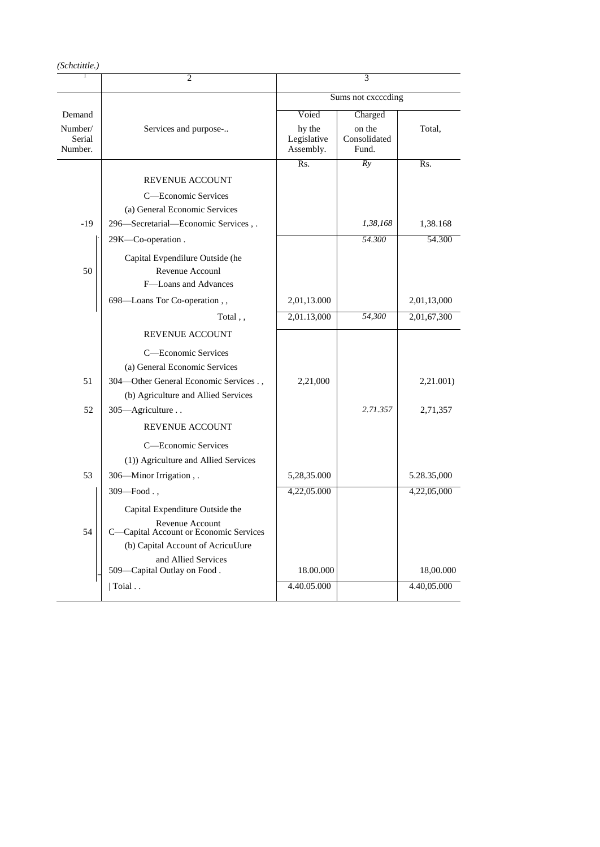| (Schctittle.)                |                                                                                                                                                         |                                    |                                 |                       |
|------------------------------|---------------------------------------------------------------------------------------------------------------------------------------------------------|------------------------------------|---------------------------------|-----------------------|
|                              | $\overline{c}$                                                                                                                                          |                                    | 3                               |                       |
|                              |                                                                                                                                                         | Sums not exceeding                 |                                 |                       |
| Demand                       |                                                                                                                                                         | Voied                              | Charged                         |                       |
| Number/<br>Serial<br>Number. | Services and purpose-                                                                                                                                   | hy the<br>Legislative<br>Assembly. | on the<br>Consolidated<br>Fund. | Total,                |
|                              |                                                                                                                                                         | Rs.                                | Ry                              | Rs.                   |
|                              | <b>REVENUE ACCOUNT</b>                                                                                                                                  |                                    |                                 |                       |
|                              | C-Economic Services                                                                                                                                     |                                    |                                 |                       |
|                              | (a) General Economic Services                                                                                                                           |                                    |                                 |                       |
| $-19$                        | 296-Secretarial-Economic Services,.                                                                                                                     |                                    | 1,38,168                        | 1,38.168              |
|                              | 29K-Co-operation.                                                                                                                                       |                                    | 54.300                          | 54.300                |
| 50                           | Capital Evpendilure Outside (he<br>Revenue Accounl<br>F-Loans and Advances                                                                              |                                    |                                 |                       |
|                              | 698-Loans Tor Co-operation,,                                                                                                                            | 2,01,13.000                        |                                 | 2,01,13,000           |
|                              | Total,,                                                                                                                                                 | 2,01.13,000                        | 54,300                          | 2,01,67,300           |
|                              | <b>REVENUE ACCOUNT</b>                                                                                                                                  |                                    |                                 |                       |
| 51<br>52                     | C-Economic Services<br>(a) General Economic Services<br>304-Other General Economic Services.,<br>(b) Agriculture and Allied Services<br>305-Agriculture | 2,21,000                           | 2.71.357                        | 2,21.001)<br>2,71,357 |
|                              | <b>REVENUE ACCOUNT</b>                                                                                                                                  |                                    |                                 |                       |
| 53                           | C-Economic Services<br>(1)) Agriculture and Allied Services<br>306—Minor Irrigation,.                                                                   | 5,28,35.000                        |                                 | 5.28.35,000           |
|                              | $309 - Food.$                                                                                                                                           | 4,22,05.000                        |                                 | 4,22,05,000           |
|                              | Capital Expenditure Outside the                                                                                                                         |                                    |                                 |                       |
| 54                           | Revenue Account<br>C-Capital Account or Economic Services                                                                                               |                                    |                                 |                       |
|                              | (b) Capital Account of AcricuUure                                                                                                                       |                                    |                                 |                       |
|                              | and Allied Services<br>509-Capital Outlay on Food.                                                                                                      | 18.00.000                          |                                 | 18,00.000             |
|                              | Toial                                                                                                                                                   | 4.40.05.000                        |                                 | 4.40,05.000           |
|                              |                                                                                                                                                         |                                    |                                 |                       |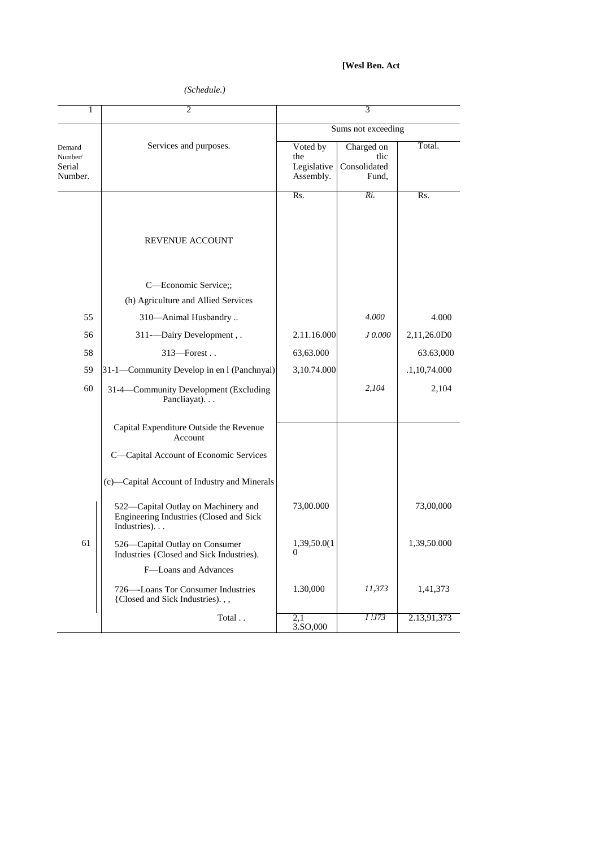## [Wesl Ben. Act

## (Schedule.)

| 1                                      | 2                                                                                              | 3                                           |                                             |                |
|----------------------------------------|------------------------------------------------------------------------------------------------|---------------------------------------------|---------------------------------------------|----------------|
|                                        |                                                                                                | Sums not exceeding                          |                                             |                |
| Demand<br>Number/<br>Serial<br>Number. | Services and purposes.                                                                         | Voted by<br>the<br>Legislative<br>Assembly. | Charged on<br>tlic<br>Consolidated<br>Fund, | Total.         |
|                                        | <b>REVENUE ACCOUNT</b>                                                                         | Rs.                                         | Ri.                                         | Rs.            |
|                                        | C-Economic Service;;<br>(h) Agriculture and Allied Services                                    |                                             |                                             |                |
| 55                                     | 310-Animal Husbandry                                                                           |                                             | 4.000                                       | 4.000          |
| 56                                     | 311-Dairy Development, .                                                                       | 2.11.16.000                                 | J 0.000                                     | 2,11,26.0D0    |
| 58                                     | 313-Forest                                                                                     | 63,63.000                                   |                                             | 63.63,000      |
| 59                                     | 31-1—Community Develop in en l (Panchnyai)                                                     | 3,10.74.000                                 |                                             | .1, 10, 74.000 |
| 60                                     | 31-4-Community Development (Excluding<br>Pancliayat).                                          |                                             | 2,104                                       | 2,104          |
|                                        | Capital Expenditure Outside the Revenue<br>Account                                             |                                             |                                             |                |
|                                        | C-Capital Account of Economic Services                                                         |                                             |                                             |                |
|                                        | (c)-Capital Account of Industry and Minerals                                                   |                                             |                                             |                |
|                                        | 522-Capital Outlay on Machinery and<br>Engineering Industries (Closed and Sick<br>Industries). | 73,00.000                                   |                                             | 73,00,000      |
| 61                                     | 526—Capital Outlay on Consumer<br>Industries {Closed and Sick Industries).                     | 1,39,50.0(1<br>$\theta$                     |                                             | 1,39,50.000    |
|                                        | F-Loans and Advances                                                                           |                                             |                                             |                |
|                                        | 726—Loans Tor Consumer Industries<br>{Closed and Sick Industries).,,                           | 1.30,000                                    | 11,373                                      | 1,41,373       |
|                                        | Total                                                                                          | 2,1<br>3.SO,000                             | I.173                                       | 2.13,91,373    |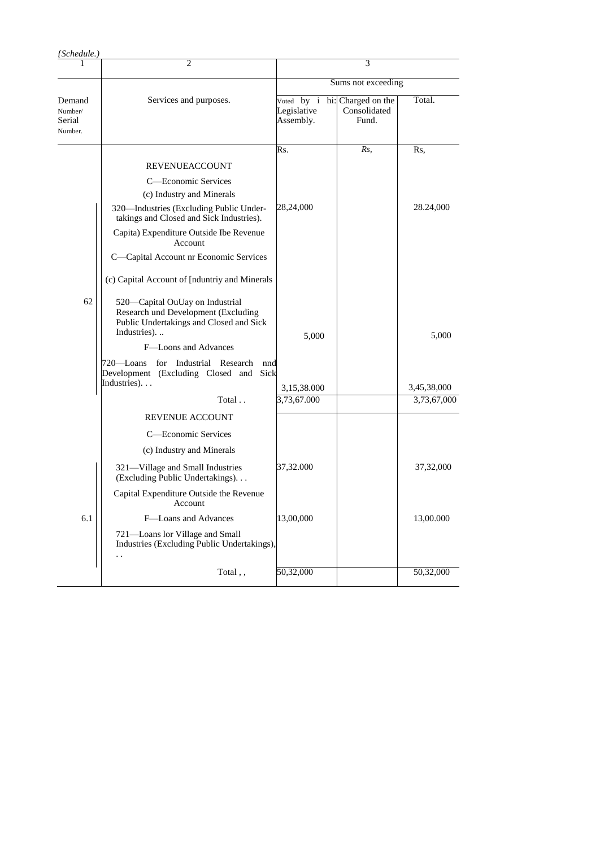| {Schedule.}                            |                                                                                                                                  |                                        |                                             |                            |
|----------------------------------------|----------------------------------------------------------------------------------------------------------------------------------|----------------------------------------|---------------------------------------------|----------------------------|
|                                        | 2                                                                                                                                |                                        | 3                                           |                            |
|                                        |                                                                                                                                  | Sums not exceeding                     |                                             |                            |
| Demand<br>Number/<br>Serial<br>Number. | Services and purposes.                                                                                                           | Voted by i<br>Legislative<br>Assembly. | hi: Charged on the<br>Consolidated<br>Fund. | Total.                     |
|                                        |                                                                                                                                  | Rs.                                    | Rs,                                         | Rs,                        |
|                                        | REVENUEACCOUNT                                                                                                                   |                                        |                                             |                            |
|                                        | C—Economic Services                                                                                                              |                                        |                                             |                            |
|                                        | (c) Industry and Minerals                                                                                                        |                                        |                                             |                            |
|                                        | 320—Industries (Excluding Public Under-<br>takings and Closed and Sick Industries).                                              | 28,24,000                              |                                             | 28.24,000                  |
|                                        | Capita) Expenditure Outside Ibe Revenue<br>Account                                                                               |                                        |                                             |                            |
|                                        | C-Capital Account nr Economic Services                                                                                           |                                        |                                             |                            |
|                                        | (c) Capital Account of [nduntriy and Minerals                                                                                    |                                        |                                             |                            |
| 62                                     | 520-Capital OuUay on Industrial<br>Research und Development (Excluding<br>Public Undertakings and Closed and Sick<br>Industries) | 5,000                                  |                                             | 5,000                      |
|                                        | F-Loons and Advances                                                                                                             |                                        |                                             |                            |
|                                        | 720—Loans for Industrial Research nnd<br>Development (Excluding Closed and Sick<br>Industries).                                  |                                        |                                             |                            |
|                                        | Total                                                                                                                            | 3,15,38.000<br>3,73,67.000             |                                             | 3,45,38,000<br>3,73,67,000 |
|                                        |                                                                                                                                  |                                        |                                             |                            |
|                                        | <b>REVENUE ACCOUNT</b>                                                                                                           |                                        |                                             |                            |
|                                        | C-Economic Services                                                                                                              |                                        |                                             |                            |
|                                        | (c) Industry and Minerals                                                                                                        |                                        |                                             |                            |
|                                        | 321-Village and Small Industries<br>(Excluding Public Undertakings).                                                             | 37,32.000                              |                                             | 37,32,000                  |
|                                        | Capital Expenditure Outside the Revenue<br>Account                                                                               |                                        |                                             |                            |
| 6.1                                    | F-Loans and Advances                                                                                                             | 13,00,000                              |                                             | 13,00.000                  |
|                                        | 721-Loans lor Village and Small<br>Industries (Excluding Public Undertakings),                                                   |                                        |                                             |                            |
|                                        | $\ddot{\phantom{0}}$<br>Total,,                                                                                                  | 50,32,000                              |                                             | 50,32,000                  |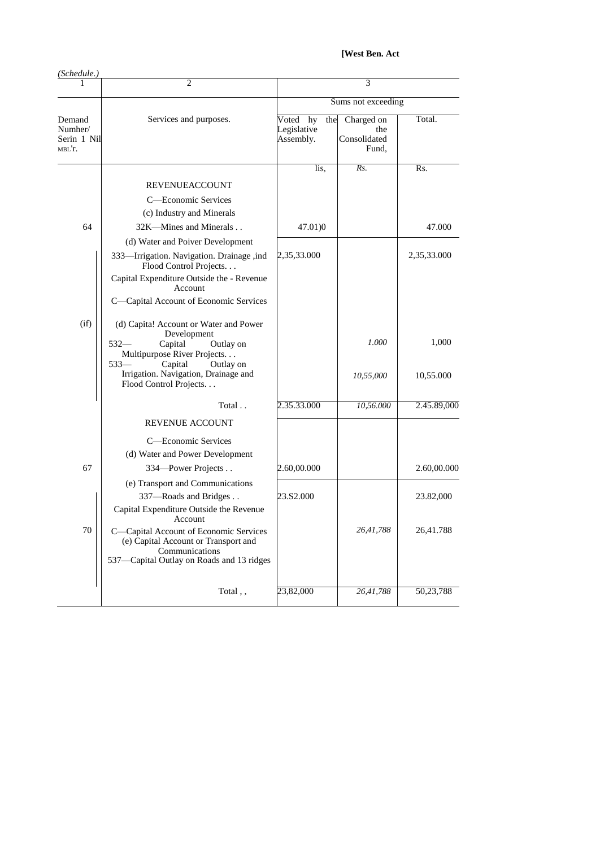[West Ben. Act

| (Schedule.)                                |                                                                                                                                                                                                                             |                                             |                                            |                    |
|--------------------------------------------|-----------------------------------------------------------------------------------------------------------------------------------------------------------------------------------------------------------------------------|---------------------------------------------|--------------------------------------------|--------------------|
|                                            | $\overline{c}$                                                                                                                                                                                                              | 3                                           |                                            |                    |
|                                            |                                                                                                                                                                                                                             | Sums not exceeding                          |                                            |                    |
| Demand<br>Numher/<br>Serin 1 Nil<br>MBL'T. | Services and purposes.                                                                                                                                                                                                      | Voted hy<br>the<br>Legislative<br>Assembly. | Charged on<br>the<br>Consolidated<br>Fund, | Total.             |
|                                            |                                                                                                                                                                                                                             | lis.                                        | Rs.                                        | Rs.                |
|                                            | <b>REVENUEACCOUNT</b>                                                                                                                                                                                                       |                                             |                                            |                    |
|                                            | C—Economic Services                                                                                                                                                                                                         |                                             |                                            |                    |
|                                            | (c) Industry and Minerals                                                                                                                                                                                                   |                                             |                                            |                    |
| 64                                         | 32K-Mines and Minerals                                                                                                                                                                                                      | 47.01)0                                     |                                            | 47.000             |
|                                            | (d) Water and Poiver Development                                                                                                                                                                                            |                                             |                                            |                    |
|                                            | 333-Irrigation. Navigation. Drainage, ind<br>Flood Control Projects<br>Capital Expenditure Outside the - Revenue<br>Account                                                                                                 | 2,35,33.000                                 |                                            | 2,35,33.000        |
|                                            | C-Capital Account of Economic Services                                                                                                                                                                                      |                                             |                                            |                    |
| (i f)                                      | (d) Capita! Account or Water and Power<br>Development<br>$532-$<br>Capital<br>Outlay on<br>Multipurpose River Projects<br>$533 -$<br>Capital<br>Outlay on<br>Irrigation. Navigation, Drainage and<br>Flood Control Projects |                                             | 1.000<br>10,55,000                         | 1,000<br>10,55.000 |
|                                            |                                                                                                                                                                                                                             |                                             |                                            |                    |
|                                            | Total                                                                                                                                                                                                                       | 2.35.33.000                                 | 10,56.000                                  | 2.45.89,000        |
|                                            | <b>REVENUE ACCOUNT</b>                                                                                                                                                                                                      |                                             |                                            |                    |
|                                            | C—Economic Services                                                                                                                                                                                                         |                                             |                                            |                    |
|                                            | (d) Water and Power Development                                                                                                                                                                                             |                                             |                                            |                    |
| 67                                         | 334-Power Projects                                                                                                                                                                                                          | 2.60,00.000                                 |                                            | 2.60,00.000        |
|                                            | (e) Transport and Communications<br>337-Roads and Bridges<br>Capital Expenditure Outside the Revenue                                                                                                                        | 23.S2.000                                   |                                            | 23.82,000          |
| $70\,$                                     | <b>Example 2</b> Account<br>C-Capital Account of Economic Services<br>(e) Capital Account or Transport and<br>Communications<br>537-Capital Outlay on Roads and 13 ridges                                                   |                                             | 26,41,788                                  | 26,41.788          |
|                                            | Total,,                                                                                                                                                                                                                     | 23,82,000                                   | 26,41,788                                  | 50,23,788          |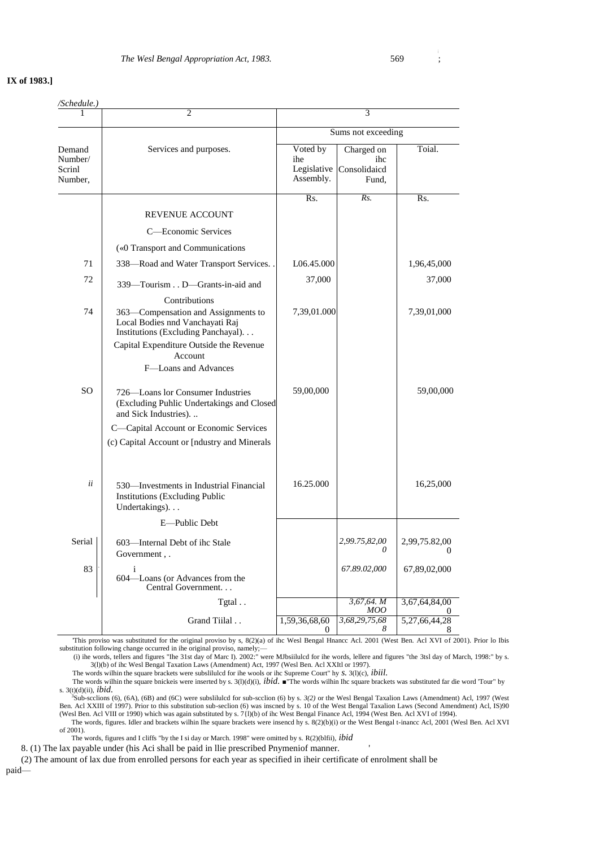## **IX of 1983.]**

| /Schedule. <sub>)</sub>                |                                                                                                                                |                                             |                                            |                        |
|----------------------------------------|--------------------------------------------------------------------------------------------------------------------------------|---------------------------------------------|--------------------------------------------|------------------------|
|                                        | 2                                                                                                                              | 3                                           |                                            |                        |
|                                        |                                                                                                                                | Sums not exceeding                          |                                            |                        |
| Demand<br>Number/<br>Scrinl<br>Number, | Services and purposes.                                                                                                         | Voted by<br>ihe<br>Legislative<br>Assembly. | Charged on<br>ihc<br>Consolidaicd<br>Fund, | Toial.                 |
|                                        |                                                                                                                                | Rs.                                         | Rs.                                        | Rs.                    |
|                                        | <b>REVENUE ACCOUNT</b>                                                                                                         |                                             |                                            |                        |
|                                        | C—Economic Services                                                                                                            |                                             |                                            |                        |
|                                        | («0 Transport and Communications                                                                                               |                                             |                                            |                        |
| 71                                     | 338—Road and Water Transport Services.                                                                                         | L06.45.000                                  |                                            | 1,96,45,000            |
| 72                                     | 339—Tourism D—Grants-in-aid and                                                                                                | 37,000                                      |                                            | 37,000                 |
| 74                                     | Contributions<br>363-Compensation and Assignments to<br>Local Bodies nnd Vanchayati Raj<br>Institutions (Excluding Panchayal). | 7,39,01.000                                 |                                            | 7,39,01,000            |
|                                        | Capital Expenditure Outside the Revenue<br>Account<br>F-Loans and Advances                                                     |                                             |                                            |                        |
| SO.                                    | 726—Loans lor Consumer Industries<br>(Excluding Puhlic Undertakings and Closed<br>and Sick Industries).                        | 59,00,000                                   |                                            | 59,00,000              |
|                                        | C-Capital Account or Economic Services<br>(c) Capital Account or [ndustry and Minerals                                         |                                             |                                            |                        |
| ii                                     | 530—Investments in Industrial Financial<br><b>Institutions (Excluding Public</b><br>Undertakings).                             | 16.25.000                                   |                                            | 16,25,000              |
|                                        | E-Public Debt                                                                                                                  |                                             |                                            |                        |
| Serial                                 | 603-Internal Debt of ihc Stale<br>Government,.                                                                                 |                                             | 2,99.75,82,00<br>$\theta$                  | 2,99,75.82,00          |
| 83                                     | $\mathbf{i}$<br>604-Loans (or Advances from the<br>Central Government                                                          |                                             | 67.89.02,000                               | 67,89,02,000           |
|                                        | Tgtal                                                                                                                          |                                             | 3,67,64. M                                 | 3,67,64,84,00          |
|                                        | Grand Tiilal                                                                                                                   | 1,59,36,68,60<br>$\theta$                   | MOO<br>3,68,29,75,68<br>8                  | 5, 27, 66, 44, 28<br>8 |

'This proviso was substituted for the original proviso by s, 8(2)(a) of ihc Wesl Bengal Hnancc Acl. 2001 (West Ben. Acl XVI of 2001). Prior lo Ibis substitution following change occurred in ihe original proviso, namely;—

(i) ihe words, tellers and figures "Ihe 31st day of Marc I). 2002:" were MJbsiilulcd for ihe words, lellere and figures "the 3tsl day of March, 1998:" by s. 3(l)(b) of ihc Wesl Bengal Taxation Laws (Amendment) Act, 1997 (Wesl Ben. Acl XXItl or 1997). The words wilhin the square brackets were subslilulcd for ihe wools or ihc Supreme Court" hy *s.* 3(l)(c), *ibiil.*

The words wilhin the square bnickeis were inserted by s. 3(l)(d)(i), *ibid.* ■"The words wilhin Ihc square brackets was substituted far die word 'Tour" by s. 3(t)(d)(ii), *ibid.*

 ${}^{3}$ Sub-scclions (6), (6A), (6B) and (6C) were subsliluted for sub-section (6) by s.  $3(2)$  or the West Bengal Taxalion Laws (Amendment) Acl, 1997 (West Ben. Acl XXIII of 1997). Prior to this substitution sub-section (6 (Wesl Ben. Acl VIII or 1990) which was again substituted by s. 7{l)(b) of ihc West Bengal Finance Acl, 1994 (West Ben. Acl XVI of 1994).

The words, figures. Idler and brackets wilhin Ihe square brackets were insencd hy s. 8(2)(b)(i) or the West Bengal t-inancc Acl, 2001 (Wesl Ben. Acl XVI of 2001).

The words, figures and I cliffs "by the I si day or March. 1998" were omitted by s. R(2)(blfii), *ibid*

8. (1) The lax payable under (his Aci shall be paid in llie prescribed Pnymeniof manner. '

(2) The amount of lax due from enrolled persons for each year as specified in iheir certificate of enrolment shall be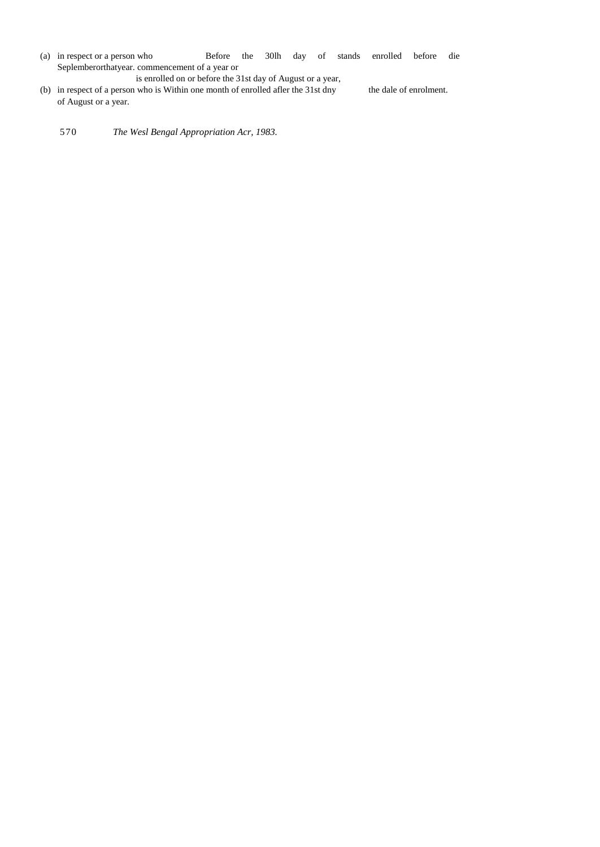(a) in respect or a person who Before the 30lh day of stands enrolled before die Seplemberorthatyear. commencement of a year or

is enrolled on or before the 31st day of August or a year,

- (b) in respect of a person who is Within one month of enrolled afler the 31st dny the dale of enrolment. of August or a year.
	- 570 *The Wesl Bengal Appropriation Acr, 1983.*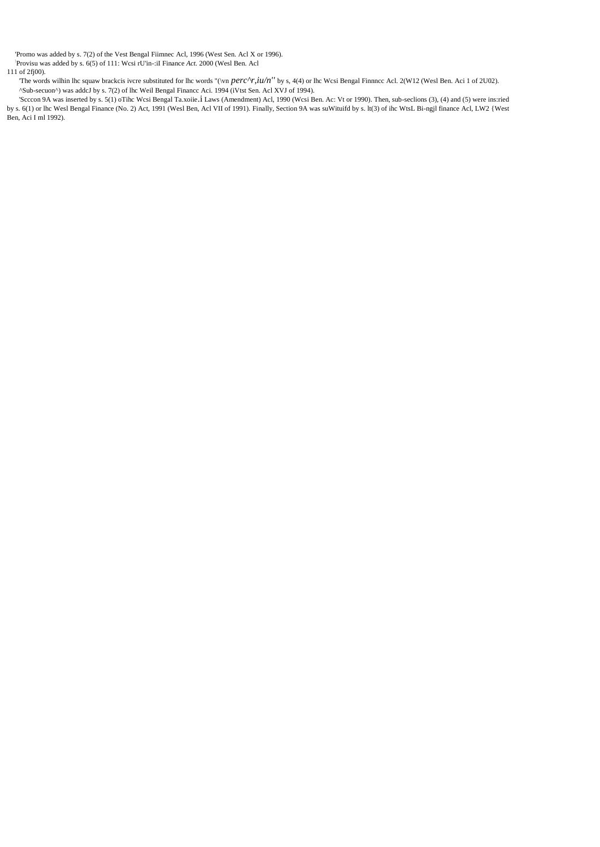'Promo was added by s. 7(2) of the Vest Bengal Fiimnec Acl, 1996 (West Sen. Acl X or 1996).

: Provisu was added by s. 6(5) of 111: Wcsi rU'in-:iI Finance *Act.* 2000 (Wesl Ben. Acl

111 of 2fj00).

'The words wilhin lhc squaw brackcis ivcre substituted for lhc words "(\vn *perc^r,iu/n''* by s, 4(4) or lhc Wcsi Bengal Finnncc Acl. 2(W12 (Wesl Ben. Aci 1 of 2U02). ^Sub-secuon^) was addcJ by s. 7(2) of lhc Weil Bengal Financc Aci. 1994 (iVtst Sen. Acl XVJ of 1994).

'Scccon 9A was inserted by s. 5(1) oTihc Wcsi Bengal Ta.xoiie.i Laws (Amendment) Acl, 1990 (Wcsi Ben. Ac: Vt or 1990). Then, sub-seclions (3), (4) and (5) were ins:ried by s. 6(1) or lhc Wesl Bengal Finance (No. 2) Act, 1991 (Wesl Ben, Acl VII of 1991). Finally, Section 9A was suWituifd by s. lt(3) of ihc WtsL Bi-ngjl finance Acl, LW2 {West Ben, Aci I ml 1992).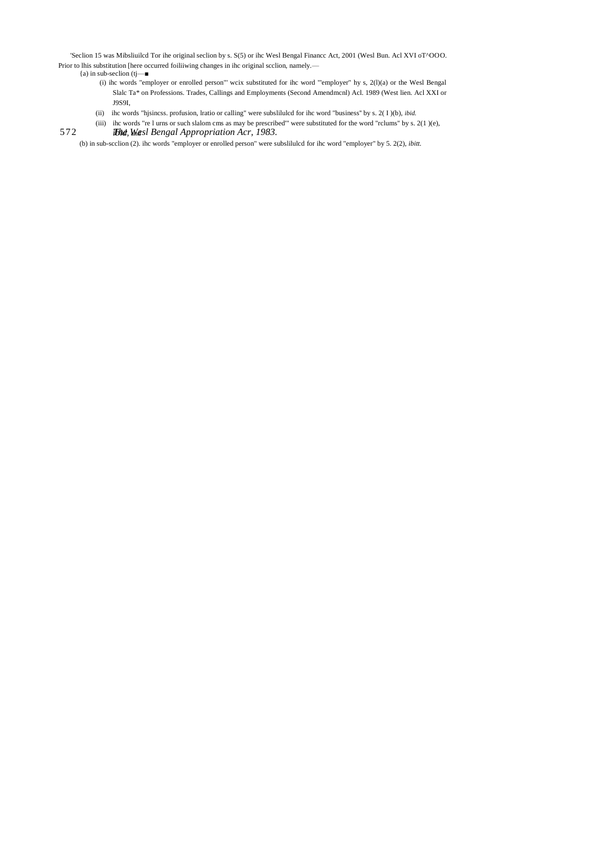'Seclion 15 was Mibsliuilcd Tor ihe original seclion by s. S(5) or ihc Wesl Bengal Financc Act, 2001 (Wesl Bun. Acl XVI oT^OOO. Prior to lhis substitution [here occurred foiliiwing changes in ihc original scclion, namely.—

- ${a}$ ) in sub-seclion (tj— $\blacksquare$ 
	- (i) ihc words "employer or enrolled person"' wcix substituted for ihc word "'employer" hy s,  $2(1)(a)$  or the Wesl Bengal (i) Slalc Ta\* on Professions. Trades, Callings and Employments (Second Amendmcnl) Acl. 1989 (West lien. Acl XXI or J9S9I,
	- (ii) ihc words "hjsincss. profusion, lratio or calling" were subslilulcd for ihc word "business'' by s. 2( I )(b), *ibid.*
- 572 *Ibid, Wasl Bengal Appropriation Acr, 1983.* (iii) ihc words "re l urns or such slalom cms as may be prescribed'" were substituted for the word "rclums" by s. 2(1 )(e),

(b) in sub-scclion (2). ihc words "employer or enrolled person" were subslilulcd for ihc word "employer" by 5. 2(2), *ibitt.*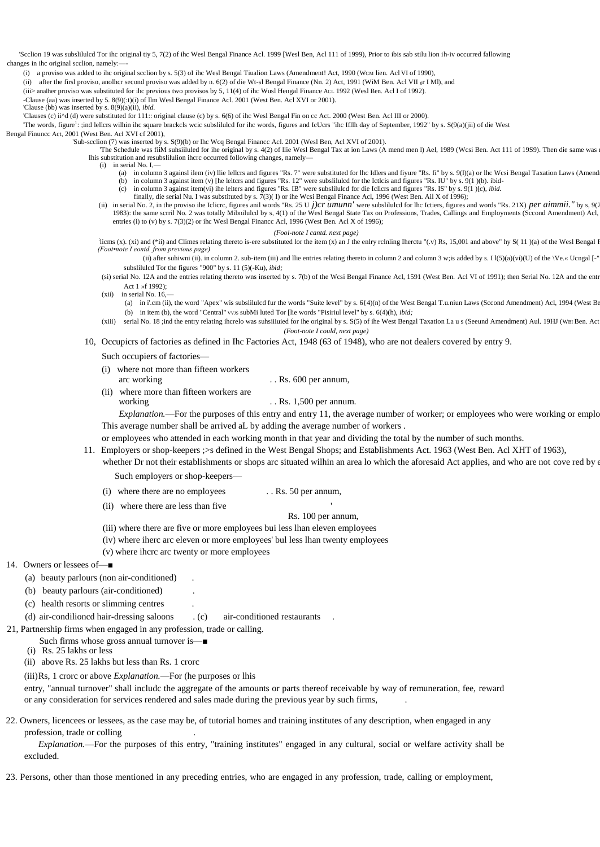'Scclion 19 was subslilulcd Tor ihc original tiy 5, 7(2) of ihc Wesl Bengal Finance Acl. 1999 [Wesl Ben, Acl 111 of 1999), Prior to ibis sab stilu lion ih-iv occurred fallowing changes in ihc original scclion, namely:

(i) a proviso was added to ihc original scclion by s. 5(3) oI ihc Wesl Bengal Tiualion Laws (Amendment! Act, 1990 (WCM lien. Acl VI of 1990),

(ii) after the firsl proviso, anolhcr second proviso was added by n. 6(2) of die Wt-sl Bengal Finance (Nn. 2) Act, 1991 (WiM Ben. Acl VII  $_0$ r I MI), and

(iii> analher proviso was substituted for ihc previous two provisos by 5, 11(4) of ihc Wusl Hengal Finance ACL 1992 (Wesl Ben. Acl I of 1992).

-Clause (aa) was inserted by 5. 8(9)(:t)(i) of llm Wesl Bengal Finance Acl. 2001 (West Ben. Acl XVI or 2001).

'Clause (bb) was inserted by s. 8(9)(a)(ii), *ibid.*

'Clauses (c) ii^d (d) were substituted for 111:: original clause (c) by s. 6(6) of ihc Wesl Bengal Fin on cc Act. 2000 (West Ben. Acl III or 2000).

The words, figure<sup>1</sup>: ;ind lellcrs wilhin ihc square brackcls wcic subslilulcd for ihc words, figures and IcUcrs "ihc Ifllh day of September, 1992" by s. S(9(a)(jii) of die West

Bengal Finuncc Act, 2001 (West Ben. Acl XVI cf 2001),

'Sub-scclion (7) was inserted by s. S(9)(b) or lhc Wcq Bengal Financc Acl. 2001 (Wesl Ben, Acl XVI of 2001).

The Schedule was fiiM subsilluled for ihe original by s. 4(2) of llie West Bengal Tax at ion Laws (A mend men l) Ael, 1989 (Wcsi Ben. Act 111 of 1989). Then die same was Ihis substitution and resubslilulion ihcrc occurred following changes, namely—

(i) in serial No. I,—

- (a) in column 3 againsl ilem (iv) llie lellcrs and figures "Rs. 7" were substituted for lhc Idlers and fiyure "Rs. fi" by s. 9(1)(a) or lhc Wcsi Bengal Taxation Laws (Amend
	- (b) in column 3 against item (v) [he leltcrs and figures "Rs. 12" were subsliluled for the Ictlcis and figures "Rs. IU" by s. 9(1) (b). ibid-<br>(c) in column 3 against item(vi) ihe lelters and figures "Rs. IB" were subslilul
	- finally, die serial Nu. I was substituted by s. 7(3)( I) or ihe Wcsi Bengal Finance Acl, 1996 (West Ben. Ail X of 1996);
- (ii) in serial No. 2, in the proviso ihe Iclicrc, figures anil words "Rs. 25 U j)cr umunn' were subslituted for the Ictiers, figures and words "Rs. 21X) per aimmit." by s, 9( 1983): the same scrril No. 2 was totally Mibnilulcd by s, 4(1) of the Wesl Bengal State Tax on Professions, Trades, Callings and Employments (Sccond Amendment) Acl,
- entries (i) to (v) by s. 7(3)(2) or ihc Wesl Bengal Financc Acl, 1996 (West Ben. Acl X of 1996);

*(Fool-note I cantd. next page)*

The sites (x). (xi) and (\*ii) and Climes relating thereto is-ere substituted lor the item (x) an J the enlry rclnling Iherctu "(v) Rs, 15,001 and above" hy S(11)(a) of the West Bengal I *(Foot•note I eontd. from previous page)*

(ii) after suhiwni (ii). in column 2. sub-item (iii) and llie entries relating thereto in column 2 and column 3 w; is added by s. I  $1(5)(a)(vi)(U)$  of the  $\forall$ Pe.« Ucngal [-' subslilulcd Tor the figures "900" by s. 11 (5)(-Ku), *ibid;*

(si) serial No. 12A and the entries relating thereto wns inserted by s. 7(b) of the Wcsi Bengal Finance Acl, 1591 (West Ben. Acl VI of 1991); then Serial No. 12A and the entr Act 1 »f 1992);

 $(xii)$  in serial No. 16,-

- (a) in i'.cm (ii), the word "Apex" wis subslilulcd fur the words "Suite level" by s. 6{4)(n) of the West Bengal T.u.niun Laws (Sccond Amendment) Acl, 1994 (West Be (b) in item (b), the word "Central" vvs subMi luted Tor [lie words "Pisiriul level" by s. 6(4)(h), *ibid*;
- (xiii) serial No. 18 ;ind the entry relating ihcrelo was suhsiiiuied for ihe original by s. S(5) of ihe West Bengal Taxation La u s (Seeund Amendment) Aul. 19HJ (WBI Ben. Act *(Foot-note I could, next page)*
- 10, Occupicrs of factories as defined in Ihc Factories Act, 1948 (63 of 1948), who are not dealers covered by entry 9.

Such occupiers of factories—

- (i) where not more than fifteen workers arc working ... Rs. 600 per annum,
- (ii) where more than fifteen workers are working ... Rs. 1,500 per annum.

*Explanation.*—For the purposes of this entry and entry 11, the average number of worker; or employees who were working or emplo This average number shall be arrived aL by adding the average number of workers .

or employees who attended in each working month in that year and dividing the total by the number of such months.

11. Employers or shop-keepers ;>s defined in the West Bengal Shops; and Establishments Act. 1963 (West Ben. Acl XHT of 1963),

whether Dr not their establishments or shops arc situated wilhin an area lo which the aforesaid Act applies, and who are not cove red by e

Such employers or shop-keepers—

- (i) where there are no employees . . Rs. 50 per annum,
- (ii) where there are less than five

Rs. 100 per annum,

- (iii) where there are five or more employees bui less lhan eleven employees
- (iv) where iherc arc eleven or more employees' bul less lhan twenty employees
- (v) where ihcrc arc twenty or more employees
- 14. Owners or lessees of—■
	- (a) beauty parlours (non air-conditioned) .
	- (b) beauty parlours (air-conditioned) .
	- (c) health resorts or slimming centres .

(d) air-condilioncd hair-dressing saloons . (c) air-conditioned restaurants .

21, Partnership firms when engaged in any profession, trade or calling.

Such firms whose gross annual turnover is—■

- (i) Rs. 25 lakhs or less
- (ii) above Rs. 25 lakhs but less than Rs. 1 crorc

(iii)Rs, 1 crorc or above *Explanation.*—For (he purposes or lhis

entry, "annual turnover" shall includc the aggregate of the amounts or parts thereof receivable by way of remuneration, fee, reward or any consideration for services rendered and sales made during the previous year by such firms, .

22. Owners, licencees or lessees, as the case may be, of tutorial homes and training institutes of any description, when engaged in any profession, trade or colling .

*Explanation.*—For the purposes of this entry, "training institutes" engaged in any cultural, social or welfare activity shall be excluded.

23. Persons, other than those mentioned in any preceding entries, who are engaged in any profession, trade, calling or employment,